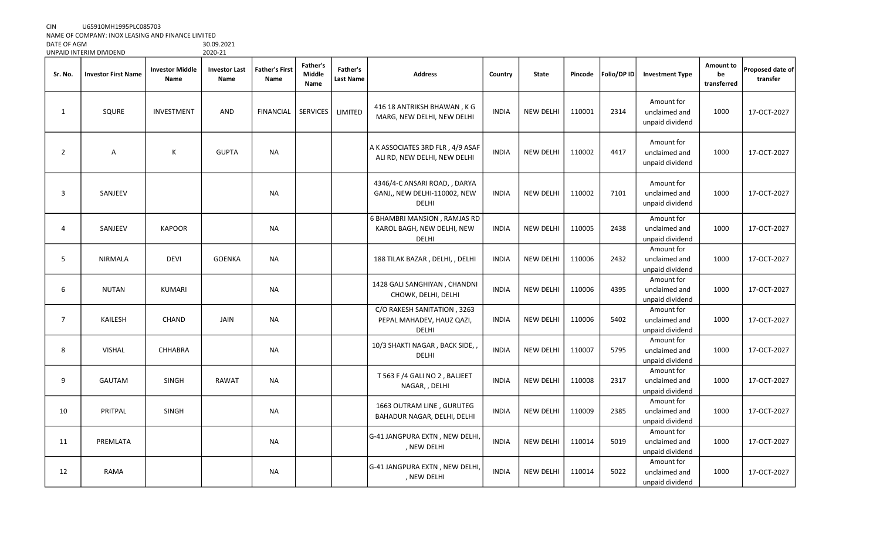## CIN U65910MH1995PLC085703

NAME OF COMPANY: INOX LEASING AND FINANCE LIMITED

DATE OF AGM 30.09.2021 UNPAID INTERIM DIVIDEND

| Sr. No.        | <b>Investor First Name</b> | <b>Investor Middle</b><br>Name | <b>Investor Last</b><br>Name | <b>Father's First</b><br>Name | <b>Father's</b><br>Middle<br>Name | Father's<br>Last Name | <b>Address</b>                                                             | Country      | <b>State</b>     | Pincode | Folio/DP ID | <b>Investment Type</b>                         | Amount to<br>be<br>transferred | Proposed date of<br>transfer |
|----------------|----------------------------|--------------------------------|------------------------------|-------------------------------|-----------------------------------|-----------------------|----------------------------------------------------------------------------|--------------|------------------|---------|-------------|------------------------------------------------|--------------------------------|------------------------------|
| 1              | SQURE                      | <b>INVESTMENT</b>              | AND                          | <b>FINANCIAL</b>              | <b>SERVICES</b>                   | LIMITED               | 416 18 ANTRIKSH BHAWAN, K G<br>MARG, NEW DELHI, NEW DELHI                  | <b>INDIA</b> | <b>NEW DELHI</b> | 110001  | 2314        | Amount for<br>unclaimed and<br>unpaid dividend | 1000                           | 17-OCT-2027                  |
| $\overline{2}$ | $\overline{A}$             | К                              | <b>GUPTA</b>                 | <b>NA</b>                     |                                   |                       | A K ASSOCIATES 3RD FLR, 4/9 ASAF<br>ALI RD, NEW DELHI, NEW DELHI           | <b>INDIA</b> | <b>NEW DELHI</b> | 110002  | 4417        | Amount for<br>unclaimed and<br>unpaid dividend | 1000                           | 17-OCT-2027                  |
| 3              | SANJEEV                    |                                |                              | <b>NA</b>                     |                                   |                       | 4346/4-C ANSARI ROAD, , DARYA<br>GANJ,, NEW DELHI-110002, NEW<br>DELHI     | <b>INDIA</b> | <b>NEW DELHI</b> | 110002  | 7101        | Amount for<br>unclaimed and<br>unpaid dividend | 1000                           | 17-OCT-2027                  |
| 4              | SANJEEV                    | <b>KAPOOR</b>                  |                              | <b>NA</b>                     |                                   |                       | 6 BHAMBRI MANSION, RAMJAS RD<br>KAROL BAGH, NEW DELHI, NEW<br><b>DELHI</b> | <b>INDIA</b> | <b>NEW DELHI</b> | 110005  | 2438        | Amount for<br>unclaimed and<br>unpaid dividend | 1000                           | 17-OCT-2027                  |
| 5              | <b>NIRMALA</b>             | <b>DEVI</b>                    | <b>GOENKA</b>                | <b>NA</b>                     |                                   |                       | 188 TILAK BAZAR, DELHI, , DELHI                                            | <b>INDIA</b> | <b>NEW DELHI</b> | 110006  | 2432        | Amount for<br>unclaimed and<br>unpaid dividend | 1000                           | 17-OCT-2027                  |
| 6              | <b>NUTAN</b>               | <b>KUMARI</b>                  |                              | <b>NA</b>                     |                                   |                       | 1428 GALI SANGHIYAN, CHANDNI<br>CHOWK, DELHI, DELHI                        | <b>INDIA</b> | <b>NEW DELHI</b> | 110006  | 4395        | Amount for<br>unclaimed and<br>unpaid dividend | 1000                           | 17-OCT-2027                  |
| $\overline{7}$ | <b>KAILESH</b>             | <b>CHAND</b>                   | JAIN                         | NA                            |                                   |                       | C/O RAKESH SANITATION, 3263<br>PEPAL MAHADEV, HAUZ QAZI,<br>DELHI          | <b>INDIA</b> | <b>NEW DELHI</b> | 110006  | 5402        | Amount for<br>unclaimed and<br>unpaid dividend | 1000                           | 17-OCT-2027                  |
| 8              | <b>VISHAL</b>              | CHHABRA                        |                              | <b>NA</b>                     |                                   |                       | 10/3 SHAKTI NAGAR, BACK SIDE,,<br><b>DELHI</b>                             | <b>INDIA</b> | <b>NEW DELHI</b> | 110007  | 5795        | Amount for<br>unclaimed and<br>unpaid dividend | 1000                           | 17-OCT-2027                  |
| 9              | GAUTAM                     | <b>SINGH</b>                   | RAWAT                        | NA                            |                                   |                       | T 563 F /4 GALI NO 2, BALJEET<br>NAGAR, , DELHI                            | <b>INDIA</b> | <b>NEW DELHI</b> | 110008  | 2317        | Amount for<br>unclaimed and<br>unpaid dividend | 1000                           | 17-OCT-2027                  |
| 10             | PRITPAL                    | <b>SINGH</b>                   |                              | <b>NA</b>                     |                                   |                       | 1663 OUTRAM LINE, GURUTEG<br>BAHADUR NAGAR, DELHI, DELHI                   | <b>INDIA</b> | <b>NEW DELHI</b> | 110009  | 2385        | Amount for<br>unclaimed and<br>unpaid dividend | 1000                           | 17-OCT-2027                  |
| 11             | PREMLATA                   |                                |                              | <b>NA</b>                     |                                   |                       | G-41 JANGPURA EXTN, NEW DELHI,<br>, NEW DELHI                              | <b>INDIA</b> | <b>NEW DELHI</b> | 110014  | 5019        | Amount for<br>unclaimed and<br>unpaid dividend | 1000                           | 17-OCT-2027                  |
| 12             | <b>RAMA</b>                |                                |                              | <b>NA</b>                     |                                   |                       | G-41 JANGPURA EXTN , NEW DELHI,<br>, NEW DELHI                             | <b>INDIA</b> | <b>NEW DELHI</b> | 110014  | 5022        | Amount for<br>unclaimed and<br>unpaid dividend | 1000                           | 17-OCT-2027                  |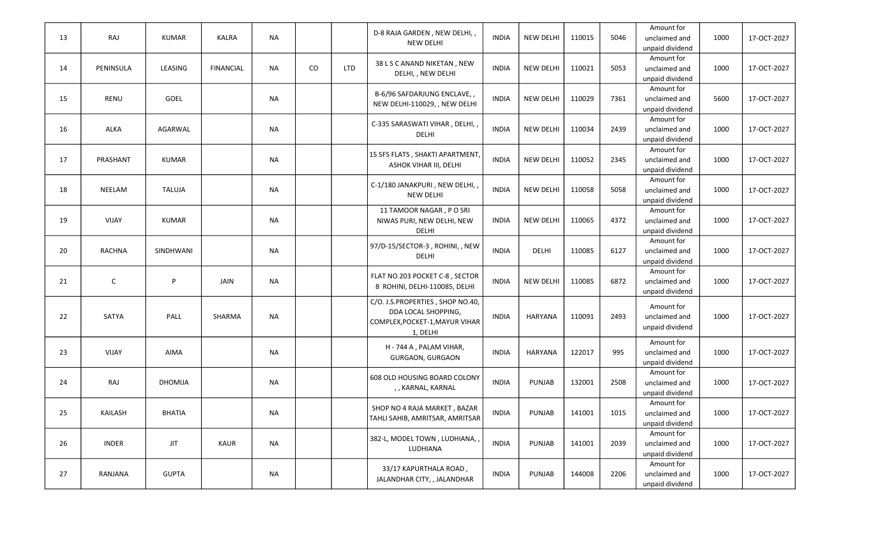| 13 | RAJ           | <b>KUMAR</b>   | <b>KALRA</b>     | <b>NA</b> |          |            | D-8 RAJA GARDEN, NEW DELHI,,<br><b>NEW DELHI</b>                                                      | <b>INDIA</b> | <b>NEW DELHI</b> | 110015 | 5046 | Amount for<br>unclaimed and<br>unpaid dividend | 1000 | 17-OCT-2027 |
|----|---------------|----------------|------------------|-----------|----------|------------|-------------------------------------------------------------------------------------------------------|--------------|------------------|--------|------|------------------------------------------------|------|-------------|
| 14 | PENINSULA     | LEASING        | <b>FINANCIAL</b> | NA        | $\rm CO$ | <b>LTD</b> | 38 L S C ANAND NIKETAN, NEW<br>DELHI, , NEW DELHI                                                     | <b>INDIA</b> | <b>NEW DELHI</b> | 110021 | 5053 | Amount for<br>unclaimed and<br>unpaid dividend | 1000 | 17-OCT-2027 |
| 15 | RENU          | GOEL           |                  | <b>NA</b> |          |            | B-6/96 SAFDARJUNG ENCLAVE,,<br>NEW DELHI-110029, , NEW DELHI                                          | <b>INDIA</b> | <b>NEW DELHI</b> | 110029 | 7361 | Amount for<br>unclaimed and<br>unpaid dividend | 5600 | 17-OCT-2027 |
| 16 | ALKA          | AGARWAL        |                  | <b>NA</b> |          |            | C-335 SARASWATI VIHAR, DELHI,,<br>DELHI                                                               | <b>INDIA</b> | <b>NEW DELHI</b> | 110034 | 2439 | Amount for<br>unclaimed and<br>unpaid dividend | 1000 | 17-OCT-2027 |
| 17 | PRASHANT      | <b>KUMAR</b>   |                  | <b>NA</b> |          |            | 15 SFS FLATS , SHAKTI APARTMENT,<br>ASHOK VIHAR III, DELHI                                            | <b>INDIA</b> | <b>NEW DELHI</b> | 110052 | 2345 | Amount for<br>unclaimed and<br>unpaid dividend | 1000 | 17-OCT-2027 |
| 18 | NEELAM        | <b>TALUJA</b>  |                  | <b>NA</b> |          |            | C-1/180 JANAKPURI, NEW DELHI,<br><b>NEW DELHI</b>                                                     | <b>INDIA</b> | <b>NEW DELHI</b> | 110058 | 5058 | Amount for<br>unclaimed and<br>unpaid dividend | 1000 | 17-OCT-2027 |
| 19 | <b>VIJAY</b>  | <b>KUMAR</b>   |                  | <b>NA</b> |          |            | 11 TAMOOR NAGAR, POSRI<br>NIWAS PURI, NEW DELHI, NEW<br>DELHI                                         | <b>INDIA</b> | <b>NEW DELHI</b> | 110065 | 4372 | Amount for<br>unclaimed and<br>unpaid dividend | 1000 | 17-OCT-2027 |
| 20 | <b>RACHNA</b> | SINDHWANI      |                  | <b>NA</b> |          |            | 97/D-15/SECTOR-3, ROHINI,, NEW<br>DELHI                                                               | <b>INDIA</b> | DELHI            | 110085 | 6127 | Amount for<br>unclaimed and<br>unpaid dividend | 1000 | 17-OCT-2027 |
| 21 | C             | P              | JAIN             | <b>NA</b> |          |            | FLAT NO.203 POCKET C-8, SECTOR<br>8 ROHINI, DELHI-110085, DELHI                                       | <b>INDIA</b> | <b>NEW DELHI</b> | 110085 | 6872 | Amount for<br>unclaimed and<br>unpaid dividend | 1000 | 17-OCT-2027 |
| 22 | SATYA         | PALL           | SHARMA           | NA        |          |            | C/O. J.S.PROPERTIES, SHOP NO.40,<br>DDA LOCAL SHOPPING,<br>COMPLEX, POCKET-1, MAYUR VIHAR<br>1, DELHI | <b>INDIA</b> | <b>HARYANA</b>   | 110091 | 2493 | Amount for<br>unclaimed and<br>unpaid dividend | 1000 | 17-OCT-2027 |
| 23 | <b>VIJAY</b>  | AIMA           |                  | <b>NA</b> |          |            | H - 744 A, PALAM VIHAR,<br><b>GURGAON, GURGAON</b>                                                    | <b>INDIA</b> | <b>HARYANA</b>   | 122017 | 995  | Amount for<br>unclaimed and<br>unpaid dividend | 1000 | 17-OCT-2027 |
| 24 | RAJ           | <b>DHOMIJA</b> |                  | NA        |          |            | 608 OLD HOUSING BOARD COLONY<br>,, KARNAL, KARNAL                                                     | <b>INDIA</b> | <b>PUNJAB</b>    | 132001 | 2508 | Amount for<br>unclaimed and<br>unpaid dividend | 1000 | 17-OCT-2027 |
| 25 | KAILASH       | <b>BHATIA</b>  |                  | <b>NA</b> |          |            | SHOP NO 4 RAJA MARKET, BAZAR<br>TAHLI SAHIB, AMRITSAR, AMRITSAR                                       | <b>INDIA</b> | <b>PUNJAB</b>    | 141001 | 1015 | Amount for<br>unclaimed and<br>unpaid dividend | 1000 | 17-OCT-2027 |
| 26 | <b>INDER</b>  | <b>JIT</b>     | KAUR             | <b>NA</b> |          |            | 382-L, MODEL TOWN, LUDHIANA,<br>LUDHIANA                                                              | <b>INDIA</b> | PUNJAB           | 141001 | 2039 | Amount for<br>unclaimed and<br>unpaid dividend | 1000 | 17-OCT-2027 |
| 27 | RANJANA       | <b>GUPTA</b>   |                  | NA        |          |            | 33/17 KAPURTHALA ROAD,<br>JALANDHAR CITY, , JALANDHAR                                                 | <b>INDIA</b> | PUNJAB           | 144008 | 2206 | Amount for<br>unclaimed and<br>unpaid dividend | 1000 | 17-OCT-2027 |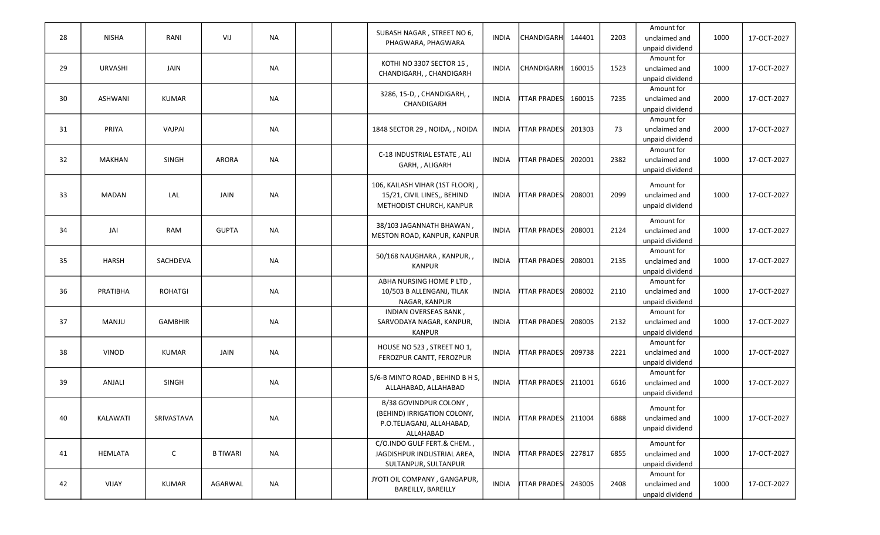| 28 | <b>NISHA</b>   | RANI           | VIJ             | <b>NA</b> |  | SUBASH NAGAR, STREET NO 6,                | <b>INDIA</b> | <b>CHANDIGARH</b>   | 144401 | 2203 | Amount for<br>unclaimed and      | 1000 | 17-OCT-2027 |
|----|----------------|----------------|-----------------|-----------|--|-------------------------------------------|--------------|---------------------|--------|------|----------------------------------|------|-------------|
|    |                |                |                 |           |  | PHAGWARA, PHAGWARA                        |              |                     |        |      | unpaid dividend                  |      |             |
|    |                |                |                 |           |  | KOTHI NO 3307 SECTOR 15,                  |              |                     |        |      | Amount for                       |      |             |
| 29 | <b>URVASHI</b> | JAIN           |                 | <b>NA</b> |  | CHANDIGARH, , CHANDIGARH                  | <b>INDIA</b> | <b>CHANDIGARH</b>   | 160015 | 1523 | unclaimed and                    | 1000 | 17-OCT-2027 |
|    |                |                |                 |           |  |                                           |              |                     |        |      | unpaid dividend                  |      |             |
|    |                |                |                 |           |  | 3286, 15-D, , CHANDIGARH, ,               |              |                     |        |      | Amount for                       |      |             |
| 30 | <b>ASHWANI</b> | <b>KUMAR</b>   |                 | <b>NA</b> |  | CHANDIGARH                                | <b>INDIA</b> | <b>ITTAR PRADES</b> | 160015 | 7235 | unclaimed and                    | 2000 | 17-OCT-2027 |
|    |                |                |                 |           |  |                                           |              |                     |        |      | unpaid dividend<br>Amount for    |      |             |
| 31 | PRIYA          | VAJPAI         |                 | <b>NA</b> |  | 1848 SECTOR 29, NOIDA,, NOIDA             | <b>INDIA</b> | ITTAR PRADES        | 201303 | 73   | unclaimed and                    | 2000 | 17-OCT-2027 |
|    |                |                |                 |           |  |                                           |              |                     |        |      | unpaid dividend                  |      |             |
|    |                |                |                 |           |  |                                           |              |                     |        |      | Amount for                       |      |             |
| 32 | <b>MAKHAN</b>  | SINGH          | <b>ARORA</b>    | <b>NA</b> |  | C-18 INDUSTRIAL ESTATE, ALI               | <b>INDIA</b> | <b>ITTAR PRADES</b> | 202001 | 2382 | unclaimed and                    | 1000 | 17-OCT-2027 |
|    |                |                |                 |           |  | GARH, , ALIGARH                           |              |                     |        |      | unpaid dividend                  |      |             |
|    |                |                |                 |           |  | 106, KAILASH VIHAR (1ST FLOOR),           |              |                     |        |      | Amount for                       |      |             |
| 33 | MADAN          | LAL            | JAIN            | <b>NA</b> |  | 15/21, CIVIL LINES,, BEHIND               | <b>INDIA</b> | <b>ITTAR PRADES</b> | 208001 | 2099 | unclaimed and                    | 1000 | 17-OCT-2027 |
|    |                |                |                 |           |  | METHODIST CHURCH, KANPUR                  |              |                     |        |      | unpaid dividend                  |      |             |
|    |                |                |                 |           |  |                                           |              |                     |        |      | Amount for                       |      |             |
| 34 | JAI            | <b>RAM</b>     | <b>GUPTA</b>    | <b>NA</b> |  | 38/103 JAGANNATH BHAWAN,                  | <b>INDIA</b> | ITTAR PRADES        | 208001 | 2124 | unclaimed and                    | 1000 | 17-OCT-2027 |
|    |                |                |                 |           |  | MESTON ROAD, KANPUR, KANPUR               |              |                     |        |      | unpaid dividend                  |      |             |
|    |                |                |                 |           |  |                                           |              |                     |        |      | Amount for                       |      |             |
| 35 | HARSH          | SACHDEVA       |                 | NA        |  | 50/168 NAUGHARA, KANPUR,,                 | <b>INDIA</b> | ITTAR PRADESI       | 208001 | 2135 | unclaimed and                    | 1000 | 17-OCT-2027 |
|    |                |                |                 |           |  | <b>KANPUR</b>                             |              |                     |        |      | unpaid dividend                  |      |             |
|    |                |                |                 |           |  | ABHA NURSING HOME P LTD,                  |              |                     |        |      | Amount for                       |      |             |
| 36 | PRATIBHA       | <b>ROHATGI</b> |                 | <b>NA</b> |  | 10/503 B ALLENGANJ, TILAK                 | <b>INDIA</b> | ITTAR PRADESI       | 208002 | 2110 | unclaimed and                    | 1000 | 17-OCT-2027 |
|    |                |                |                 |           |  | NAGAR, KANPUR                             |              |                     |        |      | unpaid dividend                  |      |             |
|    |                |                |                 |           |  | INDIAN OVERSEAS BANK,                     |              |                     |        |      | Amount for                       |      |             |
| 37 | MANJU          | <b>GAMBHIR</b> |                 | <b>NA</b> |  | SARVODAYA NAGAR, KANPUR,<br><b>KANPUR</b> | <b>INDIA</b> | <b>ITTAR PRADES</b> | 208005 | 2132 | unclaimed and<br>unpaid dividend | 1000 | 17-OCT-2027 |
|    |                |                |                 |           |  |                                           |              |                     |        |      | Amount for                       |      |             |
| 38 | VINOD          | <b>KUMAR</b>   | JAIN            | <b>NA</b> |  | HOUSE NO 523, STREET NO 1,                | <b>INDIA</b> | <b>ITTAR PRADES</b> | 209738 | 2221 | unclaimed and                    | 1000 | 17-OCT-2027 |
|    |                |                |                 |           |  | FEROZPUR CANTT, FEROZPUR                  |              |                     |        |      | unpaid dividend                  |      |             |
|    |                |                |                 |           |  | 5/6-B MINTO ROAD, BEHIND B H S,           |              |                     |        |      | Amount for                       |      |             |
| 39 | ANJALI         | <b>SINGH</b>   |                 | <b>NA</b> |  | ALLAHABAD, ALLAHABAD                      | <b>INDIA</b> | <b>ITTAR PRADES</b> | 211001 | 6616 | unclaimed and                    | 1000 | 17-OCT-2027 |
|    |                |                |                 |           |  |                                           |              |                     |        |      | unpaid dividend                  |      |             |
|    |                |                |                 |           |  | B/38 GOVINDPUR COLONY,                    |              |                     |        |      | Amount for                       |      |             |
| 40 | KALAWATI       | SRIVASTAVA     |                 | ΝA        |  | (BEHIND) IRRIGATION COLONY,               | INDIA        | ITTAR PRADES 211004 |        | 6888 | unclaimed and                    | 1000 | 17-OCT-2027 |
|    |                |                |                 |           |  | P.O.TELIAGANJ, ALLAHABAD,                 |              |                     |        |      | unpaid dividend                  |      |             |
|    |                |                |                 |           |  | ALLAHABAD<br>C/O.INDO GULF FERT.& CHEM.,  |              |                     |        |      | Amount for                       |      |             |
| 41 | HEMLATA        | $\mathsf C$    | <b>B TIWARI</b> | <b>NA</b> |  | JAGDISHPUR INDUSTRIAL AREA,               | <b>INDIA</b> | <b>ITTAR PRADES</b> | 227817 | 6855 | unclaimed and                    | 1000 | 17-OCT-2027 |
|    |                |                |                 |           |  | SULTANPUR, SULTANPUR                      |              |                     |        |      | unpaid dividend                  |      |             |
|    |                |                |                 |           |  |                                           |              |                     |        |      | Amount for                       |      |             |
| 42 | VIJAY          | KUMAR          | AGARWAL         | <b>NA</b> |  | JYOTI OIL COMPANY, GANGAPUR,              | <b>INDIA</b> | <b>ITTAR PRADES</b> | 243005 | 2408 | unclaimed and                    | 1000 | 17-OCT-2027 |
|    |                |                |                 |           |  | <b>BAREILLY, BAREILLY</b>                 |              |                     |        |      | unpaid dividend                  |      |             |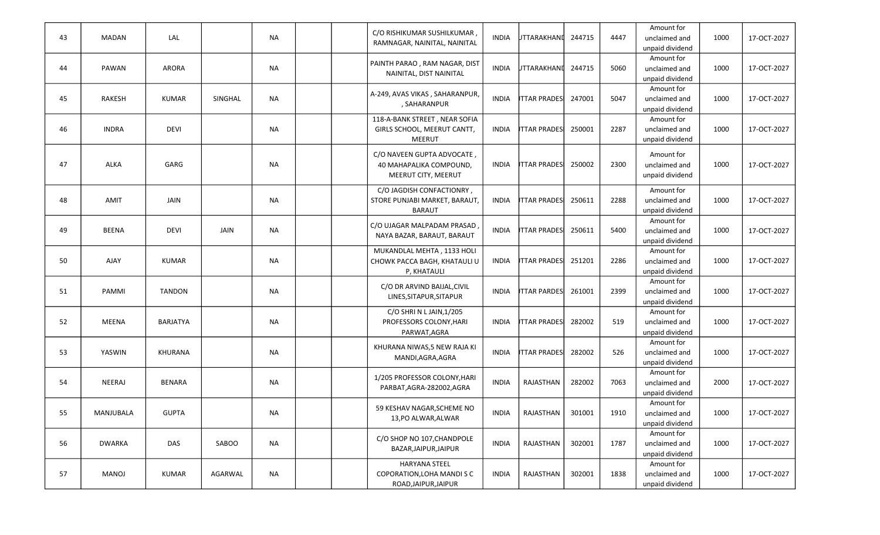| 43 | <b>MADAN</b>  | LAL             |         | <b>NA</b> |  | C/O RISHIKUMAR SUSHILKUMAR<br>RAMNAGAR, NAINITAL, NAINITAL                  | <b>INDIA</b> | <b>JTTARAKHAND</b>  | 244715 | 4447 | Amount for<br>unclaimed and<br>unpaid dividend | 1000 | 17-OCT-2027 |
|----|---------------|-----------------|---------|-----------|--|-----------------------------------------------------------------------------|--------------|---------------------|--------|------|------------------------------------------------|------|-------------|
| 44 | PAWAN         | ARORA           |         | <b>NA</b> |  | PAINTH PARAO, RAM NAGAR, DIST<br>NAINITAL, DIST NAINITAL                    | <b>INDIA</b> | <b>JTTARAKHAND</b>  | 244715 | 5060 | Amount for<br>unclaimed and<br>unpaid dividend | 1000 | 17-OCT-2027 |
| 45 | <b>RAKESH</b> | <b>KUMAR</b>    | SINGHAL | <b>NA</b> |  | A-249, AVAS VIKAS, SAHARANPUR,<br>, SAHARANPUR                              | <b>INDIA</b> | <b>ITTAR PRADES</b> | 247001 | 5047 | Amount for<br>unclaimed and<br>unpaid dividend | 1000 | 17-OCT-2027 |
| 46 | <b>INDRA</b>  | <b>DEVI</b>     |         | <b>NA</b> |  | 118-A-BANK STREET, NEAR SOFIA<br>GIRLS SCHOOL, MEERUT CANTT,<br>MEERUT      | <b>INDIA</b> | <b>ITTAR PRADES</b> | 250001 | 2287 | Amount for<br>unclaimed and<br>unpaid dividend | 1000 | 17-OCT-2027 |
| 47 | ALKA          | GARG            |         | <b>NA</b> |  | C/O NAVEEN GUPTA ADVOCATE<br>40 MAHAPALIKA COMPOUND,<br>MEERUT CITY, MEERUT | <b>INDIA</b> | <b>ITTAR PRADES</b> | 250002 | 2300 | Amount for<br>unclaimed and<br>unpaid dividend | 1000 | 17-OCT-2027 |
| 48 | AMIT          | JAIN            |         | <b>NA</b> |  | C/O JAGDISH CONFACTIONRY,<br>STORE PUNJABI MARKET, BARAUT,<br><b>BARAUT</b> | INDIA        | <b>ITTAR PRADES</b> | 250611 | 2288 | Amount for<br>unclaimed and<br>unpaid dividend | 1000 | 17-OCT-2027 |
| 49 | <b>BEENA</b>  | <b>DEVI</b>     | JAIN    | NA        |  | C/O UJAGAR MALPADAM PRASAD<br>NAYA BAZAR, BARAUT, BARAUT                    | <b>INDIA</b> | <b>ITTAR PRADES</b> | 250611 | 5400 | Amount for<br>unclaimed and<br>unpaid dividend | 1000 | 17-OCT-2027 |
| 50 | AJAY          | <b>KUMAR</b>    |         | NA        |  | MUKANDLAL MEHTA, 1133 HOLI<br>CHOWK PACCA BAGH, KHATAULI U<br>P, KHATAULI   | <b>INDIA</b> | <b>JTTAR PRADES</b> | 251201 | 2286 | Amount for<br>unclaimed and<br>unpaid dividend | 1000 | 17-OCT-2027 |
| 51 | PAMMI         | <b>TANDON</b>   |         | <b>NA</b> |  | C/O DR ARVIND BAIJAL, CIVIL<br>LINES, SITAPUR, SITAPUR                      | <b>INDIA</b> | <b>ITTAR PARDES</b> | 261001 | 2399 | Amount for<br>unclaimed and<br>unpaid dividend | 1000 | 17-OCT-2027 |
| 52 | <b>MEENA</b>  | <b>BARJATYA</b> |         | <b>NA</b> |  | C/O SHRIN LJAIN, 1/205<br>PROFESSORS COLONY, HARI<br>PARWAT, AGRA           | <b>INDIA</b> | <b>ITTAR PRADES</b> | 282002 | 519  | Amount for<br>unclaimed and<br>unpaid dividend | 1000 | 17-OCT-2027 |
| 53 | YASWIN        | KHURANA         |         | <b>NA</b> |  | KHURANA NIWAS,5 NEW RAJA KI<br>MANDI, AGRA, AGRA                            | <b>INDIA</b> | <b>ITTAR PRADES</b> | 282002 | 526  | Amount for<br>unclaimed and<br>unpaid dividend | 1000 | 17-OCT-2027 |
| 54 | NEERAJ        | <b>BENARA</b>   |         | <b>NA</b> |  | 1/205 PROFESSOR COLONY, HARI<br>PARBAT, AGRA-282002, AGRA                   | <b>INDIA</b> | RAJASTHAN           | 282002 | 7063 | Amount for<br>unclaimed and<br>unpaid dividend | 2000 | 17-OCT-2027 |
| 55 | MANJUBALA     | <b>GUPTA</b>    |         | <b>NA</b> |  | 59 KESHAV NAGAR, SCHEME NO<br>13,PO ALWAR, ALWAR                            | <b>INDIA</b> | RAJASTHAN           | 301001 | 1910 | Amount for<br>unclaimed and<br>unpaid dividend | 1000 | 17-OCT-2027 |
| 56 | <b>DWARKA</b> | DAS             | SABOO   | <b>NA</b> |  | C/O SHOP NO 107, CHANDPOLE<br>BAZAR, JAIPUR, JAIPUR                         | <b>INDIA</b> | RAJASTHAN           | 302001 | 1787 | Amount for<br>unclaimed and<br>unpaid dividend | 1000 | 17-OCT-2027 |
| 57 | <b>MANOJ</b>  | KUMAR           | AGARWAL | <b>NA</b> |  | <b>HARYANA STEEL</b><br>COPORATION, LOHA MANDI S C<br>ROAD, JAIPUR, JAIPUR  | <b>INDIA</b> | RAJASTHAN           | 302001 | 1838 | Amount for<br>unclaimed and<br>unpaid dividend | 1000 | 17-OCT-2027 |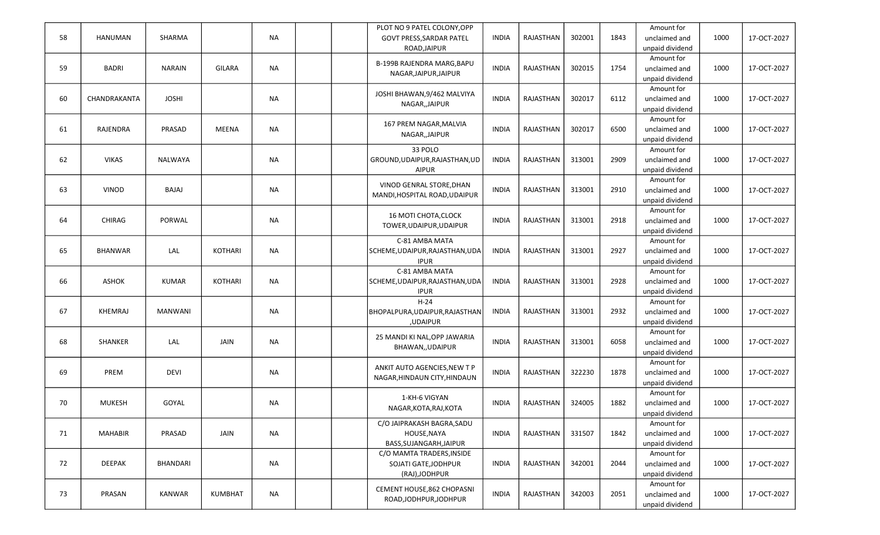|    |                |                 |                |           |  | PLOT NO 9 PATEL COLONY, OPP     |              |                  |        |      | Amount for      |      |             |
|----|----------------|-----------------|----------------|-----------|--|---------------------------------|--------------|------------------|--------|------|-----------------|------|-------------|
| 58 | <b>HANUMAN</b> | SHARMA          |                | <b>NA</b> |  | GOVT PRESS, SARDAR PATEL        | <b>INDIA</b> | RAJASTHAN        | 302001 | 1843 | unclaimed and   | 1000 | 17-OCT-2027 |
|    |                |                 |                |           |  | ROAD, JAIPUR                    |              |                  |        |      | unpaid dividend |      |             |
|    |                |                 |                |           |  |                                 |              |                  |        |      | Amount for      |      |             |
| 59 | <b>BADRI</b>   | <b>NARAIN</b>   | <b>GILARA</b>  | <b>NA</b> |  | B-199B RAJENDRA MARG, BAPU      | <b>INDIA</b> | RAJASTHAN        | 302015 | 1754 | unclaimed and   | 1000 | 17-OCT-2027 |
|    |                |                 |                |           |  | NAGAR, JAIPUR, JAIPUR           |              |                  |        |      | unpaid dividend |      |             |
|    |                |                 |                |           |  |                                 |              |                  |        |      |                 |      |             |
|    |                |                 |                |           |  | JOSHI BHAWAN, 9/462 MALVIYA     |              |                  |        |      | Amount for      |      |             |
| 60 | CHANDRAKANTA   | <b>JOSHI</b>    |                | <b>NA</b> |  | NAGAR,, JAIPUR                  | <b>INDIA</b> | RAJASTHAN        | 302017 | 6112 | unclaimed and   | 1000 | 17-OCT-2027 |
|    |                |                 |                |           |  |                                 |              |                  |        |      | unpaid dividend |      |             |
|    |                |                 |                |           |  | 167 PREM NAGAR, MALVIA          |              |                  |        |      | Amount for      |      |             |
| 61 | RAJENDRA       | PRASAD          | <b>MEENA</b>   | <b>NA</b> |  | NAGAR,, JAIPUR                  | <b>INDIA</b> | RAJASTHAN        | 302017 | 6500 | unclaimed and   | 1000 | 17-OCT-2027 |
|    |                |                 |                |           |  |                                 |              |                  |        |      | unpaid dividend |      |             |
|    |                |                 |                |           |  | 33 POLO                         |              |                  |        |      | Amount for      |      |             |
| 62 | <b>VIKAS</b>   | NALWAYA         |                | <b>NA</b> |  | GROUND, UDAIPUR, RAJASTHAN, UD  | <b>INDIA</b> | RAJASTHAN        | 313001 | 2909 | unclaimed and   | 1000 | 17-OCT-2027 |
|    |                |                 |                |           |  | <b>AIPUR</b>                    |              |                  |        |      | unpaid dividend |      |             |
|    |                |                 |                |           |  |                                 |              |                  |        |      | Amount for      |      |             |
| 63 | VINOD          | BAJAJ           |                | <b>NA</b> |  | VINOD GENRAL STORE, DHAN        | <b>INDIA</b> | RAJASTHAN        | 313001 | 2910 | unclaimed and   | 1000 | 17-OCT-2027 |
|    |                |                 |                |           |  | MANDI, HOSPITAL ROAD, UDAIPUR   |              |                  |        |      |                 |      |             |
|    |                |                 |                |           |  |                                 |              |                  |        |      | unpaid dividend |      |             |
|    |                |                 |                |           |  | 16 MOTI CHOTA, CLOCK            |              |                  |        |      | Amount for      |      |             |
| 64 | CHIRAG         | PORWAL          |                | <b>NA</b> |  | TOWER, UDAIPUR, UDAIPUR         | <b>INDIA</b> | RAJASTHAN        | 313001 | 2918 | unclaimed and   | 1000 | 17-OCT-2027 |
|    |                |                 |                |           |  |                                 |              |                  |        |      | unpaid dividend |      |             |
|    |                |                 |                |           |  | C-81 AMBA MATA                  |              |                  |        |      | Amount for      |      |             |
| 65 | <b>BHANWAR</b> | LAL             | <b>KOTHARI</b> | <b>NA</b> |  | SCHEME, UDAIPUR, RAJASTHAN, UDA | <b>INDIA</b> | <b>RAJASTHAN</b> | 313001 | 2927 | unclaimed and   | 1000 | 17-OCT-2027 |
|    |                |                 |                |           |  | <b>IPUR</b>                     |              |                  |        |      | unpaid dividend |      |             |
|    |                |                 |                |           |  | C-81 AMBA MATA                  |              |                  |        |      | Amount for      |      |             |
| 66 | <b>ASHOK</b>   | <b>KUMAR</b>    | <b>KOTHARI</b> | <b>NA</b> |  | SCHEME, UDAIPUR, RAJASTHAN, UDA | <b>INDIA</b> | RAJASTHAN        | 313001 | 2928 | unclaimed and   | 1000 | 17-OCT-2027 |
|    |                |                 |                |           |  | <b>IPUR</b>                     |              |                  |        |      | unpaid dividend |      |             |
|    |                |                 |                |           |  | $H-24$                          |              |                  |        |      | Amount for      |      |             |
| 67 | <b>KHEMRAJ</b> | <b>MANWANI</b>  |                | <b>NA</b> |  | BHOPALPURA, UDAIPUR, RAJASTHAN  | <b>INDIA</b> | RAJASTHAN        | 313001 | 2932 | unclaimed and   | 1000 | 17-OCT-2027 |
|    |                |                 |                |           |  |                                 |              |                  |        |      |                 |      |             |
|    |                |                 |                |           |  | ,UDAIPUR                        |              |                  |        |      | unpaid dividend |      |             |
|    |                |                 |                |           |  | 25 MANDI KI NAL, OPP JAWARIA    |              |                  |        |      | Amount for      |      |             |
| 68 | SHANKER        | LAL             | JAIN           | <b>NA</b> |  | BHAWAN,, UDAIPUR                | <b>INDIA</b> | RAJASTHAN        | 313001 | 6058 | unclaimed and   | 1000 | 17-OCT-2027 |
|    |                |                 |                |           |  |                                 |              |                  |        |      | unpaid dividend |      |             |
|    |                |                 |                |           |  | ANKIT AUTO AGENCIES, NEW TP     |              |                  |        |      | Amount for      |      |             |
| 69 | PREM           | <b>DEVI</b>     |                | <b>NA</b> |  | NAGAR, HINDAUN CITY, HINDAUN    | <b>INDIA</b> | RAJASTHAN        | 322230 | 1878 | unclaimed and   | 1000 | 17-OCT-2027 |
|    |                |                 |                |           |  |                                 |              |                  |        |      | unpaid dividend |      |             |
|    |                |                 |                |           |  |                                 |              |                  |        |      | Amount for      |      |             |
| 70 | <b>MUKESH</b>  | GOYAL           |                | <b>NA</b> |  | 1-KH-6 VIGYAN                   | <b>INDIA</b> | RAJASTHAN        | 324005 | 1882 | unclaimed and   | 1000 | 17-OCT-2027 |
|    |                |                 |                |           |  | NAGAR, KOTA, RAJ, KOTA          |              |                  |        |      | unpaid dividend |      |             |
|    |                |                 |                |           |  | C/O JAIPRAKASH BAGRA, SADU      |              |                  |        |      | Amount for      |      |             |
| 71 | <b>MAHABIR</b> | PRASAD          | JAIN           | <b>NA</b> |  | HOUSE, NAYA                     | <b>INDIA</b> | RAJASTHAN        | 331507 | 1842 | unclaimed and   | 1000 | 17-OCT-2027 |
|    |                |                 |                |           |  |                                 |              |                  |        |      |                 |      |             |
|    |                |                 |                |           |  | BASS, SUJANGARH, JAIPUR         |              |                  |        |      | unpaid dividend |      |             |
|    |                |                 |                |           |  | C/O MAMTA TRADERS, INSIDE       |              |                  |        |      | Amount for      |      |             |
| 72 | DEEPAK         | <b>BHANDARI</b> |                | <b>NA</b> |  | SOJATI GATE, JODHPUR            | <b>INDIA</b> | RAJASTHAN        | 342001 | 2044 | unclaimed and   | 1000 | 17-OCT-2027 |
|    |                |                 |                |           |  | (RAJ), JODHPUR                  |              |                  |        |      | unpaid dividend |      |             |
|    |                |                 |                |           |  | CEMENT HOUSE, 862 CHOPASNI      |              |                  |        |      | Amount for      |      |             |
| 73 | PRASAN         | <b>KANWAR</b>   | <b>KUMBHAT</b> | <b>NA</b> |  | ROAD, JODHPUR, JODHPUR          | <b>INDIA</b> | RAJASTHAN        | 342003 | 2051 | unclaimed and   | 1000 | 17-OCT-2027 |
|    |                |                 |                |           |  |                                 |              |                  |        |      | unpaid dividend |      |             |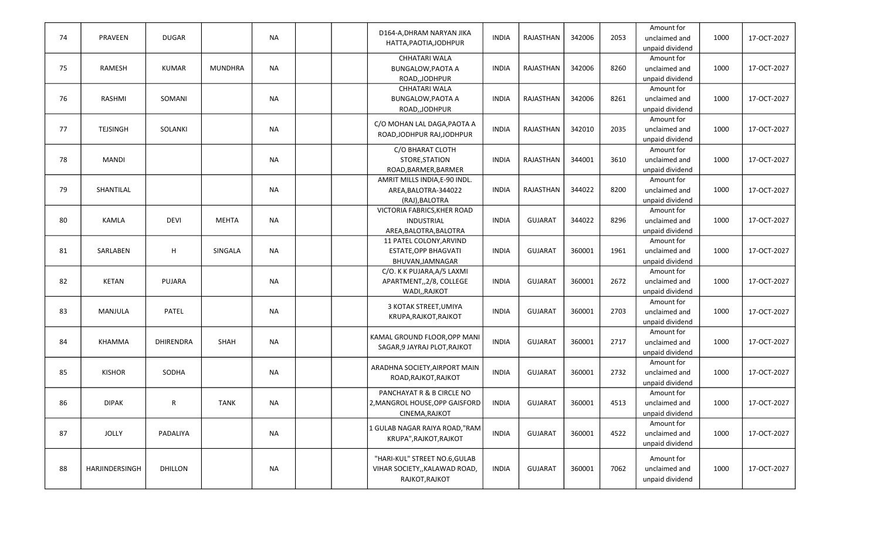|    |                 |                  |              |           | D164-A, DHRAM NARYAN JIKA      |              |                |        |      | Amount for                    |      |             |
|----|-----------------|------------------|--------------|-----------|--------------------------------|--------------|----------------|--------|------|-------------------------------|------|-------------|
| 74 | PRAVEEN         | <b>DUGAR</b>     |              | <b>NA</b> | HATTA, PAOTIA, JODHPUR         | <b>INDIA</b> | RAJASTHAN      | 342006 | 2053 | unclaimed and                 | 1000 | 17-OCT-2027 |
|    |                 |                  |              |           |                                |              |                |        |      | unpaid dividend               |      |             |
|    |                 |                  |              |           | CHHATARI WALA                  |              |                |        |      | Amount for                    |      |             |
| 75 | RAMESH          | <b>KUMAR</b>     | MUNDHRA      | <b>NA</b> | <b>BUNGALOW, PAOTA A</b>       | <b>INDIA</b> | RAJASTHAN      | 342006 | 8260 | unclaimed and                 | 1000 | 17-OCT-2027 |
|    |                 |                  |              |           | ROAD, JODHPUR                  |              |                |        |      | unpaid dividend               |      |             |
|    |                 |                  |              |           | CHHATARI WALA                  |              |                |        |      | Amount for                    |      |             |
| 76 | RASHMI          | SOMANI           |              | NA        | <b>BUNGALOW, PAOTA A</b>       | <b>INDIA</b> | RAJASTHAN      | 342006 | 8261 | unclaimed and                 | 1000 | 17-OCT-2027 |
|    |                 |                  |              |           | ROAD, JODHPUR                  |              |                |        |      | unpaid dividend               |      |             |
|    |                 |                  |              |           | C/O MOHAN LAL DAGA, PAOTA A    |              |                |        |      | Amount for                    |      |             |
| 77 | <b>TEJSINGH</b> | SOLANKI          |              | <b>NA</b> | ROAD, JODHPUR RAJ, JODHPUR     | <b>INDIA</b> | RAJASTHAN      | 342010 | 2035 | unclaimed and                 | 1000 | 17-OCT-2027 |
|    |                 |                  |              |           |                                |              |                |        |      | unpaid dividend               |      |             |
|    |                 |                  |              |           | C/O BHARAT CLOTH               |              |                |        |      | Amount for                    |      |             |
| 78 | <b>MANDI</b>    |                  |              | <b>NA</b> | STORE, STATION                 | <b>INDIA</b> | RAJASTHAN      | 344001 | 3610 | unclaimed and                 | 1000 | 17-OCT-2027 |
|    |                 |                  |              |           | ROAD, BARMER, BARMER           |              |                |        |      | unpaid dividend               |      |             |
|    |                 |                  |              |           | AMRIT MILLS INDIA, E-90 INDL.  |              |                |        |      | Amount for                    |      |             |
| 79 | SHANTILAL       |                  |              | <b>NA</b> | AREA, BALOTRA-344022           | INDIA        | RAJASTHAN      | 344022 | 8200 | unclaimed and                 | 1000 | 17-OCT-2027 |
|    |                 |                  |              |           | (RAJ), BALOTRA                 |              |                |        |      | unpaid dividend               |      |             |
|    |                 |                  |              |           | VICTORIA FABRICS, KHER ROAD    |              |                |        |      | Amount for                    |      |             |
| 80 | <b>KAMLA</b>    | <b>DEVI</b>      | <b>MEHTA</b> | <b>NA</b> | INDUSTRIAL                     | <b>INDIA</b> | <b>GUJARAT</b> | 344022 | 8296 | unclaimed and                 | 1000 | 17-OCT-2027 |
|    |                 |                  |              |           | AREA, BALOTRA, BALOTRA         |              |                |        |      | unpaid dividend               |      |             |
|    |                 |                  |              |           | 11 PATEL COLONY, ARVIND        |              |                |        |      | Amount for                    |      |             |
| 81 | SARLABEN        | H                | SINGALA      | <b>NA</b> | ESTATE, OPP BHAGVATI           | <b>INDIA</b> | <b>GUJARAT</b> | 360001 | 1961 | unclaimed and                 | 1000 | 17-OCT-2027 |
|    |                 |                  |              |           | BHUVAN, JAMNAGAR               |              |                |        |      | unpaid dividend               |      |             |
| 82 | <b>KETAN</b>    | PUJARA           |              | <b>NA</b> | C/O. K K PUJARA, A/5 LAXMI     | <b>INDIA</b> | <b>GUJARAT</b> | 360001 | 2672 | Amount for                    | 1000 | 17-OCT-2027 |
|    |                 |                  |              |           | APARTMENT,, 2/8, COLLEGE       |              |                |        |      | unclaimed and                 |      |             |
|    |                 |                  |              |           | WADI,, RAJKOT                  |              |                |        |      | unpaid dividend<br>Amount for |      |             |
| 83 | MANJULA         | <b>PATEL</b>     |              | <b>NA</b> | 3 KOTAK STREET, UMIYA          | <b>INDIA</b> | <b>GUJARAT</b> | 360001 | 2703 | unclaimed and                 | 1000 | 17-OCT-2027 |
|    |                 |                  |              |           | KRUPA, RAJKOT, RAJKOT          |              |                |        |      | unpaid dividend               |      |             |
|    |                 |                  |              |           |                                |              |                |        |      | Amount for                    |      |             |
| 84 | <b>KHAMMA</b>   | <b>DHIRENDRA</b> | SHAH         | <b>NA</b> | KAMAL GROUND FLOOR, OPP MANI   | <b>INDIA</b> | <b>GUJARAT</b> | 360001 | 2717 | unclaimed and                 | 1000 | 17-OCT-2027 |
|    |                 |                  |              |           | SAGAR, 9 JAYRAJ PLOT, RAJKOT   |              |                |        |      | unpaid dividend               |      |             |
|    |                 |                  |              |           |                                |              |                |        |      | Amount for                    |      |             |
| 85 | <b>KISHOR</b>   | SODHA            |              | <b>NA</b> | ARADHNA SOCIETY, AIRPORT MAIN  | <b>INDIA</b> | <b>GUJARAT</b> | 360001 | 2732 | unclaimed and                 | 1000 | 17-OCT-2027 |
|    |                 |                  |              |           | ROAD, RAJKOT, RAJKOT           |              |                |        |      | unpaid dividend               |      |             |
|    |                 |                  |              |           | PANCHAYAT R & B CIRCLE NO      |              |                |        |      | Amount for                    |      |             |
| 86 | <b>DIPAK</b>    | R                | <b>TANK</b>  | NA        | 2, MANGROL HOUSE, OPP GAISFORD | <b>INDIA</b> | <b>GUJARAT</b> | 360001 | 4513 | unclaimed and                 | 1000 | 17-OCT-2027 |
|    |                 |                  |              |           | CINEMA, RAJKOT                 |              |                |        |      | unpaid dividend               |      |             |
|    |                 |                  |              |           |                                |              |                |        |      | Amount for                    |      |             |
| 87 | <b>JOLLY</b>    | PADALIYA         |              | <b>NA</b> | 1 GULAB NAGAR RAIYA ROAD, "RAM | <b>INDIA</b> | <b>GUJARAT</b> | 360001 | 4522 | unclaimed and                 | 1000 | 17-OCT-2027 |
|    |                 |                  |              |           | KRUPA", RAJKOT, RAJKOT         |              |                |        |      | unpaid dividend               |      |             |
|    |                 |                  |              |           |                                |              |                |        |      |                               |      |             |
|    |                 |                  |              |           | "HARI-KUL" STREET NO.6, GULAB  |              |                |        |      | Amount for                    |      |             |
| 88 | HARJINDERSINGH  | DHILLON          |              | <b>NA</b> | VIHAR SOCIETY,, KALAWAD ROAD,  | <b>INDIA</b> | <b>GUJARAT</b> | 360001 | 7062 | unclaimed and                 | 1000 | 17-OCT-2027 |
|    |                 |                  |              |           | RAJKOT, RAJKOT                 |              |                |        |      | unpaid dividend               |      |             |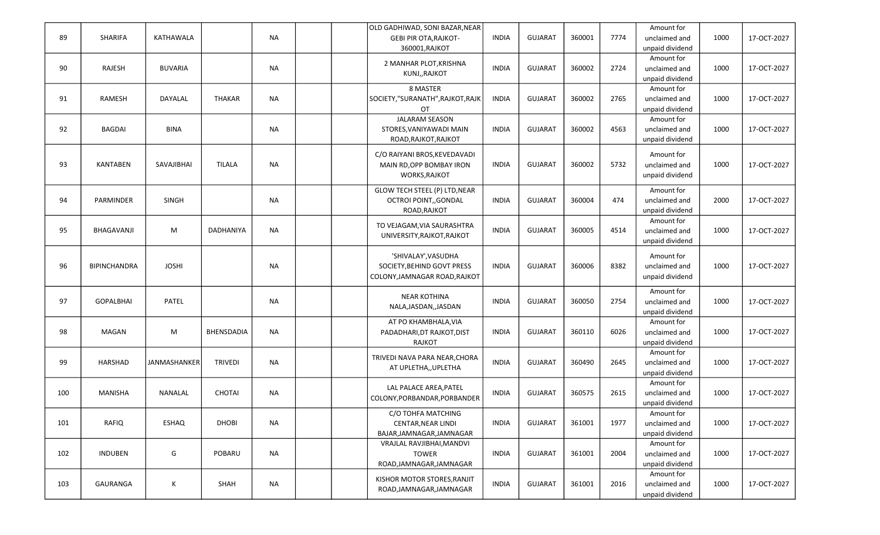| 89  | SHARIFA             | KATHAWALA      |                   | <b>NA</b> | OLD GADHIWAD, SONI BAZAR, NEAR<br><b>GEBI PIR OTA, RAJKOT-</b><br>360001, RAJKOT   | <b>INDIA</b> | <b>GUJARAT</b> | 360001 | 7774 | Amount for<br>unclaimed and<br>unpaid dividend | 1000 | 17-OCT-2027 |
|-----|---------------------|----------------|-------------------|-----------|------------------------------------------------------------------------------------|--------------|----------------|--------|------|------------------------------------------------|------|-------------|
| 90  | RAJESH              | <b>BUVARIA</b> |                   | <b>NA</b> | 2 MANHAR PLOT, KRISHNA<br>KUNJ,, RAJKOT                                            | <b>INDIA</b> | <b>GUJARAT</b> | 360002 | 2724 | Amount for<br>unclaimed and<br>unpaid dividend | 1000 | 17-OCT-2027 |
| 91  | RAMESH              | DAYALAL        | <b>THAKAR</b>     | NA        | 8 MASTER<br>SOCIETY,"SURANATH",RAJKOT,RAJK<br>OT                                   | <b>INDIA</b> | <b>GUJARAT</b> | 360002 | 2765 | Amount for<br>unclaimed and<br>unpaid dividend | 1000 | 17-OCT-2027 |
| 92  | <b>BAGDAI</b>       | <b>BINA</b>    |                   | <b>NA</b> | <b>JALARAM SEASON</b><br>STORES, VANIYAWADI MAIN<br>ROAD, RAJKOT, RAJKOT           | <b>INDIA</b> | <b>GUJARAT</b> | 360002 | 4563 | Amount for<br>unclaimed and<br>unpaid dividend | 1000 | 17-OCT-2027 |
| 93  | <b>KANTABEN</b>     | SAVAJIBHAI     | <b>TILALA</b>     | <b>NA</b> | C/O RAIYANI BROS, KEVEDAVADI<br>MAIN RD, OPP BOMBAY IRON<br><b>WORKS, RAJKOT</b>   | <b>INDIA</b> | <b>GUJARAT</b> | 360002 | 5732 | Amount for<br>unclaimed and<br>unpaid dividend | 1000 | 17-OCT-2027 |
| 94  | PARMINDER           | <b>SINGH</b>   |                   | <b>NA</b> | <b>GLOW TECH STEEL (P) LTD, NEAR</b><br>OCTROI POINT,, GONDAL<br>ROAD, RAJKOT      | <b>INDIA</b> | <b>GUJARAT</b> | 360004 | 474  | Amount for<br>unclaimed and<br>unpaid dividend | 2000 | 17-OCT-2027 |
| 95  | BHAGAVANJI          | M              | <b>DADHANIYA</b>  | <b>NA</b> | TO VEJAGAM, VIA SAURASHTRA<br>UNIVERSITY, RAJKOT, RAJKOT                           | <b>INDIA</b> | <b>GUJARAT</b> | 360005 | 4514 | Amount for<br>unclaimed and<br>unpaid dividend | 1000 | 17-OCT-2027 |
| 96  | <b>BIPINCHANDRA</b> | <b>JOSHI</b>   |                   | <b>NA</b> | 'SHIVALAY', VASUDHA<br>SOCIETY, BEHIND GOVT PRESS<br>COLONY, JAMNAGAR ROAD, RAJKOT | <b>INDIA</b> | <b>GUJARAT</b> | 360006 | 8382 | Amount for<br>unclaimed and<br>unpaid dividend | 1000 | 17-OCT-2027 |
| 97  | <b>GOPALBHAI</b>    | PATEL          |                   | <b>NA</b> | <b>NEAR KOTHINA</b><br>NALA, JASDAN, , JASDAN                                      | <b>INDIA</b> | <b>GUJARAT</b> | 360050 | 2754 | Amount for<br>unclaimed and<br>unpaid dividend | 1000 | 17-OCT-2027 |
| 98  | <b>MAGAN</b>        | M              | <b>BHENSDADIA</b> | <b>NA</b> | AT PO KHAMBHALA, VIA<br>PADADHARI, DT RAJKOT, DIST<br>RAJKOT                       | <b>INDIA</b> | <b>GUJARAT</b> | 360110 | 6026 | Amount for<br>unclaimed and<br>unpaid dividend | 1000 | 17-OCT-2027 |
| 99  | HARSHAD             | JANMASHANKER   | <b>TRIVEDI</b>    | <b>NA</b> | TRIVEDI NAVA PARA NEAR, CHORA<br>AT UPLETHA,, UPLETHA                              | <b>INDIA</b> | <b>GUJARAT</b> | 360490 | 2645 | Amount for<br>unclaimed and<br>unpaid dividend | 1000 | 17-OCT-2027 |
| 100 | MANISHA             | <b>NANALAL</b> | <b>CHOTAI</b>     | <b>NA</b> | LAL PALACE AREA, PATEL<br>COLONY, PORBANDAR, PORBANDER                             | <b>INDIA</b> | <b>GUJARAT</b> | 360575 | 2615 | Amount for<br>unclaimed and<br>unpaid dividend | 1000 | 17-OCT-2027 |
| 101 | RAFIQ               | <b>ESHAQ</b>   | <b>DHOBI</b>      | <b>NA</b> | C/O TOHFA MATCHING<br>CENTAR, NEAR LINDI<br>BAJAR, JAMNAGAR, JAMNAGAR              | <b>INDIA</b> | <b>GUJARAT</b> | 361001 | 1977 | Amount for<br>unclaimed and<br>unpaid dividend | 1000 | 17-OCT-2027 |
| 102 | <b>INDUBEN</b>      | G              | POBARU            | <b>NA</b> | VRAJLAL RAVJIBHAI, MANDVI<br><b>TOWER</b><br>ROAD, JAMNAGAR, JAMNAGAR              | <b>INDIA</b> | <b>GUJARAT</b> | 361001 | 2004 | Amount for<br>unclaimed and<br>unpaid dividend | 1000 | 17-OCT-2027 |
| 103 | GAURANGA            | $\mathsf K$    | SHAH              | <b>NA</b> | KISHOR MOTOR STORES, RANJIT<br>ROAD, JAMNAGAR, JAMNAGAR                            | <b>INDIA</b> | GUJARAT        | 361001 | 2016 | Amount for<br>unclaimed and<br>unpaid dividend | 1000 | 17-OCT-2027 |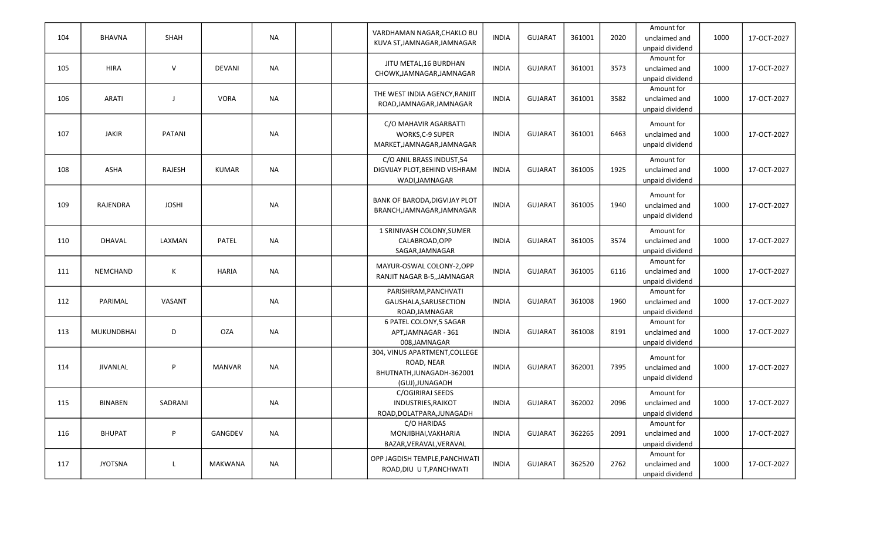| 104 | <b>BHAVNA</b>     | SHAH          |                | <b>NA</b> | VARDHAMAN NAGAR, CHAKLO BU<br>KUVA ST, JAMNAGAR, JAMNAGAR                                  | <b>INDIA</b> | <b>GUJARAT</b> | 361001 | 2020 | Amount for<br>unclaimed and<br>unpaid dividend | 1000 | 17-OCT-2027 |
|-----|-------------------|---------------|----------------|-----------|--------------------------------------------------------------------------------------------|--------------|----------------|--------|------|------------------------------------------------|------|-------------|
| 105 | <b>HIRA</b>       | $\vee$        | <b>DEVANI</b>  | <b>NA</b> | JITU METAL, 16 BURDHAN<br>CHOWK, JAMNAGAR, JAMNAGAR                                        | <b>INDIA</b> | <b>GUJARAT</b> | 361001 | 3573 | Amount for<br>unclaimed and<br>unpaid dividend | 1000 | 17-OCT-2027 |
| 106 | <b>ARATI</b>      | $\mathsf{J}$  | <b>VORA</b>    | <b>NA</b> | THE WEST INDIA AGENCY, RANJIT<br>ROAD, JAMNAGAR, JAMNAGAR                                  | <b>INDIA</b> | <b>GUJARAT</b> | 361001 | 3582 | Amount for<br>unclaimed and<br>unpaid dividend | 1000 | 17-OCT-2027 |
| 107 | <b>JAKIR</b>      | <b>PATANI</b> |                | <b>NA</b> | C/O MAHAVIR AGARBATTI<br>WORKS, C-9 SUPER<br>MARKET, JAMNAGAR, JAMNAGAR                    | <b>INDIA</b> | <b>GUJARAT</b> | 361001 | 6463 | Amount for<br>unclaimed and<br>unpaid dividend | 1000 | 17-OCT-2027 |
| 108 | <b>ASHA</b>       | RAJESH        | <b>KUMAR</b>   | <b>NA</b> | C/O ANIL BRASS INDUST,54<br>DIGVIJAY PLOT, BEHIND VISHRAM<br>WADI,JAMNAGAR                 | <b>INDIA</b> | <b>GUJARAT</b> | 361005 | 1925 | Amount for<br>unclaimed and<br>unpaid dividend | 1000 | 17-OCT-2027 |
| 109 | RAJENDRA          | <b>JOSHI</b>  |                | <b>NA</b> | <b>BANK OF BARODA, DIGVIJAY PLOT</b><br>BRANCH, JAMNAGAR, JAMNAGAR                         | <b>INDIA</b> | <b>GUJARAT</b> | 361005 | 1940 | Amount for<br>unclaimed and<br>unpaid dividend | 1000 | 17-OCT-2027 |
| 110 | DHAVAL            | LAXMAN        | PATEL          | <b>NA</b> | 1 SRINIVASH COLONY, SUMER<br>CALABROAD, OPP<br>SAGAR, JAMNAGAR                             | <b>INDIA</b> | <b>GUJARAT</b> | 361005 | 3574 | Amount for<br>unclaimed and<br>unpaid dividend | 1000 | 17-OCT-2027 |
| 111 | NEMCHAND          | К             | <b>HARIA</b>   | <b>NA</b> | MAYUR-OSWAL COLONY-2,OPP<br>RANJIT NAGAR B-5,, JAMNAGAR                                    | <b>INDIA</b> | <b>GUJARAT</b> | 361005 | 6116 | Amount for<br>unclaimed and<br>unpaid dividend | 1000 | 17-OCT-2027 |
| 112 | PARIMAL           | VASANT        |                | <b>NA</b> | PARISHRAM, PANCHVATI<br>GAUSHALA, SARUSECTION<br>ROAD, JAMNAGAR                            | <b>INDIA</b> | <b>GUJARAT</b> | 361008 | 1960 | Amount for<br>unclaimed and<br>unpaid dividend | 1000 | 17-OCT-2027 |
| 113 | <b>MUKUNDBHAI</b> | D             | <b>OZA</b>     | <b>NA</b> | 6 PATEL COLONY,5 SAGAR<br>APT, JAMNAGAR - 361<br>008,JAMNAGAR                              | <b>INDIA</b> | <b>GUJARAT</b> | 361008 | 8191 | Amount for<br>unclaimed and<br>unpaid dividend | 1000 | 17-OCT-2027 |
| 114 | <b>JIVANLAL</b>   | P             | <b>MANVAR</b>  | <b>NA</b> | 304, VINUS APARTMENT, COLLEGE<br>ROAD, NEAR<br>BHUTNATH, JUNAGADH-362001<br>(GUJ),JUNAGADH | <b>INDIA</b> | <b>GUJARAT</b> | 362001 | 7395 | Amount for<br>unclaimed and<br>unpaid dividend | 1000 | 17-OCT-2027 |
| 115 | <b>BINABEN</b>    | SADRANI       |                | <b>NA</b> | C/OGIRIRAJ SEEDS<br><b>INDUSTRIES, RAJKOT</b><br>ROAD, DOLATPARA, JUNAGADH                 | <b>INDIA</b> | <b>GUJARAT</b> | 362002 | 2096 | Amount for<br>unclaimed and<br>unpaid dividend | 1000 | 17-OCT-2027 |
| 116 | <b>BHUPAT</b>     | P             | GANGDEV        | NA        | C/O HARIDAS<br>MONJIBHAI, VAKHARIA<br>BAZAR, VERAVAL, VERAVAL                              | <b>INDIA</b> | <b>GUJARAT</b> | 362265 | 2091 | Amount for<br>unclaimed and<br>unpaid dividend | 1000 | 17-OCT-2027 |
| 117 | <b>JYOTSNA</b>    | L             | <b>MAKWANA</b> | <b>NA</b> | OPP JAGDISH TEMPLE, PANCHWATI<br>ROAD, DIU U T, PANCHWATI                                  | <b>INDIA</b> | <b>GUJARAT</b> | 362520 | 2762 | Amount for<br>unclaimed and<br>unpaid dividend | 1000 | 17-OCT-2027 |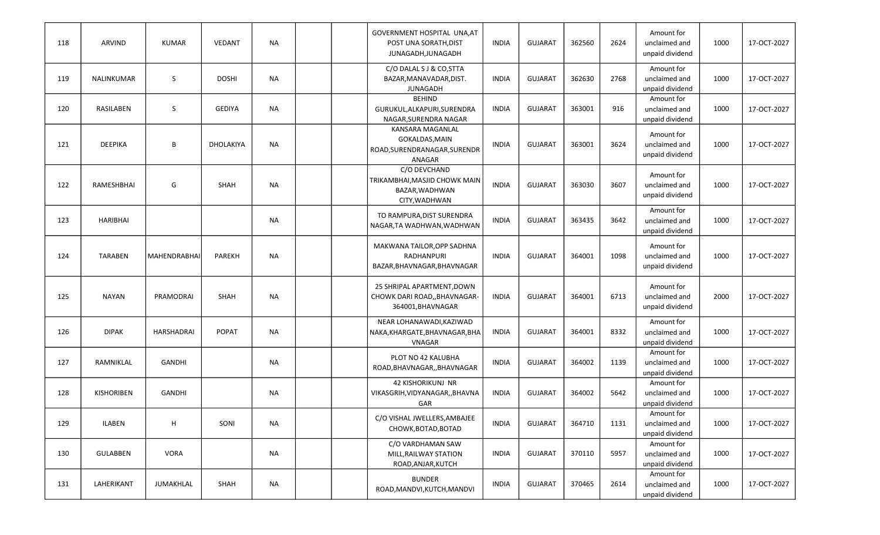| 118 | ARVIND            | <b>KUMAR</b>        | <b>VEDANT</b> | NA        |  | GOVERNMENT HOSPITAL UNA, AT<br>POST UNA SORATH, DIST<br>JUNAGADH, JUNAGADH          | <b>INDIA</b> | <b>GUJARAT</b> | 362560 | 2624 | Amount for<br>unclaimed and<br>unpaid dividend | 1000 | 17-OCT-2027 |
|-----|-------------------|---------------------|---------------|-----------|--|-------------------------------------------------------------------------------------|--------------|----------------|--------|------|------------------------------------------------|------|-------------|
| 119 | NALINKUMAR        | S                   | <b>DOSHI</b>  | NA        |  | C/O DALAL S J & CO, STTA<br>BAZAR.MANAVADAR.DIST.<br><b>JUNAGADH</b>                | <b>INDIA</b> | <b>GUJARAT</b> | 362630 | 2768 | Amount for<br>unclaimed and<br>unpaid dividend | 1000 | 17-OCT-2027 |
| 120 | RASILABEN         | S                   | <b>GEDIYA</b> | <b>NA</b> |  | <b>BEHIND</b><br>GURUKUL, ALKAPURI, SURENDRA<br>NAGAR, SURENDRA NAGAR               | <b>INDIA</b> | <b>GUJARAT</b> | 363001 | 916  | Amount for<br>unclaimed and<br>unpaid dividend | 1000 | 17-OCT-2027 |
| 121 | <b>DEEPIKA</b>    | B                   | DHOLAKIYA     | <b>NA</b> |  | <b>KANSARA MAGANLAL</b><br>GOKALDAS, MAIN<br>ROAD, SURENDRANAGAR, SURENDR<br>ANAGAR | <b>INDIA</b> | <b>GUJARAT</b> | 363001 | 3624 | Amount for<br>unclaimed and<br>unpaid dividend | 1000 | 17-OCT-2027 |
| 122 | RAMESHBHAI        | G                   | <b>SHAH</b>   | <b>NA</b> |  | C/O DEVCHAND<br>TRIKAMBHAI, MASJID CHOWK MAIN<br>BAZAR, WADHWAN<br>CITY.WADHWAN     | <b>INDIA</b> | <b>GUJARAT</b> | 363030 | 3607 | Amount for<br>unclaimed and<br>unpaid dividend | 1000 | 17-OCT-2027 |
| 123 | <b>HARIBHAI</b>   |                     |               | <b>NA</b> |  | TO RAMPURA, DIST SURENDRA<br>NAGAR, TA WADHWAN, WADHWAN                             | <b>INDIA</b> | <b>GUJARAT</b> | 363435 | 3642 | Amount for<br>unclaimed and<br>unpaid dividend | 1000 | 17-OCT-2027 |
| 124 | <b>TARABEN</b>    | <b>MAHENDRABHAI</b> | <b>PAREKH</b> | <b>NA</b> |  | MAKWANA TAILOR, OPP SADHNA<br>RADHANPURI<br>BAZAR, BHAVNAGAR, BHAVNAGAR             | <b>INDIA</b> | <b>GUJARAT</b> | 364001 | 1098 | Amount for<br>unclaimed and<br>unpaid dividend | 1000 | 17-OCT-2027 |
| 125 | <b>NAYAN</b>      | PRAMODRAI           | SHAH          | <b>NA</b> |  | 25 SHRIPAL APARTMENT, DOWN<br>CHOWK DARI ROAD,, BHAVNAGAR-<br>364001, BHAVNAGAR     | <b>INDIA</b> | <b>GUJARAT</b> | 364001 | 6713 | Amount for<br>unclaimed and<br>unpaid dividend | 2000 | 17-OCT-2027 |
| 126 | <b>DIPAK</b>      | <b>HARSHADRAI</b>   | <b>POPAT</b>  | <b>NA</b> |  | NEAR LOHANAWADI, KAZIWAD<br>NAKA, KHARGATE, BHAVNAGAR, BHA<br><b>VNAGAR</b>         | <b>INDIA</b> | <b>GUJARAT</b> | 364001 | 8332 | Amount for<br>unclaimed and<br>unpaid dividend | 1000 | 17-OCT-2027 |
| 127 | RAMNIKLAL         | <b>GANDHI</b>       |               | NA        |  | PLOT NO 42 KALUBHA<br>ROAD, BHAVNAGAR, , BHAVNAGAR                                  | <b>INDIA</b> | <b>GUJARAT</b> | 364002 | 1139 | Amount for<br>unclaimed and<br>unpaid dividend | 1000 | 17-OCT-2027 |
| 128 | <b>KISHORIBEN</b> | <b>GANDHI</b>       |               | NA        |  | <b>42 KISHORIKUNJ NR</b><br>VIKASGRIH, VIDYANAGAR, , BHAVNA<br>GAR                  | <b>INDIA</b> | <b>GUJARAT</b> | 364002 | 5642 | Amount for<br>unclaimed and<br>unpaid dividend | 1000 | 17-OCT-2027 |
| 129 | <b>ILABEN</b>     | н                   | SONI          | <b>NA</b> |  | C/O VISHAL JWELLERS, AMBAJEE<br>CHOWK, BOTAD, BOTAD                                 | <b>INDIA</b> | <b>GUJARAT</b> | 364710 | 1131 | Amount for<br>unclaimed and<br>unpaid dividend | 1000 | 17-OCT-2027 |
| 130 | <b>GULABBEN</b>   | <b>VORA</b>         |               | NA        |  | C/O VARDHAMAN SAW<br>MILL, RAILWAY STATION<br>ROAD, ANJAR, KUTCH                    | <b>INDIA</b> | <b>GUJARAT</b> | 370110 | 5957 | Amount for<br>unclaimed and<br>unpaid dividend | 1000 | 17-OCT-2027 |
| 131 | LAHERIKANT        | JUMAKHLAL           | SHAH          | NA        |  | <b>BUNDER</b><br>ROAD, MANDVI, KUTCH, MANDVI                                        | <b>INDIA</b> | <b>GUJARAT</b> | 370465 | 2614 | Amount for<br>unclaimed and<br>unpaid dividend | 1000 | 17-OCT-2027 |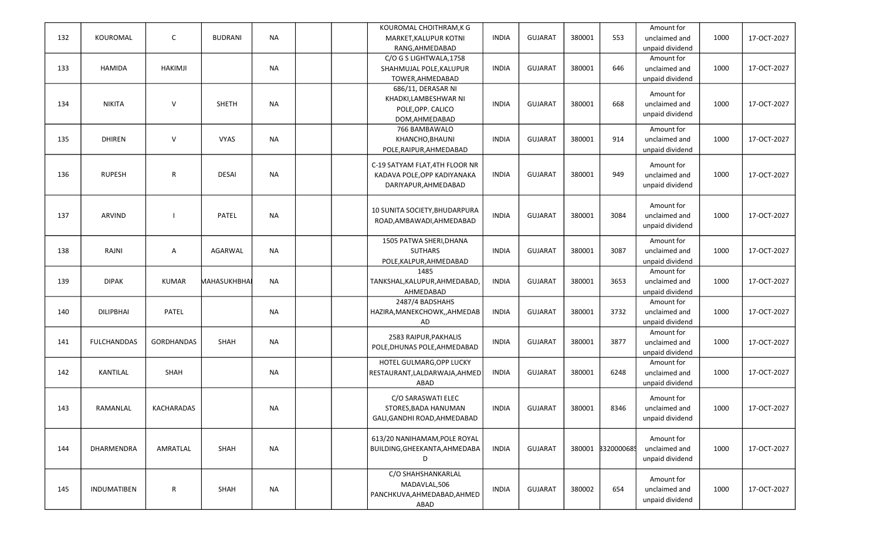| 132 | KOUROMAL           | C                 | <b>BUDRANI</b> | <b>NA</b> |  | KOUROMAL CHOITHRAM, K G<br>MARKET, KALUPUR KOTNI<br>RANG, AHMEDABAD                   | <b>INDIA</b> | <b>GUJARAT</b> | 380001 | 553               | Amount for<br>unclaimed and<br>unpaid dividend | 1000 | 17-OCT-2027 |
|-----|--------------------|-------------------|----------------|-----------|--|---------------------------------------------------------------------------------------|--------------|----------------|--------|-------------------|------------------------------------------------|------|-------------|
| 133 | <b>HAMIDA</b>      | <b>HAKIMJI</b>    |                | NA        |  | C/O G S LIGHTWALA, 1758<br>SHAHMUJAL POLE, KALUPUR<br>TOWER, AHMEDABAD                | <b>INDIA</b> | <b>GUJARAT</b> | 380001 | 646               | Amount for<br>unclaimed and<br>unpaid dividend | 1000 | 17-OCT-2027 |
| 134 | <b>NIKITA</b>      | $\vee$            | <b>SHETH</b>   | NA        |  | 686/11, DERASAR NI<br>KHADKI,LAMBESHWAR NI<br>POLE, OPP. CALICO<br>DOM, AHMEDABAD     | <b>INDIA</b> | <b>GUJARAT</b> | 380001 | 668               | Amount for<br>unclaimed and<br>unpaid dividend | 1000 | 17-OCT-2027 |
| 135 | <b>DHIREN</b>      | $\vee$            | <b>VYAS</b>    | <b>NA</b> |  | 766 BAMBAWALO<br>KHANCHO, BHAUNI<br>POLE, RAIPUR, AHMEDABAD                           | <b>INDIA</b> | <b>GUJARAT</b> | 380001 | 914               | Amount for<br>unclaimed and<br>unpaid dividend | 1000 | 17-OCT-2027 |
| 136 | <b>RUPESH</b>      | R                 | <b>DESAI</b>   | <b>NA</b> |  | C-19 SATYAM FLAT, 4TH FLOOR NR<br>KADAVA POLE, OPP KADIYANAKA<br>DARIYAPUR, AHMEDABAD | <b>INDIA</b> | <b>GUJARAT</b> | 380001 | 949               | Amount for<br>unclaimed and<br>unpaid dividend | 1000 | 17-OCT-2027 |
| 137 | <b>ARVIND</b>      |                   | PATEL          | <b>NA</b> |  | 10 SUNITA SOCIETY, BHUDARPURA<br>ROAD, AMBAWADI, AHMEDABAD                            | <b>INDIA</b> | <b>GUJARAT</b> | 380001 | 3084              | Amount for<br>unclaimed and<br>unpaid dividend | 1000 | 17-OCT-2027 |
| 138 | RAJNI              | A                 | AGARWAL        | <b>NA</b> |  | 1505 PATWA SHERI, DHANA<br><b>SUTHARS</b><br>POLE, KALPUR, AHMEDABAD                  | <b>INDIA</b> | <b>GUJARAT</b> | 380001 | 3087              | Amount for<br>unclaimed and<br>unpaid dividend | 1000 | 17-OCT-2027 |
| 139 | <b>DIPAK</b>       | <b>KUMAR</b>      | MAHASUKHBHAI   | <b>NA</b> |  | 1485<br>TANKSHAL, KALUPUR, AHMEDABAD,<br>AHMEDABAD                                    | <b>INDIA</b> | <b>GUJARAT</b> | 380001 | 3653              | Amount for<br>unclaimed and<br>unpaid dividend | 1000 | 17-OCT-2027 |
| 140 | <b>DILIPBHAI</b>   | <b>PATEL</b>      |                | <b>NA</b> |  | 2487/4 BADSHAHS<br>HAZIRA, MANEKCHOWK, , AHMEDAB<br>AD                                | <b>INDIA</b> | <b>GUJARAT</b> | 380001 | 3732              | Amount for<br>unclaimed and<br>unpaid dividend | 1000 | 17-OCT-2027 |
| 141 | <b>FULCHANDDAS</b> | <b>GORDHANDAS</b> | SHAH           | NA        |  | 2583 RAIPUR, PAKHALIS<br>POLE, DHUNAS POLE, AHMEDABAD                                 | <b>INDIA</b> | <b>GUJARAT</b> | 380001 | 3877              | Amount for<br>unclaimed and<br>unpaid dividend | 1000 | 17-OCT-2027 |
| 142 | <b>KANTILAL</b>    | SHAH              |                | <b>NA</b> |  | HOTEL GULMARG, OPP LUCKY<br>RESTAURANT, LALDARWAJA, AHMED<br>ABAD                     | <b>INDIA</b> | <b>GUJARAT</b> | 380001 | 6248              | Amount for<br>unclaimed and<br>unpaid dividend | 1000 | 17-OCT-2027 |
| 143 | RAMANLAL           | <b>KACHARADAS</b> |                | <b>NA</b> |  | C/O SARASWATI ELEC<br>STORES, BADA HANUMAN<br>GALI, GANDHI ROAD, AHMEDABAD            | <b>INDIA</b> | GUJARAT        | 380001 | 8346              | Amount for<br>unclaimed and<br>unpaid dividend | 1000 | 17-OCT-2027 |
| 144 | DHARMENDRA         | AMRATLAL          | SHAH           | <b>NA</b> |  | 613/20 NANIHAMAM, POLE ROYAL<br>BUILDING, GHEEKANTA, AHMEDABA<br>D                    | <b>INDIA</b> | <b>GUJARAT</b> |        | 380001 8320000685 | Amount for<br>unclaimed and<br>unpaid dividend | 1000 | 17-OCT-2027 |
| 145 | INDUMATIBEN        | R                 | SHAH           | NA        |  | C/O SHAHSHANKARLAL<br>MADAVLAL,506<br>PANCHKUVA, AHMEDABAD, AHMED<br>ABAD             | <b>INDIA</b> | <b>GUJARAT</b> | 380002 | 654               | Amount for<br>unclaimed and<br>unpaid dividend | 1000 | 17-OCT-2027 |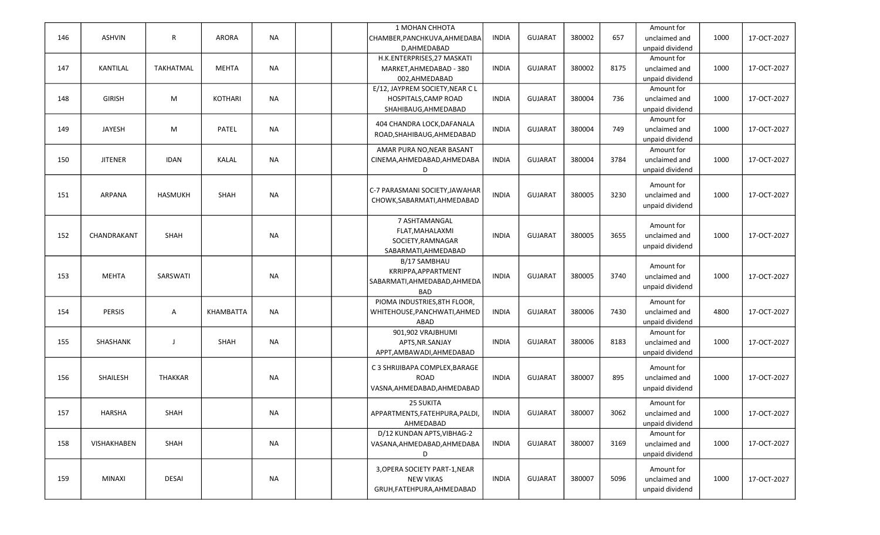|     |                |                  |                |           | 1 MOHAN CHHOTA                  |              |                |        |      | Amount for      |      |             |
|-----|----------------|------------------|----------------|-----------|---------------------------------|--------------|----------------|--------|------|-----------------|------|-------------|
| 146 | <b>ASHVIN</b>  | R                | <b>ARORA</b>   | <b>NA</b> | CHAMBER, PANCHKUVA, AHMEDABA    | <b>INDIA</b> | <b>GUJARAT</b> | 380002 | 657  | unclaimed and   | 1000 | 17-OCT-2027 |
|     |                |                  |                |           | D, AHMEDABAD                    |              |                |        |      | unpaid dividend |      |             |
|     |                |                  |                |           | H.K.ENTERPRISES, 27 MASKATI     |              |                |        |      | Amount for      |      |             |
| 147 | KANTILAL       | <b>TAKHATMAL</b> | <b>MEHTA</b>   | <b>NA</b> | MARKET, AHMEDABAD - 380         | <b>INDIA</b> | <b>GUJARAT</b> | 380002 | 8175 | unclaimed and   | 1000 | 17-OCT-2027 |
|     |                |                  |                |           | 002,AHMEDABAD                   |              |                |        |      | unpaid dividend |      |             |
|     |                |                  |                |           | E/12, JAYPREM SOCIETY, NEAR C L |              |                |        |      | Amount for      |      |             |
| 148 | <b>GIRISH</b>  | M                | <b>KOTHARI</b> | <b>NA</b> | HOSPITALS, CAMP ROAD            | <b>INDIA</b> | <b>GUJARAT</b> | 380004 | 736  | unclaimed and   | 1000 | 17-OCT-2027 |
|     |                |                  |                |           |                                 |              |                |        |      |                 |      |             |
|     |                |                  |                |           | SHAHIBAUG, AHMEDABAD            |              |                |        |      | unpaid dividend |      |             |
|     |                |                  |                |           | 404 CHANDRA LOCK, DAFANALA      |              |                |        |      | Amount for      |      |             |
| 149 | <b>JAYESH</b>  | M                | PATEL          | <b>NA</b> | ROAD, SHAHIBAUG, AHMEDABAD      | <b>INDIA</b> | <b>GUJARAT</b> | 380004 | 749  | unclaimed and   | 1000 | 17-OCT-2027 |
|     |                |                  |                |           |                                 |              |                |        |      | unpaid dividend |      |             |
|     |                |                  |                |           | AMAR PURA NO, NEAR BASANT       |              |                |        |      | Amount for      |      |             |
| 150 | <b>JITENER</b> | <b>IDAN</b>      | KALAL          | <b>NA</b> | CINEMA, AHMEDABAD, AHMEDABA     | <b>INDIA</b> | <b>GUJARAT</b> | 380004 | 3784 | unclaimed and   | 1000 | 17-OCT-2027 |
|     |                |                  |                |           | D                               |              |                |        |      | unpaid dividend |      |             |
|     |                |                  |                |           |                                 |              |                |        |      | Amount for      |      |             |
| 151 | ARPANA         | <b>HASMUKH</b>   | SHAH           | <b>NA</b> | C-7 PARASMANI SOCIETY, JAWAHAR  | <b>INDIA</b> | <b>GUJARAT</b> | 380005 | 3230 | unclaimed and   | 1000 | 17-OCT-2027 |
|     |                |                  |                |           | CHOWK, SABARMATI, AHMEDABAD     |              |                |        |      |                 |      |             |
|     |                |                  |                |           |                                 |              |                |        |      | unpaid dividend |      |             |
|     |                |                  |                |           | 7 ASHTAMANGAL                   |              |                |        |      |                 |      |             |
|     |                |                  |                |           | FLAT, MAHALAXMI                 |              |                |        |      | Amount for      |      |             |
| 152 | CHANDRAKANT    | SHAH             |                | <b>NA</b> | SOCIETY, RAMNAGAR               | <b>INDIA</b> | <b>GUJARAT</b> | 380005 | 3655 | unclaimed and   | 1000 | 17-OCT-2027 |
|     |                |                  |                |           | SABARMATI.AHMEDABAD             |              |                |        |      | unpaid dividend |      |             |
|     |                |                  |                |           | <b>B/17 SAMBHAU</b>             |              |                |        |      |                 |      |             |
|     |                |                  |                |           | KRRIPPA, APPARTMENT             |              |                |        |      | Amount for      |      |             |
| 153 | <b>MEHTA</b>   | SARSWATI         |                | <b>NA</b> |                                 | <b>INDIA</b> | <b>GUJARAT</b> | 380005 | 3740 | unclaimed and   | 1000 | 17-OCT-2027 |
|     |                |                  |                |           | SABARMATI, AHMEDABAD, AHMEDA    |              |                |        |      | unpaid dividend |      |             |
|     |                |                  |                |           | <b>BAD</b>                      |              |                |        |      |                 |      |             |
|     |                |                  |                |           | PIOMA INDUSTRIES, 8TH FLOOR,    |              |                |        |      | Amount for      |      |             |
| 154 | <b>PERSIS</b>  | A                | KHAMBATTA      | <b>NA</b> | WHITEHOUSE, PANCHWATI, AHMED    | <b>INDIA</b> | <b>GUJARAT</b> | 380006 | 7430 | unclaimed and   | 4800 | 17-OCT-2027 |
|     |                |                  |                |           | ABAD                            |              |                |        |      | unpaid dividend |      |             |
|     |                |                  |                |           | 901,902 VRAJBHUMI               |              |                |        |      | Amount for      |      |             |
| 155 | SHASHANK       | J                | SHAH           | NA        | APTS, NR. SANJAY                | <b>INDIA</b> | <b>GUJARAT</b> | 380006 | 8183 | unclaimed and   | 1000 | 17-OCT-2027 |
|     |                |                  |                |           | APPT, AMBAWADI, AHMEDABAD       |              |                |        |      | unpaid dividend |      |             |
|     |                |                  |                |           | C 3 SHRIJIBAPA COMPLEX, BARAGE  |              |                |        |      | Amount for      |      |             |
| 156 | SHAILESH       | <b>THAKKAR</b>   |                | NA        | <b>ROAD</b>                     | <b>INDIA</b> | <b>GUJARAT</b> | 380007 | 895  | unclaimed and   | 1000 | 17-OCT-2027 |
|     |                |                  |                |           |                                 |              |                |        |      |                 |      |             |
|     |                |                  |                |           | VASNA, AHMEDABAD, AHMEDABAD     |              |                |        |      | unpaid dividend |      |             |
|     |                |                  |                |           | <b>25 SUKITA</b>                |              |                |        |      | Amount for      |      |             |
| 157 | <b>HARSHA</b>  | <b>SHAH</b>      |                | ΝA        | APPARTMENTS, FATEHPURA, PALDI,  | <b>INDIA</b> | <b>GUJARAT</b> | 380007 | 3062 | unclaimed and   | 1000 | 17-OCT-2027 |
|     |                |                  |                |           | AHMEDABAD                       |              |                |        |      | unpaid dividend |      |             |
|     |                |                  |                |           | D/12 KUNDAN APTS, VIBHAG-2      |              |                |        |      | Amount for      |      |             |
| 158 | VISHAKHABEN    | SHAH             |                | NA        | VASANA, AHMEDABAD, AHMEDABA     | <b>INDIA</b> | <b>GUJARAT</b> | 380007 | 3169 | unclaimed and   | 1000 | 17-OCT-2027 |
|     |                |                  |                |           | D                               |              |                |        |      | unpaid dividend |      |             |
|     |                |                  |                |           |                                 |              |                |        |      |                 |      |             |
|     |                |                  |                |           | 3, OPERA SOCIETY PART-1, NEAR   |              |                |        |      | Amount for      |      |             |
| 159 | MINAXI         | DESAI            |                | NA        | <b>NEW VIKAS</b>                | <b>INDIA</b> | <b>GUJARAT</b> | 380007 | 5096 | unclaimed and   | 1000 | 17-OCT-2027 |
|     |                |                  |                |           | GRUH, FATEHPURA, AHMEDABAD      |              |                |        |      | unpaid dividend |      |             |
|     |                |                  |                |           |                                 |              |                |        |      |                 |      |             |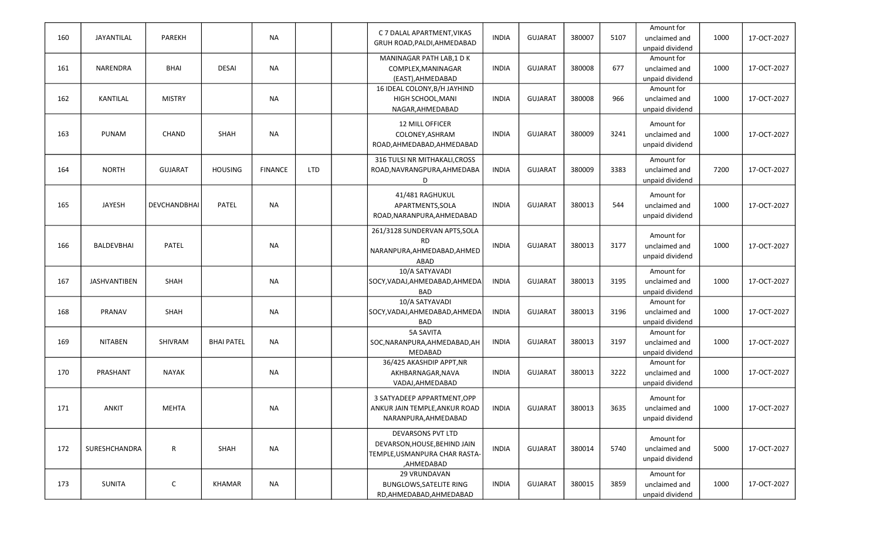| 160 | JAYANTILAL          | PAREKH         |                   | <b>NA</b>      |            | C 7 DALAL APARTMENT, VIKAS<br>GRUH ROAD, PALDI, AHMEDABAD                                               | <b>INDIA</b> | <b>GUJARAT</b> | 380007 | 5107 | Amount for<br>unclaimed and<br>unpaid dividend | 1000 | 17-OCT-2027 |
|-----|---------------------|----------------|-------------------|----------------|------------|---------------------------------------------------------------------------------------------------------|--------------|----------------|--------|------|------------------------------------------------|------|-------------|
| 161 | NARENDRA            | <b>BHAI</b>    | <b>DESAI</b>      | <b>NA</b>      |            | MANINAGAR PATH LAB,1 DK<br>COMPLEX, MANINAGAR<br>(EAST), AHMEDABAD                                      | <b>INDIA</b> | <b>GUJARAT</b> | 380008 | 677  | Amount for<br>unclaimed and<br>unpaid dividend | 1000 | 17-OCT-2027 |
| 162 | <b>KANTILAL</b>     | <b>MISTRY</b>  |                   | <b>NA</b>      |            | 16 IDEAL COLONY, B/H JAYHIND<br>HIGH SCHOOL, MANI<br>NAGAR, AHMEDABAD                                   | <b>INDIA</b> | <b>GUJARAT</b> | 380008 | 966  | Amount for<br>unclaimed and<br>unpaid dividend | 1000 | 17-OCT-2027 |
| 163 | <b>PUNAM</b>        | CHAND          | <b>SHAH</b>       | <b>NA</b>      |            | 12 MILL OFFICER<br>COLONEY, ASHRAM<br>ROAD, AHMEDABAD, AHMEDABAD                                        | <b>INDIA</b> | <b>GUJARAT</b> | 380009 | 3241 | Amount for<br>unclaimed and<br>unpaid dividend | 1000 | 17-OCT-2027 |
| 164 | <b>NORTH</b>        | <b>GUJARAT</b> | <b>HOUSING</b>    | <b>FINANCE</b> | <b>LTD</b> | 316 TULSI NR MITHAKALI, CROSS<br>ROAD, NAVRANGPURA, AHMEDABA<br>D                                       | <b>INDIA</b> | <b>GUJARAT</b> | 380009 | 3383 | Amount for<br>unclaimed and<br>unpaid dividend | 7200 | 17-OCT-2027 |
| 165 | <b>JAYESH</b>       | DEVCHANDBHAI   | <b>PATEL</b>      | <b>NA</b>      |            | 41/481 RAGHUKUL<br>APARTMENTS, SOLA<br>ROAD, NARANPURA, AHMEDABAD                                       | <b>INDIA</b> | <b>GUJARAT</b> | 380013 | 544  | Amount for<br>unclaimed and<br>unpaid dividend | 1000 | 17-OCT-2027 |
| 166 | BALDEVBHAI          | <b>PATEL</b>   |                   | <b>NA</b>      |            | 261/3128 SUNDERVAN APTS, SOLA<br><b>RD</b><br>NARANPURA, AHMEDABAD, AHMED<br>ABAD                       | <b>INDIA</b> | <b>GUJARAT</b> | 380013 | 3177 | Amount for<br>unclaimed and<br>unpaid dividend | 1000 | 17-OCT-2027 |
| 167 | <b>JASHVANTIBEN</b> | <b>SHAH</b>    |                   | <b>NA</b>      |            | 10/A SATYAVADI<br>SOCY, VADAJ, AHMEDABAD, AHMEDA<br><b>BAD</b>                                          | <b>INDIA</b> | <b>GUJARAT</b> | 380013 | 3195 | Amount for<br>unclaimed and<br>unpaid dividend | 1000 | 17-OCT-2027 |
| 168 | PRANAV              | SHAH           |                   | <b>NA</b>      |            | 10/A SATYAVADI<br>SOCY, VADAJ, AHMEDABAD, AHMEDA<br><b>BAD</b>                                          | <b>INDIA</b> | <b>GUJARAT</b> | 380013 | 3196 | Amount for<br>unclaimed and<br>unpaid dividend | 1000 | 17-OCT-2027 |
| 169 | <b>NITABEN</b>      | SHIVRAM        | <b>BHAI PATEL</b> | <b>NA</b>      |            | <b>5A SAVITA</b><br>SOC, NARANPURA, AHMEDABAD, AH<br>MEDABAD                                            | <b>INDIA</b> | <b>GUJARAT</b> | 380013 | 3197 | Amount for<br>unclaimed and<br>unpaid dividend | 1000 | 17-OCT-2027 |
| 170 | PRASHANT            | <b>NAYAK</b>   |                   | <b>NA</b>      |            | 36/425 AKASHDIP APPT, NR<br>AKHBARNAGAR, NAVA<br>VADAJ, AHMEDABAD                                       | <b>INDIA</b> | <b>GUJARAT</b> | 380013 | 3222 | Amount for<br>unclaimed and<br>unpaid dividend | 1000 | 17-OCT-2027 |
| 171 | ANKIT               | <b>MEHTA</b>   |                   | <b>NA</b>      |            | 3 SATYADEEP APPARTMENT, OPP<br>ANKUR JAIN TEMPLE, ANKUR ROAD<br>NARANPURA, AHMEDABAD                    | <b>INDIA</b> | <b>GUJARAT</b> | 380013 | 3635 | Amount for<br>unclaimed and<br>unpaid dividend | 1000 | 17-OCT-2027 |
| 172 | SURESHCHANDRA       | $\mathsf{R}$   | <b>SHAH</b>       | <b>NA</b>      |            | <b>DEVARSONS PVT LTD</b><br>DEVARSON, HOUSE, BEHIND JAIN<br>TEMPLE, USMANPURA CHAR RASTA-<br>,AHMEDABAD | <b>INDIA</b> | <b>GUJARAT</b> | 380014 | 5740 | Amount for<br>unclaimed and<br>unpaid dividend | 5000 | 17-OCT-2027 |
| 173 | SUNITA              | $\mathsf{C}$   | KHAMAR            | <b>NA</b>      |            | 29 VRUNDAVAN<br><b>BUNGLOWS, SATELITE RING</b><br>RD, AHMEDABAD, AHMEDABAD                              | <b>INDIA</b> | <b>GUJARAT</b> | 380015 | 3859 | Amount for<br>unclaimed and<br>unpaid dividend | 1000 | 17-OCT-2027 |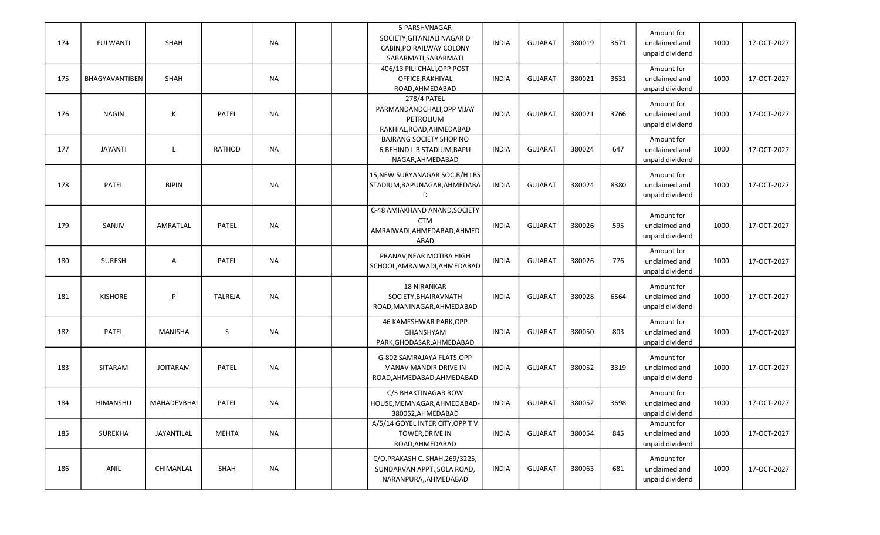| 174 | <b>FULWANTI</b> | <b>SHAH</b>     |                | <b>NA</b> |  | 5 PARSHVNAGAR<br>SOCIETY, GITANJALI NAGAR D<br>CABIN, PO RAILWAY COLONY<br>SABARMATI, SABARMATI | <b>INDIA</b> | <b>GUJARAT</b> | 380019 | 3671 | Amount for<br>unclaimed and<br>unpaid dividend | 1000 | 17-OCT-2027 |
|-----|-----------------|-----------------|----------------|-----------|--|-------------------------------------------------------------------------------------------------|--------------|----------------|--------|------|------------------------------------------------|------|-------------|
| 175 | BHAGYAVANTIBEN  | SHAH            |                | <b>NA</b> |  | 406/13 PILI CHALI, OPP POST<br>OFFICE, RAKHIYAL<br>ROAD, AHMEDABAD                              | <b>INDIA</b> | <b>GUJARAT</b> | 380021 | 3631 | Amount for<br>unclaimed and<br>unpaid dividend | 1000 | 17-OCT-2027 |
| 176 | <b>NAGIN</b>    | К               | PATEL          | NA        |  | 278/4 PATEL<br>PARMANDANDCHALI, OPP VIJAY<br>PETROLIUM<br>RAKHIAL, ROAD, AHMEDABAD              | <b>INDIA</b> | <b>GUJARAT</b> | 380021 | 3766 | Amount for<br>unclaimed and<br>unpaid dividend | 1000 | 17-OCT-2027 |
| 177 | <b>JAYANTI</b>  | L               | RATHOD         | <b>NA</b> |  | <b>BAJRANG SOCIETY SHOP NO</b><br>6, BEHIND L B STADIUM, BAPU<br>NAGAR, AHMEDABAD               | <b>INDIA</b> | <b>GUJARAT</b> | 380024 | 647  | Amount for<br>unclaimed and<br>unpaid dividend | 1000 | 17-OCT-2027 |
| 178 | <b>PATEL</b>    | <b>BIPIN</b>    |                | <b>NA</b> |  | 15, NEW SURYANAGAR SOC, B/H LBS<br>STADIUM, BAPUNAGAR, AHMEDABA<br>D                            | <b>INDIA</b> | <b>GUJARAT</b> | 380024 | 8380 | Amount for<br>unclaimed and<br>unpaid dividend | 1000 | 17-OCT-2027 |
| 179 | SANJIV          | AMRATLAL        | PATEL          | <b>NA</b> |  | C-48 AMIAKHAND ANAND, SOCIETY<br><b>CTM</b><br>AMRAIWADI, AHMEDABAD, AHMED<br>ABAD              | <b>INDIA</b> | <b>GUJARAT</b> | 380026 | 595  | Amount for<br>unclaimed and<br>unpaid dividend | 1000 | 17-OCT-2027 |
| 180 | <b>SURESH</b>   | Α               | PATEL          | <b>NA</b> |  | PRANAV, NEAR MOTIBA HIGH<br>SCHOOL, AMRAIWADI, AHMEDABAD                                        | <b>INDIA</b> | <b>GUJARAT</b> | 380026 | 776  | Amount for<br>unclaimed and<br>unpaid dividend | 1000 | 17-OCT-2027 |
| 181 | <b>KISHORE</b>  | P               | <b>TALREJA</b> | <b>NA</b> |  | <b>18 NIRANKAR</b><br>SOCIETY, BHAIRAVNATH<br>ROAD, MANINAGAR, AHMEDABAD                        | <b>INDIA</b> | <b>GUJARAT</b> | 380028 | 6564 | Amount for<br>unclaimed and<br>unpaid dividend | 1000 | 17-OCT-2027 |
| 182 | <b>PATEL</b>    | <b>MANISHA</b>  | S              | NA        |  | 46 KAMESHWAR PARK, OPP<br>GHANSHYAM<br>PARK, GHODASAR, AHMEDABAD                                | <b>INDIA</b> | <b>GUJARAT</b> | 380050 | 803  | Amount for<br>unclaimed and<br>unpaid dividend | 1000 | 17-OCT-2027 |
| 183 | SITARAM         | <b>JOITARAM</b> | PATEL          | NA        |  | G-802 SAMRAJAYA FLATS, OPP<br>MANAV MANDIR DRIVE IN<br>ROAD, AHMEDABAD, AHMEDABAD               | <b>INDIA</b> | <b>GUJARAT</b> | 380052 | 3319 | Amount for<br>unclaimed and<br>unpaid dividend | 1000 | 17-OCT-2027 |
| 184 | HIMANSHU        | MAHADEVBHAI     | <b>PATEL</b>   | NA        |  | C/5 BHAKTINAGAR ROW<br>HOUSE, MEMNAGAR, AHMEDABAD-<br>380052, AHMEDABAD                         | <b>INDIA</b> | <b>GUJARAT</b> | 380052 | 3698 | Amount for<br>unclaimed and<br>unpaid dividend | 1000 | 17-OCT-2027 |
| 185 | <b>SUREKHA</b>  | JAYANTILAL      | MEHTA          | NA        |  | A/5/14 GOYEL INTER CITY, OPP TV<br>TOWER, DRIVE IN<br>ROAD, AHMEDABAD                           | <b>INDIA</b> | <b>GUJARAT</b> | 380054 | 845  | Amount for<br>unclaimed and<br>unpaid dividend | 1000 | 17-OCT-2027 |
| 186 | ANIL            | CHIMANLAL       | SHAH           | <b>NA</b> |  | C/O.PRAKASH C. SHAH, 269/3225,<br>SUNDARVAN APPT., SOLA ROAD,<br>NARANPURA,, AHMEDABAD          | <b>INDIA</b> | <b>GUJARAT</b> | 380063 | 681  | Amount for<br>unclaimed and<br>unpaid dividend | 1000 | 17-OCT-2027 |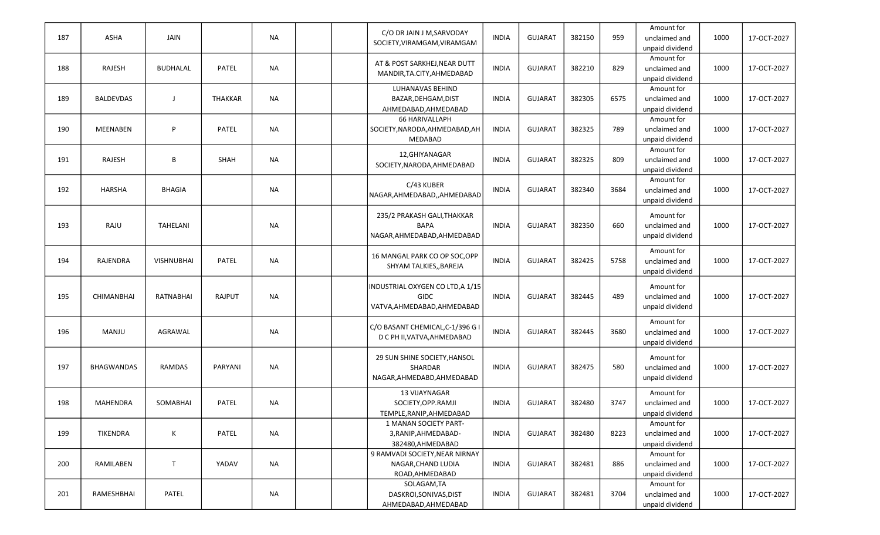|     |                   |                   |                |           | C/O DR JAIN J M, SARVODAY                         |              |                |        |      | Amount for                       |      |             |
|-----|-------------------|-------------------|----------------|-----------|---------------------------------------------------|--------------|----------------|--------|------|----------------------------------|------|-------------|
| 187 | ASHA              | JAIN              |                | <b>NA</b> | SOCIETY, VIRAMGAM, VIRAMGAM                       | <b>INDIA</b> | <b>GUJARAT</b> | 382150 | 959  | unclaimed and<br>unpaid dividend | 1000 | 17-OCT-2027 |
|     |                   |                   |                |           |                                                   |              |                |        |      | Amount for                       |      |             |
| 188 | RAJESH            | <b>BUDHALAL</b>   | PATEL          | <b>NA</b> | AT & POST SARKHEJ, NEAR DUTT                      | <b>INDIA</b> | <b>GUJARAT</b> | 382210 | 829  | unclaimed and                    | 1000 | 17-OCT-2027 |
|     |                   |                   |                |           | MANDIR, TA.CITY, AHMEDABAD                        |              |                |        |      | unpaid dividend                  |      |             |
|     |                   |                   |                |           | <b>LUHANAVAS BEHIND</b>                           |              |                |        |      | Amount for                       |      |             |
| 189 | <b>BALDEVDAS</b>  | J                 | <b>THAKKAR</b> | <b>NA</b> | BAZAR, DEHGAM, DIST                               | <b>INDIA</b> | <b>GUJARAT</b> | 382305 | 6575 | unclaimed and                    | 1000 | 17-OCT-2027 |
|     |                   |                   |                |           | AHMEDABAD, AHMEDABAD                              |              |                |        |      | unpaid dividend                  |      |             |
|     |                   |                   |                |           | <b>66 HARIVALLAPH</b>                             |              |                |        |      | Amount for                       |      |             |
| 190 | <b>MEENABEN</b>   | P                 | PATEL          | <b>NA</b> | SOCIETY, NARODA, AHMEDABAD, AH                    | <b>INDIA</b> | <b>GUJARAT</b> | 382325 | 789  | unclaimed and                    | 1000 | 17-OCT-2027 |
|     |                   |                   |                |           | MEDABAD                                           |              |                |        |      | unpaid dividend                  |      |             |
| 191 | RAJESH            | В                 | SHAH           | <b>NA</b> | 12, GHIYANAGAR                                    | <b>INDIA</b> | <b>GUJARAT</b> | 382325 | 809  | Amount for<br>unclaimed and      | 1000 | 17-OCT-2027 |
|     |                   |                   |                |           | SOCIETY, NARODA, AHMEDABAD                        |              |                |        |      | unpaid dividend                  |      |             |
|     |                   |                   |                |           |                                                   |              |                |        |      | Amount for                       |      |             |
| 192 | <b>HARSHA</b>     | BHAGIA            |                | <b>NA</b> | C/43 KUBER                                        | <b>INDIA</b> | <b>GUJARAT</b> | 382340 | 3684 | unclaimed and                    | 1000 | 17-OCT-2027 |
|     |                   |                   |                |           | NAGAR,AHMEDABAD,,AHMEDABAD                        |              |                |        |      | unpaid dividend                  |      |             |
|     |                   |                   |                |           |                                                   |              |                |        |      |                                  |      |             |
|     | RAJU              | TAHELANI          |                | <b>NA</b> | 235/2 PRAKASH GALI, THAKKAR<br><b>BAPA</b>        | <b>INDIA</b> | <b>GUJARAT</b> | 382350 | 660  | Amount for<br>unclaimed and      |      | 17-OCT-2027 |
| 193 |                   |                   |                |           | NAGAR, AHMEDABAD, AHMEDABAD                       |              |                |        |      | unpaid dividend                  | 1000 |             |
|     |                   |                   |                |           |                                                   |              |                |        |      |                                  |      |             |
|     |                   |                   |                |           | 16 MANGAL PARK CO OP SOC, OPP                     |              |                |        |      | Amount for                       |      |             |
| 194 | RAJENDRA          | <b>VISHNUBHAI</b> | PATEL          | <b>NA</b> | SHYAM TALKIES, BAREJA                             | <b>INDIA</b> | <b>GUJARAT</b> | 382425 | 5758 | unclaimed and                    | 1000 | 17-OCT-2027 |
|     |                   |                   |                |           |                                                   |              |                |        |      | unpaid dividend                  |      |             |
|     |                   |                   |                |           | INDUSTRIAL OXYGEN CO LTD, A 1/15                  |              |                |        |      | Amount for                       |      |             |
| 195 | <b>CHIMANBHAI</b> | <b>RATNABHAI</b>  | <b>RAJPUT</b>  | <b>NA</b> | <b>GIDC</b>                                       | <b>INDIA</b> | <b>GUJARAT</b> | 382445 | 489  | unclaimed and                    | 1000 | 17-OCT-2027 |
|     |                   |                   |                |           | VATVA, AHMEDABAD, AHMEDABAD                       |              |                |        |      | unpaid dividend                  |      |             |
|     |                   |                   |                |           |                                                   |              |                |        |      | Amount for                       |      |             |
| 196 | MANJU             | AGRAWAL           |                | <b>NA</b> | C/O BASANT CHEMICAL, C-1/396 G I                  | <b>INDIA</b> | <b>GUJARAT</b> | 382445 | 3680 | unclaimed and                    | 1000 | 17-OCT-2027 |
|     |                   |                   |                |           | D C PH II, VATVA, AHMEDABAD                       |              |                |        |      | unpaid dividend                  |      |             |
|     |                   |                   |                |           | 29 SUN SHINE SOCIETY, HANSOL                      |              |                |        |      | Amount for                       |      |             |
| 197 | <b>BHAGWANDAS</b> | <b>RAMDAS</b>     | PARYANI        | NA        | SHARDAR                                           | <b>INDIA</b> | <b>GUJARAT</b> | 382475 | 580  | unclaimed and                    | 1000 | 17-OCT-2027 |
|     |                   |                   |                |           | NAGAR, AHMEDABD, AHMEDABAD                        |              |                |        |      | unpaid dividend                  |      |             |
|     |                   |                   |                |           |                                                   |              |                |        |      |                                  |      |             |
|     |                   |                   |                |           | 13 VIJAYNAGAR                                     |              |                |        |      | Amount for                       |      |             |
| 198 | <b>MAHENDRA</b>   | <b>SOMABHAI</b>   | <b>PATEL</b>   | <b>NA</b> | SOCIETY, OPP.RAMJI                                | <b>INDIA</b> | <b>GUJARAT</b> | 382480 | 3747 | unclaimed and                    | 1000 | 17-OCT-2027 |
|     |                   |                   |                |           | TEMPLE, RANIP, AHMEDABAD<br>1 MANAN SOCIETY PART- |              |                |        |      | unpaid dividend<br>Amount for    |      |             |
| 199 | TIKENDRA          | K                 | PATEL          | <b>NA</b> | 3, RANIP, AHMEDABAD-                              | <b>INDIA</b> | <b>GUJARAT</b> | 382480 | 8223 | unclaimed and                    | 1000 | 17-OCT-2027 |
|     |                   |                   |                |           | 382480, AHMEDABAD                                 |              |                |        |      | unpaid dividend                  |      |             |
|     |                   |                   |                |           | 9 RAMVADI SOCIETY, NEAR NIRNAY                    |              |                |        |      | Amount for                       |      |             |
| 200 | RAMILABEN         | T                 | YADAV          | <b>NA</b> | NAGAR, CHAND LUDIA                                | <b>INDIA</b> | <b>GUJARAT</b> | 382481 | 886  | unclaimed and                    | 1000 | 17-OCT-2027 |
|     |                   |                   |                |           | ROAD, AHMEDABAD                                   |              |                |        |      | unpaid dividend                  |      |             |
|     |                   |                   |                |           | SOLAGAM, TA                                       |              |                |        |      | Amount for                       |      |             |
| 201 | RAMESHBHAI        | PATEL             |                | <b>NA</b> | DASKROI, SONIVAS, DIST                            | <b>INDIA</b> | <b>GUJARAT</b> | 382481 | 3704 | unclaimed and                    | 1000 | 17-OCT-2027 |
|     |                   |                   |                |           | AHMEDABAD, AHMEDABAD                              |              |                |        |      | unpaid dividend                  |      |             |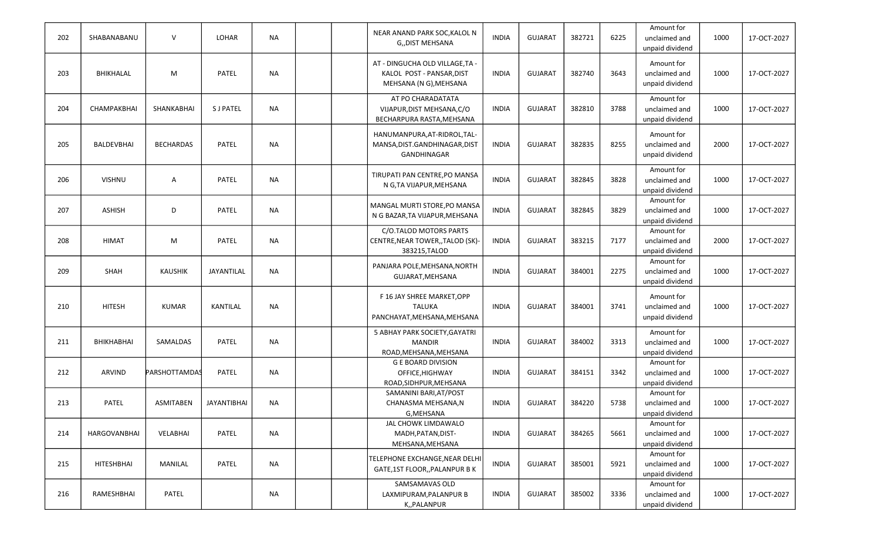| 202 | SHABANABANU       | $\vee$           | LOHAR              | <b>NA</b> |  | NEAR ANAND PARK SOC, KALOL N<br>G,, DIST MEHSANA                                       | <b>INDIA</b> | <b>GUJARAT</b> | 382721 | 6225 | Amount for<br>unclaimed and<br>unpaid dividend | 1000 | 17-OCT-2027 |
|-----|-------------------|------------------|--------------------|-----------|--|----------------------------------------------------------------------------------------|--------------|----------------|--------|------|------------------------------------------------|------|-------------|
| 203 | BHIKHALAL         | M                | PATEL              | <b>NA</b> |  | AT - DINGUCHA OLD VILLAGE, TA -<br>KALOL POST - PANSAR, DIST<br>MEHSANA (N G), MEHSANA | <b>INDIA</b> | <b>GUJARAT</b> | 382740 | 3643 | Amount for<br>unclaimed and<br>unpaid dividend | 1000 | 17-OCT-2027 |
| 204 | CHAMPAKBHAI       | SHANKABHAI       | <b>SJ PATEL</b>    | <b>NA</b> |  | AT PO CHARADATATA<br>VIJAPUR, DIST MEHSANA, C/O<br>BECHARPURA RASTA, MEHSANA           | <b>INDIA</b> | <b>GUJARAT</b> | 382810 | 3788 | Amount for<br>unclaimed and<br>unpaid dividend | 1000 | 17-OCT-2027 |
| 205 | <b>BALDEVBHAI</b> | <b>BECHARDAS</b> | PATEL              | <b>NA</b> |  | HANUMANPURA, AT-RIDROL, TAL-<br>MANSA, DIST. GANDHINAGAR, DIST<br>GANDHINAGAR          | <b>INDIA</b> | <b>GUJARAT</b> | 382835 | 8255 | Amount for<br>unclaimed and<br>unpaid dividend | 2000 | 17-OCT-2027 |
| 206 | <b>VISHNU</b>     | Α                | <b>PATEL</b>       | <b>NA</b> |  | TIRUPATI PAN CENTRE, PO MANSA<br>N G,TA VIJAPUR, MEHSANA                               | <b>INDIA</b> | <b>GUJARAT</b> | 382845 | 3828 | Amount for<br>unclaimed and<br>unpaid dividend | 1000 | 17-OCT-2027 |
| 207 | <b>ASHISH</b>     | D                | PATEL              | <b>NA</b> |  | MANGAL MURTI STORE, PO MANSA<br>N G BAZAR, TA VIJAPUR, MEHSANA                         | <b>INDIA</b> | <b>GUJARAT</b> | 382845 | 3829 | Amount for<br>unclaimed and<br>unpaid dividend | 1000 | 17-OCT-2027 |
| 208 | <b>HIMAT</b>      | M                | PATEL              | <b>NA</b> |  | C/O.TALOD MOTORS PARTS<br>CENTRE, NEAR TOWER, , TALOD (SK)-<br>383215, TALOD           | <b>INDIA</b> | <b>GUJARAT</b> | 383215 | 7177 | Amount for<br>unclaimed and<br>unpaid dividend | 2000 | 17-OCT-2027 |
| 209 | SHAH              | <b>KAUSHIK</b>   | JAYANTILAL         | <b>NA</b> |  | PANJARA POLE, MEHSANA, NORTH<br>GUJARAT, MEHSANA                                       | <b>INDIA</b> | <b>GUJARAT</b> | 384001 | 2275 | Amount for<br>unclaimed and<br>unpaid dividend | 1000 | 17-OCT-2027 |
| 210 | <b>HITESH</b>     | <b>KUMAR</b>     | KANTILAL           | <b>NA</b> |  | F 16 JAY SHREE MARKET, OPP<br><b>TALUKA</b><br>PANCHAYAT, MEHSANA, MEHSANA             | <b>INDIA</b> | <b>GUJARAT</b> | 384001 | 3741 | Amount for<br>unclaimed and<br>unpaid dividend | 1000 | 17-OCT-2027 |
| 211 | <b>BHIKHABHAI</b> | SAMALDAS         | <b>PATEL</b>       | <b>NA</b> |  | 5 ABHAY PARK SOCIETY, GAYATRI<br><b>MANDIR</b><br>ROAD, MEHSANA, MEHSANA               | <b>INDIA</b> | <b>GUJARAT</b> | 384002 | 3313 | Amount for<br>unclaimed and<br>unpaid dividend | 1000 | 17-OCT-2027 |
| 212 | ARVIND            | PARSHOTTAMDAS    | PATEL              | NA        |  | <b>G E BOARD DIVISION</b><br>OFFICE, HIGHWAY<br>ROAD, SIDHPUR, MEHSANA                 | <b>INDIA</b> | <b>GUJARAT</b> | 384151 | 3342 | Amount for<br>unclaimed and<br>unpaid dividend | 1000 | 17-OCT-2027 |
| 213 | <b>PATEL</b>      | <b>ASMITABEN</b> | <b>JAYANTIBHAI</b> | <b>NA</b> |  | SAMANINI BARI, AT/POST<br>CHANASMA MEHSANA,N<br>G, MEHSANA                             | <b>INDIA</b> | <b>GUJARAT</b> | 384220 | 5738 | Amount for<br>unclaimed and<br>unpaid dividend | 1000 | 17-OCT-2027 |
| 214 | HARGOVANBHAI      | VELABHAI         | PATEL              | <b>NA</b> |  | JAL CHOWK LIMDAWALO<br>MADH, PATAN, DIST-<br>MEHSANA, MEHSANA                          | <b>INDIA</b> | <b>GUJARAT</b> | 384265 | 5661 | Amount for<br>unclaimed and<br>unpaid dividend | 1000 | 17-OCT-2027 |
| 215 | HITESHBHAI        | MANILAL          | PATEL              | <b>NA</b> |  | TELEPHONE EXCHANGE, NEAR DELHI<br>GATE,1ST FLOOR,, PALANPUR B K                        | <b>INDIA</b> | <b>GUJARAT</b> | 385001 | 5921 | Amount for<br>unclaimed and<br>unpaid dividend | 1000 | 17-OCT-2027 |
| 216 | RAMESHBHAI        | PATEL            |                    | <b>NA</b> |  | SAMSAMAVAS OLD<br>LAXMIPURAM, PALANPUR B<br>K,,PALANPUR                                | <b>INDIA</b> | <b>GUJARAT</b> | 385002 | 3336 | Amount for<br>unclaimed and<br>unpaid dividend | 1000 | 17-OCT-2027 |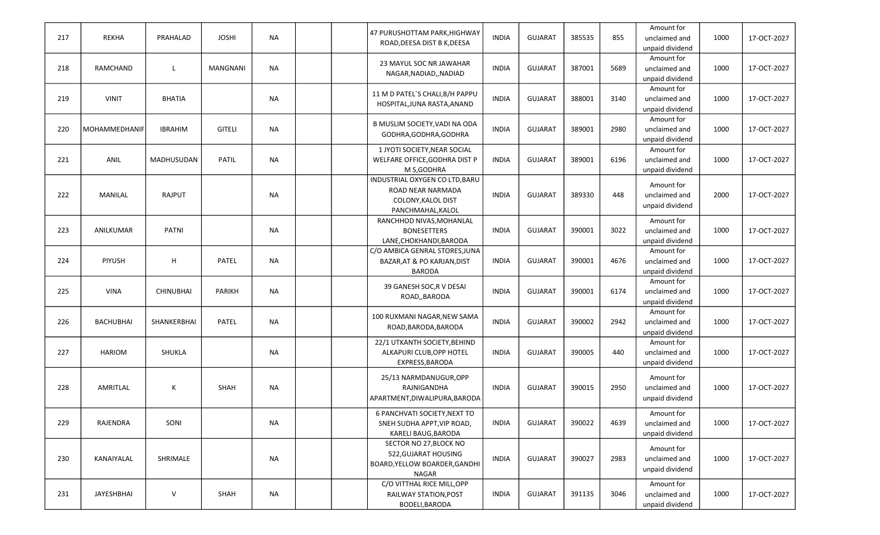| 217 | <b>REKHA</b>     | PRAHALAD         | <b>JOSHI</b>  | <b>NA</b> |  | 47 PURUSHOTTAM PARK,HIGHWAY<br>ROAD, DEESA DIST B K, DEESA | <b>INDIA</b> | <b>GUJARAT</b> | 385535 | 855  | Amount for<br>unclaimed and | 1000 | 17-OCT-2027 |
|-----|------------------|------------------|---------------|-----------|--|------------------------------------------------------------|--------------|----------------|--------|------|-----------------------------|------|-------------|
|     |                  |                  |               |           |  |                                                            |              |                |        |      | unpaid dividend             |      |             |
|     |                  |                  |               |           |  | 23 MAYUL SOC NR JAWAHAR                                    |              |                |        |      | Amount for                  |      |             |
| 218 | RAMCHAND         | L                | MANGNANI      | NA        |  | NAGAR, NADIAD, , NADIAD                                    | <b>INDIA</b> | <b>GUJARAT</b> | 387001 | 5689 | unclaimed and               | 1000 | 17-OCT-2027 |
|     |                  |                  |               |           |  |                                                            |              |                |        |      | unpaid dividend             |      |             |
|     |                  |                  |               |           |  | 11 M D PATEL'S CHALI, B/H PAPPU                            |              |                |        |      | Amount for                  |      |             |
| 219 | <b>VINIT</b>     | <b>BHATIA</b>    |               | <b>NA</b> |  | HOSPITAL, JUNA RASTA, ANAND                                | <b>INDIA</b> | <b>GUJARAT</b> | 388001 | 3140 | unclaimed and               | 1000 | 17-OCT-2027 |
|     |                  |                  |               |           |  |                                                            |              |                |        |      | unpaid dividend             |      |             |
|     |                  |                  |               |           |  | B MUSLIM SOCIETY, VADI NA ODA                              |              |                |        |      | Amount for                  |      |             |
| 220 | MOHAMMEDHANIF    | <b>IBRAHIM</b>   | <b>GITELI</b> | NA        |  | GODHRA, GODHRA, GODHRA                                     | <b>INDIA</b> | <b>GUJARAT</b> | 389001 | 2980 | unclaimed and               | 1000 | 17-OCT-2027 |
|     |                  |                  |               |           |  |                                                            |              |                |        |      | unpaid dividend             |      |             |
|     |                  |                  |               |           |  | 1 JYOTI SOCIETY, NEAR SOCIAL                               |              |                |        |      | Amount for                  |      |             |
| 221 | ANIL             | MADHUSUDAN       | PATIL         | <b>NA</b> |  | WELFARE OFFICE, GODHRA DIST P                              | <b>INDIA</b> | <b>GUJARAT</b> | 389001 | 6196 | unclaimed and               | 1000 | 17-OCT-2027 |
|     |                  |                  |               |           |  | M S, GODHRA                                                |              |                |        |      | unpaid dividend             |      |             |
|     |                  |                  |               |           |  | INDUSTRIAL OXYGEN CO LTD, BARU                             |              |                |        |      | Amount for                  |      |             |
| 222 | <b>MANILAL</b>   | <b>RAJPUT</b>    |               | <b>NA</b> |  | ROAD NEAR NARMADA                                          | <b>INDIA</b> | <b>GUJARAT</b> | 389330 | 448  | unclaimed and               | 2000 | 17-OCT-2027 |
|     |                  |                  |               |           |  | COLONY, KALOL DIST                                         |              |                |        |      |                             |      |             |
|     |                  |                  |               |           |  | PANCHMAHAL, KALOL                                          |              |                |        |      | unpaid dividend             |      |             |
|     |                  |                  |               |           |  | RANCHHOD NIVAS, MOHANLAL                                   |              |                |        |      | Amount for                  |      |             |
| 223 | ANILKUMAR        | PATNI            |               | <b>NA</b> |  | <b>BONESETTERS</b>                                         | <b>INDIA</b> | <b>GUJARAT</b> | 390001 | 3022 | unclaimed and               | 1000 | 17-OCT-2027 |
|     |                  |                  |               |           |  | LANE, CHOKHANDI, BARODA                                    |              |                |        |      | unpaid dividend             |      |             |
|     |                  |                  |               |           |  | C/O AMBICA GENRAL STORES, JUNA                             |              |                |        |      | Amount for                  |      |             |
| 224 | PIYUSH           | H                | <b>PATEL</b>  | <b>NA</b> |  | BAZAR, AT & PO KARJAN, DIST                                | <b>INDIA</b> | <b>GUJARAT</b> | 390001 | 4676 | unclaimed and               | 1000 | 17-OCT-2027 |
|     |                  |                  |               |           |  | <b>BARODA</b>                                              |              |                |        |      | unpaid dividend             |      |             |
|     |                  |                  |               |           |  |                                                            |              |                |        |      | Amount for                  |      |             |
| 225 | <b>VINA</b>      | <b>CHINUBHAI</b> | <b>PARIKH</b> | <b>NA</b> |  | 39 GANESH SOC, R V DESAI                                   | <b>INDIA</b> | <b>GUJARAT</b> | 390001 | 6174 | unclaimed and               | 1000 | 17-OCT-2027 |
|     |                  |                  |               |           |  | ROAD,, BARODA                                              |              |                |        |      | unpaid dividend             |      |             |
|     |                  |                  |               |           |  |                                                            |              |                |        |      | Amount for                  |      |             |
| 226 | <b>BACHUBHAI</b> | SHANKERBHAI      | PATEL         | NA        |  | 100 RUXMANI NAGAR, NEW SAMA                                | <b>INDIA</b> | <b>GUJARAT</b> | 390002 | 2942 | unclaimed and               | 1000 | 17-OCT-2027 |
|     |                  |                  |               |           |  | ROAD, BARODA, BARODA                                       |              |                |        |      | unpaid dividend             |      |             |
|     |                  |                  |               |           |  | 22/1 UTKANTH SOCIETY, BEHIND                               |              |                |        |      | Amount for                  |      |             |
| 227 | <b>HARIOM</b>    | SHUKLA           |               | NA        |  | ALKAPURI CLUB, OPP HOTEL                                   | <b>INDIA</b> | <b>GUJARAT</b> | 390005 | 440  | unclaimed and               | 1000 | 17-OCT-2027 |
|     |                  |                  |               |           |  | EXPRESS, BARODA                                            |              |                |        |      | unpaid dividend             |      |             |
|     |                  |                  |               |           |  |                                                            |              |                |        |      |                             |      |             |
|     |                  |                  |               |           |  | 25/13 NARMDANUGUR, OPP                                     |              |                |        |      | Amount for                  |      |             |
| 228 | AMRITLAL         | К                | SHAH          | <b>NA</b> |  | RAJNIGANDHA                                                | <b>INDIA</b> | <b>GUJARAT</b> | 390015 | 2950 | unclaimed and               | 1000 | 17-OCT-2027 |
|     |                  |                  |               |           |  | APARTMENT, DIWALIPURA, BARODA                              |              |                |        |      | unpaid dividend             |      |             |
|     |                  |                  |               |           |  | 6 PANCHVATI SOCIETY, NEXT TO                               |              |                |        |      | Amount for                  |      |             |
| 229 | RAJENDRA         | SONI             |               | <b>NA</b> |  | SNEH SUDHA APPT, VIP ROAD,                                 | <b>INDIA</b> | <b>GUJARAT</b> | 390022 | 4639 | unclaimed and               | 1000 | 17-OCT-2027 |
|     |                  |                  |               |           |  | KARELI BAUG, BARODA                                        |              |                |        |      | unpaid dividend             |      |             |
|     |                  |                  |               |           |  | SECTOR NO 27, BLOCK NO                                     |              |                |        |      |                             |      |             |
|     |                  |                  |               |           |  | 522, GUJARAT HOUSING                                       |              |                |        |      | Amount for                  |      |             |
| 230 | KANAIYALAL       | SHRIMALE         |               | <b>NA</b> |  | BOARD, YELLOW BOARDER, GANDHI                              | <b>INDIA</b> | <b>GUJARAT</b> | 390027 | 2983 | unclaimed and               | 1000 | 17-OCT-2027 |
|     |                  |                  |               |           |  | NAGAR                                                      |              |                |        |      | unpaid dividend             |      |             |
|     |                  |                  |               |           |  | C/O VITTHAL RICE MILL, OPP                                 |              |                |        |      | Amount for                  |      |             |
| 231 | JAYESHBHAI       | V                | SHAH          | <b>NA</b> |  | RAILWAY STATION, POST                                      | <b>INDIA</b> | <b>GUJARAT</b> | 391135 | 3046 | unclaimed and               | 1000 | 17-OCT-2027 |
|     |                  |                  |               |           |  | BODELI, BARODA                                             |              |                |        |      | unpaid dividend             |      |             |
|     |                  |                  |               |           |  |                                                            |              |                |        |      |                             |      |             |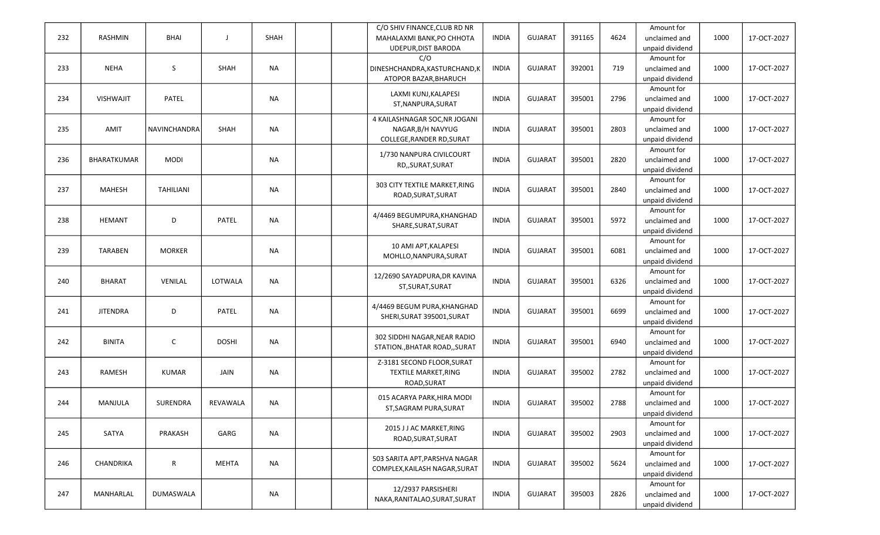|     |                  |                  |              |             |  | C/O SHIV FINANCE, CLUB RD NR  |              |                |        |      | Amount for      |      |             |
|-----|------------------|------------------|--------------|-------------|--|-------------------------------|--------------|----------------|--------|------|-----------------|------|-------------|
| 232 | RASHMIN          | <b>BHAI</b>      | J            | <b>SHAH</b> |  | MAHALAXMI BANK, PO CHHOTA     | <b>INDIA</b> | <b>GUJARAT</b> | 391165 | 4624 | unclaimed and   | 1000 | 17-OCT-2027 |
|     |                  |                  |              |             |  | UDEPUR, DIST BARODA           |              |                |        |      | unpaid dividend |      |             |
|     |                  |                  |              |             |  | C/O                           |              |                |        |      | Amount for      |      |             |
| 233 | <b>NEHA</b>      | S                | SHAH         | <b>NA</b>   |  | DINESHCHANDRA, KASTURCHAND, K | <b>INDIA</b> | <b>GUJARAT</b> | 392001 | 719  | unclaimed and   | 1000 | 17-OCT-2027 |
|     |                  |                  |              |             |  | ATOPOR BAZAR, BHARUCH         |              |                |        |      | unpaid dividend |      |             |
|     |                  |                  |              |             |  |                               |              |                |        |      | Amount for      |      |             |
| 234 | <b>VISHWAJIT</b> | PATEL            |              | <b>NA</b>   |  | LAXMI KUNJ, KALAPESI          | <b>INDIA</b> | <b>GUJARAT</b> | 395001 | 2796 | unclaimed and   | 1000 | 17-OCT-2027 |
|     |                  |                  |              |             |  | ST, NANPURA, SURAT            |              |                |        |      | unpaid dividend |      |             |
|     |                  |                  |              |             |  | 4 KAILASHNAGAR SOC, NR JOGANI |              |                |        |      | Amount for      |      |             |
|     |                  |                  |              |             |  |                               |              |                |        |      |                 |      |             |
| 235 | AMIT             | NAVINCHANDRA     | SHAH         | <b>NA</b>   |  | NAGAR, B/H NAVYUG             | <b>INDIA</b> | <b>GUJARAT</b> | 395001 | 2803 | unclaimed and   | 1000 | 17-OCT-2027 |
|     |                  |                  |              |             |  | COLLEGE, RANDER RD, SURAT     |              |                |        |      | unpaid dividend |      |             |
|     |                  |                  |              |             |  | 1/730 NANPURA CIVILCOURT      |              |                |        |      | Amount for      |      |             |
| 236 | BHARATKUMAR      | <b>MODI</b>      |              | <b>NA</b>   |  | RD,, SURAT, SURAT             | <b>INDIA</b> | <b>GUJARAT</b> | 395001 | 2820 | unclaimed and   | 1000 | 17-OCT-2027 |
|     |                  |                  |              |             |  |                               |              |                |        |      | unpaid dividend |      |             |
|     |                  |                  |              |             |  | 303 CITY TEXTILE MARKET, RING |              |                |        |      | Amount for      |      |             |
| 237 | <b>MAHESH</b>    | <b>TAHILIANI</b> |              | <b>NA</b>   |  |                               | <b>INDIA</b> | <b>GUJARAT</b> | 395001 | 2840 | unclaimed and   | 1000 | 17-OCT-2027 |
|     |                  |                  |              |             |  | ROAD, SURAT, SURAT            |              |                |        |      | unpaid dividend |      |             |
|     |                  |                  |              |             |  |                               |              |                |        |      | Amount for      |      |             |
| 238 | <b>HEMANT</b>    | D                | PATEL        | <b>NA</b>   |  | 4/4469 BEGUMPURA, KHANGHAD    | <b>INDIA</b> | <b>GUJARAT</b> | 395001 | 5972 | unclaimed and   | 1000 | 17-OCT-2027 |
|     |                  |                  |              |             |  | SHARE, SURAT, SURAT           |              |                |        |      | unpaid dividend |      |             |
|     |                  |                  |              |             |  |                               |              |                |        |      | Amount for      |      |             |
| 239 | <b>TARABEN</b>   | <b>MORKER</b>    |              | <b>NA</b>   |  | 10 AMI APT, KALAPESI          | <b>INDIA</b> | <b>GUJARAT</b> | 395001 | 6081 | unclaimed and   | 1000 | 17-OCT-2027 |
|     |                  |                  |              |             |  | MOHLLO, NANPURA, SURAT        |              |                |        |      |                 |      |             |
|     |                  |                  |              |             |  |                               |              |                |        |      | unpaid dividend |      |             |
|     |                  |                  |              |             |  | 12/2690 SAYADPURA, DR KAVINA  |              |                |        |      | Amount for      |      |             |
| 240 | <b>BHARAT</b>    | VENILAL          | LOTWALA      | <b>NA</b>   |  | ST, SURAT, SURAT              | <b>INDIA</b> | <b>GUJARAT</b> | 395001 | 6326 | unclaimed and   | 1000 | 17-OCT-2027 |
|     |                  |                  |              |             |  |                               |              |                |        |      | unpaid dividend |      |             |
|     |                  |                  |              |             |  | 4/4469 BEGUM PURA, KHANGHAD   |              |                |        |      | Amount for      |      |             |
| 241 | <b>JITENDRA</b>  | D                | <b>PATEL</b> | <b>NA</b>   |  | SHERI, SURAT 395001, SURAT    | <b>INDIA</b> | <b>GUJARAT</b> | 395001 | 6699 | unclaimed and   | 1000 | 17-OCT-2027 |
|     |                  |                  |              |             |  |                               |              |                |        |      | unpaid dividend |      |             |
|     |                  |                  |              |             |  |                               |              |                |        |      | Amount for      |      |             |
| 242 | <b>BINITA</b>    | $\mathsf{C}$     | <b>DOSHI</b> | <b>NA</b>   |  | 302 SIDDHI NAGAR, NEAR RADIO  | <b>INDIA</b> | <b>GUJARAT</b> | 395001 | 6940 | unclaimed and   | 1000 | 17-OCT-2027 |
|     |                  |                  |              |             |  | STATION., BHATAR ROAD,, SURAT |              |                |        |      | unpaid dividend |      |             |
|     |                  |                  |              |             |  | Z-3181 SECOND FLOOR, SURAT    |              |                |        |      | Amount for      |      |             |
| 243 | RAMESH           | <b>KUMAR</b>     | JAIN         | <b>NA</b>   |  | TEXTILE MARKET, RING          | <b>INDIA</b> | <b>GUJARAT</b> | 395002 | 2782 | unclaimed and   | 1000 | 17-OCT-2027 |
|     |                  |                  |              |             |  | ROAD, SURAT                   |              |                |        |      | unpaid dividend |      |             |
|     |                  |                  |              |             |  |                               |              |                |        |      |                 |      |             |
|     |                  |                  |              |             |  | 015 ACARYA PARK, HIRA MODI    |              |                |        |      | Amount for      |      |             |
| 244 | MANJULA          | <b>SURENDRA</b>  | REVAWALA     | <b>NA</b>   |  | ST, SAGRAM PURA, SURAT        | <b>INDIA</b> | <b>GUJARAT</b> | 395002 | 2788 | unclaimed and   | 1000 | 17-OCT-2027 |
|     |                  |                  |              |             |  |                               |              |                |        |      | unpaid dividend |      |             |
|     |                  |                  |              |             |  | 2015 J J AC MARKET, RING      |              |                |        |      | Amount for      |      |             |
| 245 | SATYA            | PRAKASH          | GARG         | <b>NA</b>   |  | ROAD, SURAT, SURAT            | <b>INDIA</b> | <b>GUJARAT</b> | 395002 | 2903 | unclaimed and   | 1000 | 17-OCT-2027 |
|     |                  |                  |              |             |  |                               |              |                |        |      | unpaid dividend |      |             |
|     |                  |                  |              |             |  |                               |              |                |        |      | Amount for      |      |             |
| 246 | CHANDRIKA        | $\mathsf{R}$     | <b>MEHTA</b> | <b>NA</b>   |  | 503 SARITA APT, PARSHVA NAGAR | <b>INDIA</b> | <b>GUJARAT</b> | 395002 | 5624 | unclaimed and   | 1000 | 17-OCT-2027 |
|     |                  |                  |              |             |  | COMPLEX, KAILASH NAGAR, SURAT |              |                |        |      | unpaid dividend |      |             |
|     |                  |                  |              |             |  |                               |              |                |        |      | Amount for      |      |             |
| 247 | MANHARLAL        | <b>DUMASWALA</b> |              | <b>NA</b>   |  | 12/2937 PARSISHERI            | <b>INDIA</b> | <b>GUJARAT</b> | 395003 | 2826 | unclaimed and   | 1000 | 17-OCT-2027 |
|     |                  |                  |              |             |  | NAKA, RANITALAO, SURAT, SURAT |              |                |        |      | unpaid dividend |      |             |
|     |                  |                  |              |             |  |                               |              |                |        |      |                 |      |             |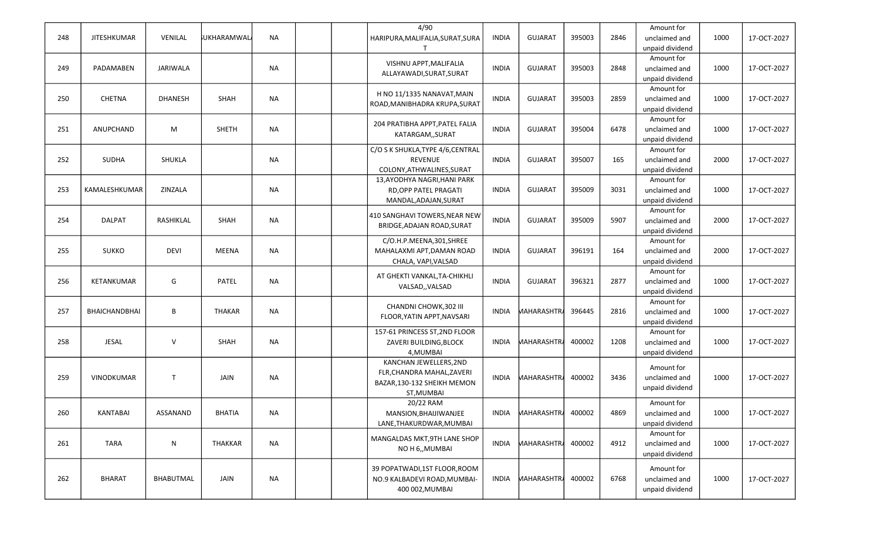| 248 | <b>JITESHKUMAR</b>   | VENILAL        | <b>JUKHARAMWAL</b> | <b>NA</b> |  | 4/90<br>HARIPURA, MALIFALIA, SURAT, SURA                                                          | <b>INDIA</b> | <b>GUJARAT</b>     | 395003 | 2846 | Amount for<br>unclaimed and<br>unpaid dividend | 1000 | 17-OCT-2027 |
|-----|----------------------|----------------|--------------------|-----------|--|---------------------------------------------------------------------------------------------------|--------------|--------------------|--------|------|------------------------------------------------|------|-------------|
| 249 | PADAMABEN            | JARIWALA       |                    | <b>NA</b> |  | VISHNU APPT, MALIFALIA<br>ALLAYAWADI, SURAT, SURAT                                                | <b>INDIA</b> | <b>GUJARAT</b>     | 395003 | 2848 | Amount for<br>unclaimed and<br>unpaid dividend | 1000 | 17-OCT-2027 |
| 250 | CHETNA               | <b>DHANESH</b> | SHAH               | <b>NA</b> |  | H NO 11/1335 NANAVAT, MAIN<br>ROAD, MANIBHADRA KRUPA, SURAT                                       | <b>INDIA</b> | <b>GUJARAT</b>     | 395003 | 2859 | Amount for<br>unclaimed and<br>unpaid dividend | 1000 | 17-OCT-2027 |
| 251 | ANUPCHAND            | M              | <b>SHETH</b>       | <b>NA</b> |  | 204 PRATIBHA APPT, PATEL FALIA<br>KATARGAM,, SURAT                                                | <b>INDIA</b> | <b>GUJARAT</b>     | 395004 | 6478 | Amount for<br>unclaimed and<br>unpaid dividend | 1000 | 17-OCT-2027 |
| 252 | <b>SUDHA</b>         | SHUKLA         |                    | <b>NA</b> |  | C/O S K SHUKLA, TYPE 4/6, CENTRAL<br><b>REVENUE</b><br>COLONY, ATHWALINES, SURAT                  | <b>INDIA</b> | <b>GUJARAT</b>     | 395007 | 165  | Amount for<br>unclaimed and<br>unpaid dividend | 2000 | 17-OCT-2027 |
| 253 | KAMALESHKUMAR        | ZINZALA        |                    | <b>NA</b> |  | 13, AYODHYA NAGRI, HANI PARK<br>RD, OPP PATEL PRAGATI<br>MANDAL, ADAJAN, SURAT                    | <b>INDIA</b> | <b>GUJARAT</b>     | 395009 | 3031 | Amount for<br>unclaimed and<br>unpaid dividend | 1000 | 17-OCT-2027 |
| 254 | <b>DALPAT</b>        | RASHIKLAL      | SHAH               | <b>NA</b> |  | 410 SANGHAVI TOWERS, NEAR NEW<br>BRIDGE, ADAJAN ROAD, SURAT                                       | <b>INDIA</b> | <b>GUJARAT</b>     | 395009 | 5907 | Amount for<br>unclaimed and<br>unpaid dividend | 2000 | 17-OCT-2027 |
| 255 | <b>SUKKO</b>         | <b>DEVI</b>    | <b>MEENA</b>       | <b>NA</b> |  | C/O.H.P.MEENA,301,SHREE<br>MAHALAXMI APT, DAMAN ROAD<br>CHALA, VAPI, VALSAD                       | <b>INDIA</b> | <b>GUJARAT</b>     | 396191 | 164  | Amount for<br>unclaimed and<br>unpaid dividend | 2000 | 17-OCT-2027 |
| 256 | KETANKUMAR           | G              | <b>PATEL</b>       | NA        |  | AT GHEKTI VANKAL, TA-CHIKHLI<br>VALSAD,, VALSAD                                                   | <b>INDIA</b> | <b>GUJARAT</b>     | 396321 | 2877 | Amount for<br>unclaimed and<br>unpaid dividend | 1000 | 17-OCT-2027 |
| 257 | <b>BHAICHANDBHAI</b> | В              | <b>THAKAR</b>      | <b>NA</b> |  | CHANDNI CHOWK, 302 III<br>FLOOR, YATIN APPT, NAVSARI                                              | <b>INDIA</b> | <b>MAHARASHTRA</b> | 396445 | 2816 | Amount for<br>unclaimed and<br>unpaid dividend | 1000 | 17-OCT-2027 |
| 258 | <b>JESAL</b>         | $\vee$         | SHAH               | <b>NA</b> |  | 157-61 PRINCESS ST, 2ND FLOOR<br>ZAVERI BUILDING, BLOCK<br>4, MUMBAI                              | <b>INDIA</b> | <b>MAHARASHTR</b>  | 400002 | 1208 | Amount for<br>unclaimed and<br>unpaid dividend | 1000 | 17-OCT-2027 |
| 259 | <b>VINODKUMAR</b>    | $\mathsf{T}$   | JAIN               | <b>NA</b> |  | KANCHAN JEWELLERS, 2ND<br>FLR, CHANDRA MAHAL, ZAVERI<br>BAZAR, 130-132 SHEIKH MEMON<br>ST, MUMBAI | INDIA        | MAHARASHTRA        | 400002 | 3436 | Amount for<br>unclaimed and<br>unpaid dividend | 1000 | 17-OCT-2027 |
| 260 | <b>KANTABAI</b>      | ASSANAND       | <b>BHATIA</b>      | <b>NA</b> |  | 20/22 RAM<br>MANSION.BHAIJIWANJEE<br>LANE, THAKURDWAR, MUMBAI                                     | INDIA        | <b>MAHARASHTRA</b> | 400002 | 4869 | Amount for<br>unclaimed and<br>unpaid dividend | 1000 | 17-OCT-2027 |
| 261 | <b>TARA</b>          | N              | <b>THAKKAR</b>     | <b>NA</b> |  | MANGALDAS MKT, 9TH LANE SHOP<br>NO H 6,, MUMBAI                                                   | INDIA        | <b>MAHARASHTRA</b> | 400002 | 4912 | Amount for<br>unclaimed and<br>unpaid dividend | 1000 | 17-OCT-2027 |
| 262 | <b>BHARAT</b>        | BHABUTMAL      | JAIN               | NA        |  | 39 POPATWADI,1ST FLOOR, ROOM<br>NO.9 KALBADEVI ROAD, MUMBAI-<br>400 002, MUMBAI                   | INDIA        | <b>MAHARASHTR</b>  | 400002 | 6768 | Amount for<br>unclaimed and<br>unpaid dividend | 1000 | 17-OCT-2027 |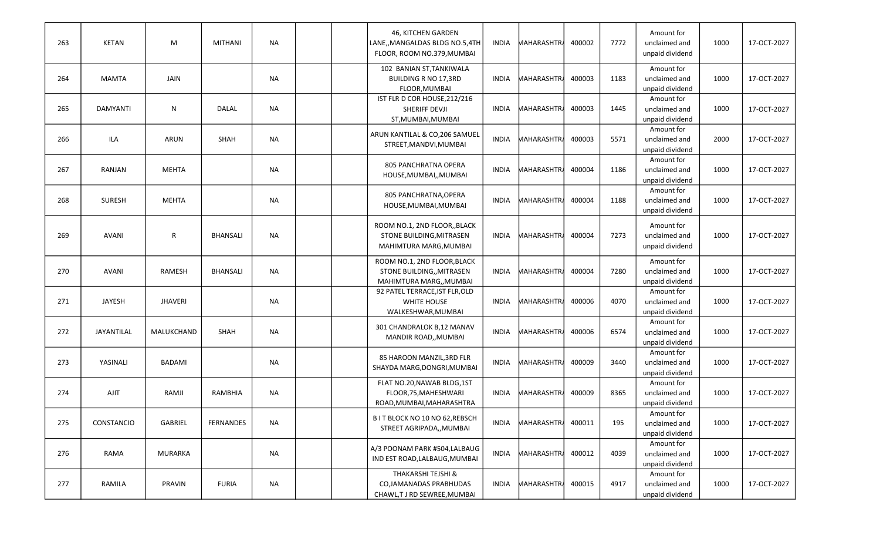| 263 | <b>KETAN</b>    | M              | <b>MITHANI</b>   | <b>NA</b> | 46, KITCHEN GARDEN<br>LANE,, MANGALDAS BLDG NO.5,4TH<br>FLOOR, ROOM NO.379, MUMBAI  | INDIA        | <b>MAHARASHTRA</b> | 400002 | 7772 | Amount for<br>unclaimed and<br>unpaid dividend | 1000 | 17-OCT-2027 |
|-----|-----------------|----------------|------------------|-----------|-------------------------------------------------------------------------------------|--------------|--------------------|--------|------|------------------------------------------------|------|-------------|
| 264 | <b>MAMTA</b>    | JAIN           |                  | <b>NA</b> | 102 BANIAN ST, TANKIWALA<br><b>BUILDING R NO 17,3RD</b><br>FLOOR, MUMBAI            | <b>INDIA</b> | <b>MAHARASHTR</b>  | 400003 | 1183 | Amount for<br>unclaimed and<br>unpaid dividend | 1000 | 17-OCT-2027 |
| 265 | <b>DAMYANTI</b> | ${\sf N}$      | <b>DALAL</b>     | <b>NA</b> | IST FLR D COR HOUSE, 212/216<br>SHERIFF DEVJI<br>ST, MUMBAI, MUMBAI                 | INDIA        | <b>MAHARASHTRA</b> | 400003 | 1445 | Amount for<br>unclaimed and<br>unpaid dividend | 1000 | 17-OCT-2027 |
| 266 | ILA             | ARUN           | SHAH             | <b>NA</b> | ARUN KANTILAL & CO, 206 SAMUEL<br>STREET, MANDVI, MUMBAI                            | INDIA        | <b>MAHARASHTRA</b> | 400003 | 5571 | Amount for<br>unclaimed and<br>unpaid dividend | 2000 | 17-OCT-2027 |
| 267 | RANJAN          | <b>MEHTA</b>   |                  | <b>NA</b> | 805 PANCHRATNA OPERA<br>HOUSE, MUMBAI,, MUMBAI                                      | <b>INDIA</b> | <b>MAHARASHTRA</b> | 400004 | 1186 | Amount for<br>unclaimed and<br>unpaid dividend | 1000 | 17-OCT-2027 |
| 268 | <b>SURESH</b>   | <b>MEHTA</b>   |                  | <b>NA</b> | 805 PANCHRATNA, OPERA<br>HOUSE, MUMBAI, MUMBAI                                      | <b>INDIA</b> | MAHARASHTRA        | 400004 | 1188 | Amount for<br>unclaimed and<br>unpaid dividend | 1000 | 17-OCT-2027 |
| 269 | <b>AVANI</b>    | $\mathsf{R}$   | <b>BHANSALI</b>  | <b>NA</b> | ROOM NO.1, 2ND FLOOR,, BLACK<br>STONE BUILDING, MITRASEN<br>MAHIMTURA MARG, MUMBAI  | <b>INDIA</b> | <b>MAHARASHTRA</b> | 400004 | 7273 | Amount for<br>unclaimed and<br>unpaid dividend | 1000 | 17-OCT-2027 |
| 270 | <b>AVANI</b>    | RAMESH         | <b>BHANSALI</b>  | <b>NA</b> | ROOM NO.1, 2ND FLOOR, BLACK<br>STONE BUILDING,, MITRASEN<br>MAHIMTURA MARG,, MUMBAI | INDIA        | <b>MAHARASHTRA</b> | 400004 | 7280 | Amount for<br>unclaimed and<br>unpaid dividend | 1000 | 17-OCT-2027 |
| 271 | JAYESH          | <b>JHAVERI</b> |                  | <b>NA</b> | 92 PATEL TERRACE, IST FLR, OLD<br>WHITE HOUSE<br>WALKESHWAR, MUMBAI                 | INDIA        | <b>MAHARASHTRA</b> | 400006 | 4070 | Amount for<br>unclaimed and<br>unpaid dividend | 1000 | 17-OCT-2027 |
| 272 | JAYANTILAL      | MALUKCHAND     | SHAH             | <b>NA</b> | 301 CHANDRALOK B,12 MANAV<br>MANDIR ROAD,, MUMBAI                                   | INDIA        | <b>MAHARASHTRA</b> | 400006 | 6574 | Amount for<br>unclaimed and<br>unpaid dividend | 1000 | 17-OCT-2027 |
| 273 | YASINALI        | <b>BADAMI</b>  |                  | <b>NA</b> | 85 HAROON MANZIL, 3RD FLR<br>SHAYDA MARG, DONGRI, MUMBAI                            | <b>INDIA</b> | <b>MAHARASHTRA</b> | 400009 | 3440 | Amount for<br>unclaimed and<br>unpaid dividend | 1000 | 17-OCT-2027 |
| 274 | <b>AJIT</b>     | RAMJI          | RAMBHIA          | <b>NA</b> | FLAT NO.20, NAWAB BLDG, 1ST<br>FLOOR, 75, MAHESHWARI<br>ROAD, MUMBAI, MAHARASHTRA   | INDIA        | <b>MAHARASHTRA</b> | 400009 | 8365 | Amount for<br>unclaimed and<br>unpaid dividend | 1000 | 17-OCT-2027 |
| 275 | CONSTANCIO      | GABRIEL        | <b>FERNANDES</b> | <b>NA</b> | B IT BLOCK NO 10 NO 62, REBSCH<br>STREET AGRIPADA,, MUMBAI                          | INDIA        | <b>MAHARASHTRA</b> | 400011 | 195  | Amount for<br>unclaimed and<br>unpaid dividend | 1000 | 17-OCT-2027 |
| 276 | RAMA            | <b>MURARKA</b> |                  | <b>NA</b> | A/3 POONAM PARK #504, LALBAUG<br>IND EST ROAD, LALBAUG, MUMBAI                      | <b>INDIA</b> | <b>MAHARASHTRA</b> | 400012 | 4039 | Amount for<br>unclaimed and<br>unpaid dividend | 1000 | 17-OCT-2027 |
| 277 | RAMILA          | PRAVIN         | <b>FURIA</b>     | <b>NA</b> | THAKARSHI TEJSHI &<br>CO, JAMANADAS PRABHUDAS<br>CHAWL,T J RD SEWREE, MUMBAI        | INDIA        | <b>MAHARASHTRA</b> | 400015 | 4917 | Amount for<br>unclaimed and<br>unpaid dividend | 1000 | 17-OCT-2027 |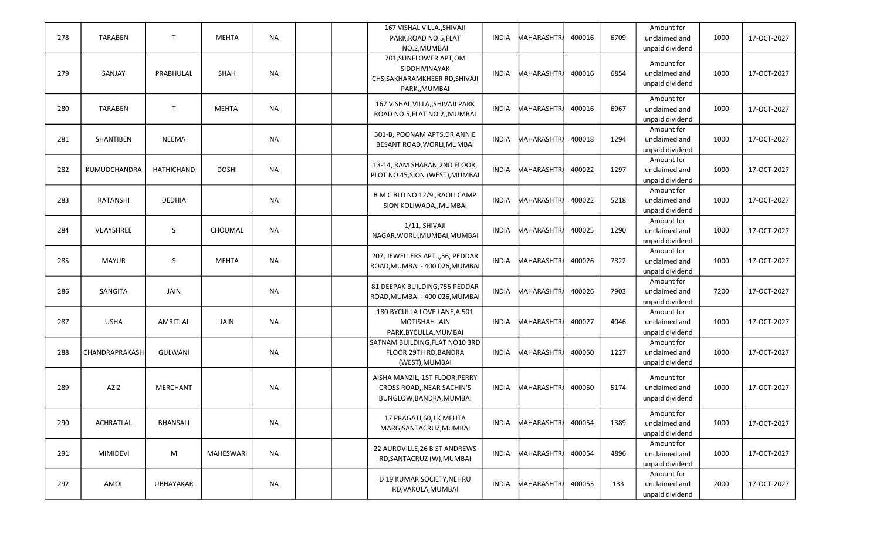| 278 | <b>TARABEN</b>  | $\mathsf{T}$     | <b>MEHTA</b> | <b>NA</b> |  | 167 VISHAL VILLA., SHIVAJI<br>PARK, ROAD NO.5, FLAT<br>NO.2, MUMBAI                        | <b>INDIA</b> | <b>MAHARASHTRA</b> | 400016 | 6709 | Amount for<br>unclaimed and<br>unpaid dividend | 1000 | 17-OCT-2027 |
|-----|-----------------|------------------|--------------|-----------|--|--------------------------------------------------------------------------------------------|--------------|--------------------|--------|------|------------------------------------------------|------|-------------|
| 279 | SANJAY          | PRABHULAL        | SHAH         | <b>NA</b> |  | 701, SUNFLOWER APT, OM<br>SIDDHIVINAYAK<br>CHS, SAKHARAMKHEER RD, SHIVAJI<br>PARK,, MUMBAI | INDIA        | <b>MAHARASHTRA</b> | 400016 | 6854 | Amount for<br>unclaimed and<br>unpaid dividend | 1000 | 17-OCT-2027 |
| 280 | <b>TARABEN</b>  | $\mathsf{T}$     | MEHTA        | <b>NA</b> |  | 167 VISHAL VILLA,, SHIVAJI PARK<br>ROAD NO.5, FLAT NO.2, MUMBAI                            | <b>INDIA</b> | <b>MAHARASHTRA</b> | 400016 | 6967 | Amount for<br>unclaimed and<br>unpaid dividend | 1000 | 17-OCT-2027 |
| 281 | SHANTIBEN       | <b>NEEMA</b>     |              | <b>NA</b> |  | 501-B, POONAM APTS, DR ANNIE<br>BESANT ROAD, WORLI, MUMBAI                                 | <b>INDIA</b> | <b>MAHARASHTRA</b> | 400018 | 1294 | Amount for<br>unclaimed and<br>unpaid dividend | 1000 | 17-OCT-2027 |
| 282 | KUMUDCHANDRA    | HATHICHAND       | <b>DOSHI</b> | <b>NA</b> |  | 13-14, RAM SHARAN, 2ND FLOOR,<br>PLOT NO 45, SION (WEST), MUMBAI                           | <b>INDIA</b> | <b>MAHARASHTRA</b> | 400022 | 1297 | Amount for<br>unclaimed and<br>unpaid dividend | 1000 | 17-OCT-2027 |
| 283 | RATANSHI        | DEDHIA           |              | <b>NA</b> |  | B M C BLD NO 12/9,, RAOLI CAMP<br>SION KOLIWADA,, MUMBAI                                   | <b>INDIA</b> | <b>MAHARASHTRA</b> | 400022 | 5218 | Amount for<br>unclaimed and<br>unpaid dividend | 1000 | 17-OCT-2027 |
| 284 | VIJAYSHREE      | S                | CHOUMAL      | <b>NA</b> |  | 1/11. SHIVAJI<br>NAGAR, WORLI, MUMBAI, MUMBAI                                              | <b>INDIA</b> | <b>MAHARASHTRA</b> | 400025 | 1290 | Amount for<br>unclaimed and<br>unpaid dividend | 1000 | 17-OCT-2027 |
| 285 | <b>MAYUR</b>    | S                | <b>MEHTA</b> | <b>NA</b> |  | 207, JEWELLERS APT.,,56, PEDDAR<br>ROAD, MUMBAI - 400 026, MUMBAI                          | <b>INDIA</b> | <b>MAHARASHTRA</b> | 400026 | 7822 | Amount for<br>unclaimed and<br>unpaid dividend | 1000 | 17-OCT-2027 |
| 286 | SANGITA         | JAIN             |              | <b>NA</b> |  | 81 DEEPAK BUILDING, 755 PEDDAR<br>ROAD, MUMBAI - 400 026, MUMBAI                           | <b>INDIA</b> | <b>MAHARASHTRA</b> | 400026 | 7903 | Amount for<br>unclaimed and<br>unpaid dividend | 7200 | 17-OCT-2027 |
| 287 | <b>USHA</b>     | AMRITLAL         | JAIN         | <b>NA</b> |  | 180 BYCULLA LOVE LANE, A 501<br>MOTISHAH JAIN<br>PARK, BYCULLA, MUMBAI                     | <b>INDIA</b> | <b>MAHARASHTRA</b> | 400027 | 4046 | Amount for<br>unclaimed and<br>unpaid dividend | 1000 | 17-OCT-2027 |
| 288 | CHANDRAPRAKASH  | GULWANI          |              | <b>NA</b> |  | SATNAM BUILDING, FLAT NO10 3RD<br>FLOOR 29TH RD, BANDRA<br>(WEST), MUMBAI                  | <b>INDIA</b> | <b>MAHARASHTR</b>  | 400050 | 1227 | Amount for<br>unclaimed and<br>unpaid dividend | 1000 | 17-OCT-2027 |
| 289 | AZIZ            | <b>MERCHANT</b>  |              | <b>NA</b> |  | AISHA MANZIL, 1ST FLOOR, PERRY<br>CROSS ROAD,, NEAR SACHIN'S<br>BUNGLOW, BANDRA, MUMBAI    | INDIA        | <b>MAHARASHTR</b>  | 400050 | 5174 | Amount for<br>unclaimed and<br>unpaid dividend | 1000 | 17-OCT-2027 |
| 290 | ACHRATLAL       | BHANSALI         |              | <b>NA</b> |  | 17 PRAGATI, 60, J K MEHTA<br>MARG, SANTACRUZ, MUMBAI                                       | <b>INDIA</b> | <b>MAHARASHTRA</b> | 400054 | 1389 | Amount for<br>unclaimed and<br>unpaid dividend | 1000 | 17-OCT-2027 |
| 291 | <b>MIMIDEVI</b> | M                | MAHESWARI    | <b>NA</b> |  | 22 AUROVILLE, 26 B ST ANDREWS<br>RD, SANTACRUZ (W), MUMBAI                                 | <b>INDIA</b> | <b>MAHARASHTR</b>  | 400054 | 4896 | Amount for<br>unclaimed and<br>unpaid dividend | 1000 | 17-OCT-2027 |
| 292 | AMOL            | <b>UBHAYAKAR</b> |              | <b>NA</b> |  | D 19 KUMAR SOCIETY, NEHRU<br>RD, VAKOLA, MUMBAI                                            | <b>INDIA</b> | <b>MAHARASHTR</b>  | 400055 | 133  | Amount for<br>unclaimed and<br>unpaid dividend | 2000 | 17-OCT-2027 |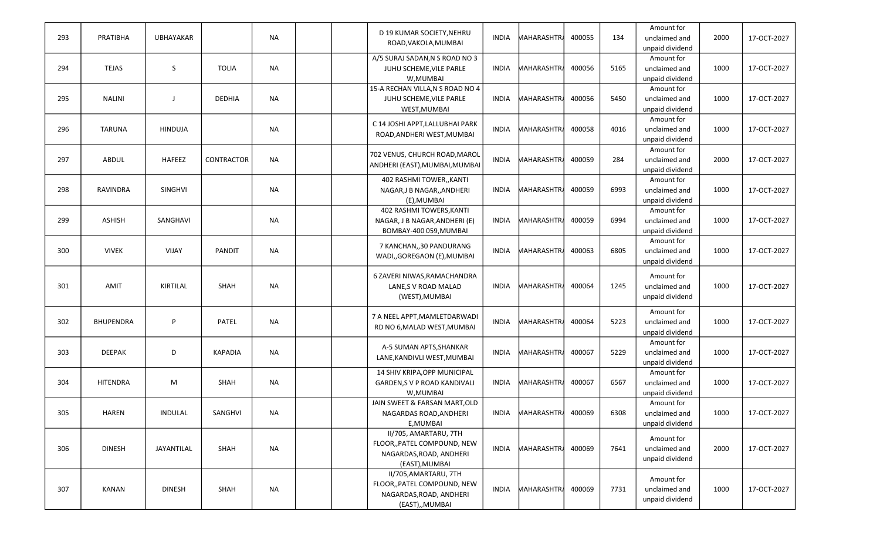|     |                  |                  |                |           | D 19 KUMAR SOCIETY, NEHRU        |              |                    |        |      | Amount for      |      |             |
|-----|------------------|------------------|----------------|-----------|----------------------------------|--------------|--------------------|--------|------|-----------------|------|-------------|
| 293 | PRATIBHA         | <b>UBHAYAKAR</b> |                | <b>NA</b> |                                  | INDIA        | <b>MAHARASHTRA</b> | 400055 | 134  | unclaimed and   | 2000 | 17-OCT-2027 |
|     |                  |                  |                |           | ROAD, VAKOLA, MUMBAI             |              |                    |        |      | unpaid dividend |      |             |
|     |                  |                  |                |           | A/5 SURAJ SADAN, N S ROAD NO 3   |              |                    |        |      | Amount for      |      |             |
| 294 | <b>TEJAS</b>     | S.               | <b>TOLIA</b>   | <b>NA</b> | JUHU SCHEME, VILE PARLE          | <b>INDIA</b> | <b>MAHARASHTRA</b> | 400056 | 5165 | unclaimed and   | 1000 | 17-OCT-2027 |
|     |                  |                  |                |           | W, MUMBAI                        |              |                    |        |      | unpaid dividend |      |             |
|     |                  |                  |                |           | 15-A RECHAN VILLA, N S ROAD NO 4 |              |                    |        |      | Amount for      |      |             |
| 295 | <b>NALINI</b>    | J                | <b>DEDHIA</b>  | <b>NA</b> | JUHU SCHEME, VILE PARLE          | <b>INDIA</b> | <b>MAHARASHTRA</b> | 400056 | 5450 | unclaimed and   | 1000 | 17-OCT-2027 |
|     |                  |                  |                |           | WEST, MUMBAI                     |              |                    |        |      | unpaid dividend |      |             |
|     |                  |                  |                |           |                                  |              |                    |        |      | Amount for      |      |             |
| 296 |                  |                  |                | <b>NA</b> | C 14 JOSHI APPT, LALLUBHAI PARK  |              | <b>MAHARASHTRA</b> | 400058 | 4016 |                 | 1000 | 17-OCT-2027 |
|     | <b>TARUNA</b>    | <b>HINDUJA</b>   |                |           | ROAD, ANDHERI WEST, MUMBAI       | <b>INDIA</b> |                    |        |      | unclaimed and   |      |             |
|     |                  |                  |                |           |                                  |              |                    |        |      | unpaid dividend |      |             |
|     |                  |                  |                |           | 702 VENUS, CHURCH ROAD, MAROL    |              |                    |        |      | Amount for      |      |             |
| 297 | ABDUL            | <b>HAFEEZ</b>    | CONTRACTOR     | <b>NA</b> | ANDHERI (EAST), MUMBAI, MUMBAI   | <b>INDIA</b> | <b>MAHARASHTRA</b> | 400059 | 284  | unclaimed and   | 2000 | 17-OCT-2027 |
|     |                  |                  |                |           |                                  |              |                    |        |      | unpaid dividend |      |             |
|     |                  |                  |                |           | 402 RASHMI TOWER,, KANTI         |              |                    |        |      | Amount for      |      |             |
| 298 | <b>RAVINDRA</b>  | <b>SINGHVI</b>   |                | <b>NA</b> | NAGAR, J B NAGAR, , ANDHERI      | INDIA        | <b>MAHARASHTRA</b> | 400059 | 6993 | unclaimed and   | 1000 | 17-OCT-2027 |
|     |                  |                  |                |           | (E), MUMBAI                      |              |                    |        |      | unpaid dividend |      |             |
|     |                  |                  |                |           | 402 RASHMI TOWERS, KANTI         |              |                    |        |      | Amount for      |      |             |
| 299 | <b>ASHISH</b>    | SANGHAVI         |                | <b>NA</b> | NAGAR, J B NAGAR, ANDHERI (E)    | <b>INDIA</b> | <b>MAHARASHTRA</b> | 400059 | 6994 | unclaimed and   | 1000 | 17-OCT-2027 |
|     |                  |                  |                |           | BOMBAY-400 059, MUMBAI           |              |                    |        |      | unpaid dividend |      |             |
|     |                  |                  |                |           |                                  |              |                    |        |      | Amount for      |      |             |
| 300 | <b>VIVEK</b>     | VIJAY            | <b>PANDIT</b>  | NA        | 7 KANCHAN,, 30 PANDURANG         | <b>INDIA</b> | <b>MAHARASHTRA</b> | 400063 | 6805 | unclaimed and   | 1000 | 17-OCT-2027 |
|     |                  |                  |                |           | WADI,,GOREGAON (E),MUMBAI        |              |                    |        |      | unpaid dividend |      |             |
|     |                  |                  |                |           |                                  |              |                    |        |      |                 |      |             |
|     |                  |                  |                |           | 6 ZAVERI NIWAS, RAMACHANDRA      |              |                    |        |      | Amount for      |      |             |
| 301 | AMIT             | KIRTILAL         | SHAH           | NA        | LANE,S V ROAD MALAD              | <b>INDIA</b> | <b>MAHARASHTRA</b> | 400064 | 1245 | unclaimed and   | 1000 | 17-OCT-2027 |
|     |                  |                  |                |           | (WEST), MUMBAI                   |              |                    |        |      | unpaid dividend |      |             |
|     |                  |                  |                |           |                                  |              |                    |        |      | Amount for      |      |             |
|     |                  |                  |                |           | 7 A NEEL APPT, MAMLETDARWADI     |              |                    |        |      |                 |      |             |
| 302 | <b>BHUPENDRA</b> | P                | PATEL          | <b>NA</b> | RD NO 6, MALAD WEST, MUMBAI      | <b>INDIA</b> | <b>MAHARASHTR</b>  | 400064 | 5223 | unclaimed and   | 1000 | 17-OCT-2027 |
|     |                  |                  |                |           |                                  |              |                    |        |      | unpaid dividend |      |             |
|     |                  |                  |                |           | A-5 SUMAN APTS, SHANKAR          |              |                    |        |      | Amount for      |      |             |
| 303 | <b>DEEPAK</b>    | D                | <b>KAPADIA</b> | <b>NA</b> | LANE, KANDIVLI WEST, MUMBAI      | INDIA        | <b>MAHARASHTRA</b> | 400067 | 5229 | unclaimed and   | 1000 | 17-OCT-2027 |
|     |                  |                  |                |           |                                  |              |                    |        |      | unpaid dividend |      |             |
|     |                  |                  |                |           | 14 SHIV KRIPA, OPP MUNICIPAL     |              |                    |        |      | Amount for      |      |             |
| 304 | <b>HITENDRA</b>  | M                | SHAH           | NA        | GARDEN, S V P ROAD KANDIVALI     | <b>INDIA</b> | <b>MAHARASHTRA</b> | 400067 | 6567 | unclaimed and   | 1000 | 17-OCT-2027 |
|     |                  |                  |                |           | W, MUMBAI                        |              |                    |        |      | unpaid dividend |      |             |
|     |                  |                  |                |           | JAIN SWEET & FARSAN MART, OLD    |              |                    |        |      | Amount for      |      |             |
| 305 | HAREN            | <b>INDULAL</b>   | SANGHVI        | <b>NA</b> | NAGARDAS ROAD, ANDHERI           | INDIA        | <b>MAHARASHTRA</b> | 400069 | 6308 | unclaimed and   | 1000 | 17-OCT-2027 |
|     |                  |                  |                |           | E, MUMBAI                        |              |                    |        |      | unpaid dividend |      |             |
|     |                  |                  |                |           | II/705, AMARTARU, 7TH            |              |                    |        |      |                 |      |             |
|     |                  |                  |                |           | FLOOR,, PATEL COMPOUND, NEW      |              |                    |        |      | Amount for      |      |             |
| 306 | <b>DINESH</b>    | JAYANTILAL       | SHAH           | NA        | NAGARDAS, ROAD, ANDHERI          | INDIA        | <b>MAHARASHTR</b>  | 400069 | 7641 | unclaimed and   | 2000 | 17-OCT-2027 |
|     |                  |                  |                |           | (EAST), MUMBAI                   |              |                    |        |      | unpaid dividend |      |             |
|     |                  |                  |                |           | II/705, AMARTARU, 7TH            |              |                    |        |      |                 |      |             |
|     |                  |                  |                |           | FLOOR, PATEL COMPOUND, NEW       |              |                    |        |      | Amount for      |      |             |
| 307 | KANAN            | <b>DINESH</b>    | SHAH           | NA        | NAGARDAS, ROAD, ANDHERI          | INDIA        | <b>MAHARASHTR</b>  | 400069 | 7731 | unclaimed and   | 1000 | 17-OCT-2027 |
|     |                  |                  |                |           |                                  |              |                    |        |      | unpaid dividend |      |             |
|     |                  |                  |                |           | (EAST),, MUMBAI                  |              |                    |        |      |                 |      |             |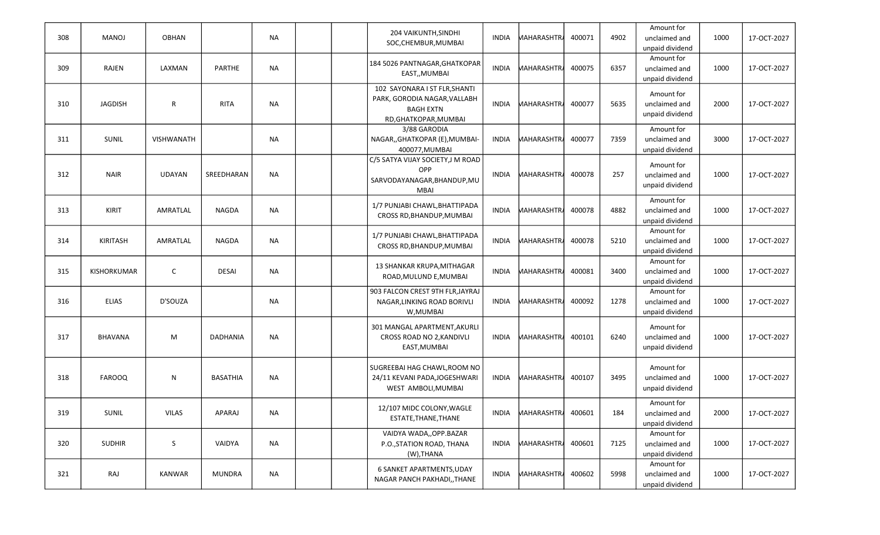| 308 | <b>MANOJ</b>       | <b>OBHAN</b>      |                 | <b>NA</b> |  | 204 VAIKUNTH, SINDHI<br>SOC, CHEMBUR, MUMBAI                                                               | <b>INDIA</b> | <b>MAHARASHTRA</b> | 400071 | 4902 | Amount for<br>unclaimed and<br>unpaid dividend | 1000 | 17-OCT-2027 |
|-----|--------------------|-------------------|-----------------|-----------|--|------------------------------------------------------------------------------------------------------------|--------------|--------------------|--------|------|------------------------------------------------|------|-------------|
| 309 | <b>RAJEN</b>       | LAXMAN            | <b>PARTHE</b>   | <b>NA</b> |  | 184 5026 PANTNAGAR, GHATKOPAR<br>EAST,, MUMBAI                                                             | <b>INDIA</b> | MAHARASHTRA        | 400075 | 6357 | Amount for<br>unclaimed and<br>unpaid dividend | 1000 | 17-OCT-2027 |
| 310 | <b>JAGDISH</b>     | $\mathsf{R}$      | <b>RITA</b>     | <b>NA</b> |  | 102 SAYONARA I ST FLR, SHANTI<br>PARK, GORODIA NAGAR, VALLABH<br><b>BAGH EXTN</b><br>RD, GHATKOPAR, MUMBAI | <b>INDIA</b> | <b>MAHARASHTRA</b> | 400077 | 5635 | Amount for<br>unclaimed and<br>unpaid dividend | 2000 | 17-OCT-2027 |
| 311 | SUNIL              | <b>VISHWANATH</b> |                 | <b>NA</b> |  | 3/88 GARODIA<br>NAGAR,, GHATKOPAR (E), MUMBAI-<br>400077, MUMBAI                                           | <b>INDIA</b> | <b>MAHARASHTRA</b> | 400077 | 7359 | Amount for<br>unclaimed and<br>unpaid dividend | 3000 | 17-OCT-2027 |
| 312 | <b>NAIR</b>        | <b>UDAYAN</b>     | SREEDHARAN      | <b>NA</b> |  | C/5 SATYA VIJAY SOCIETY, J M ROAD<br>OPP<br>SARVODAYANAGAR, BHANDUP, MU<br><b>MBAI</b>                     | <b>INDIA</b> | <b>MAHARASHTR</b>  | 400078 | 257  | Amount for<br>unclaimed and<br>unpaid dividend | 1000 | 17-OCT-2027 |
| 313 | KIRIT              | AMRATLAL          | <b>NAGDA</b>    | <b>NA</b> |  | 1/7 PUNJABI CHAWL, BHATTIPADA<br>CROSS RD, BHANDUP, MUMBAI                                                 | <b>INDIA</b> | <b>MAHARASHTRA</b> | 400078 | 4882 | Amount for<br>unclaimed and<br>unpaid dividend | 1000 | 17-OCT-2027 |
| 314 | KIRITASH           | AMRATLAL          | <b>NAGDA</b>    | <b>NA</b> |  | 1/7 PUNJABI CHAWL, BHATTIPADA<br>CROSS RD, BHANDUP, MUMBAI                                                 | <b>INDIA</b> | <b>MAHARASHTRA</b> | 400078 | 5210 | Amount for<br>unclaimed and<br>unpaid dividend | 1000 | 17-OCT-2027 |
| 315 | <b>KISHORKUMAR</b> | C                 | <b>DESAI</b>    | <b>NA</b> |  | 13 SHANKAR KRUPA, MITHAGAR<br>ROAD, MULUND E, MUMBAI                                                       | <b>INDIA</b> | <b>MAHARASHTRA</b> | 400081 | 3400 | Amount for<br>unclaimed and<br>unpaid dividend | 1000 | 17-OCT-2027 |
| 316 | <b>ELIAS</b>       | D'SOUZA           |                 | <b>NA</b> |  | 903 FALCON CREST 9TH FLR, JAYRAJ<br>NAGAR, LINKING ROAD BORIVLI<br>W, MUMBAI                               | <b>INDIA</b> | <b>MAHARASHTRA</b> | 400092 | 1278 | Amount for<br>unclaimed and<br>unpaid dividend | 1000 | 17-OCT-2027 |
| 317 | <b>BHAVANA</b>     | M                 | <b>DADHANIA</b> | <b>NA</b> |  | 301 MANGAL APARTMENT, AKURLI<br>CROSS ROAD NO 2, KANDIVLI<br>EAST, MUMBAI                                  | <b>INDIA</b> | <b>MAHARASHTRA</b> | 400101 | 6240 | Amount for<br>unclaimed and<br>unpaid dividend | 1000 | 17-OCT-2027 |
| 318 | <b>FAROOQ</b>      | N                 | <b>BASATHIA</b> | <b>NA</b> |  | SUGREEBAI HAG CHAWL, ROOM NO<br>24/11 KEVANI PADA, JOGESHWARI<br>WEST AMBOLI, MUMBAI                       | <b>INDIA</b> | <b>MAHARASHTRA</b> | 400107 | 3495 | Amount for<br>unclaimed and<br>unpaid dividend | 1000 | 17-OCT-2027 |
| 319 | SUNIL              | <b>VILAS</b>      | APARAJ          | <b>NA</b> |  | 12/107 MIDC COLONY, WAGLE<br>ESTATE, THANE, THANE                                                          | INDIA        | <b>MAHARASHTRA</b> | 400601 | 184  | Amount for<br>unclaimed and<br>unpaid dividend | 2000 | 17-OCT-2027 |
| 320 | <b>SUDHIR</b>      | S                 | VAIDYA          | <b>NA</b> |  | VAIDYA WADA,, OPP.BAZAR<br>P.O., STATION ROAD, THANA<br>(W), THANA                                         | INDIA        | <b>MAHARASHTRA</b> | 400601 | 7125 | Amount for<br>unclaimed and<br>unpaid dividend | 1000 | 17-OCT-2027 |
| 321 | RAJ                | KANWAR            | <b>MUNDRA</b>   | <b>NA</b> |  | 6 SANKET APARTMENTS, UDAY<br>NAGAR PANCH PAKHADI,, THANE                                                   | <b>INDIA</b> | <b>MAHARASHTR</b>  | 400602 | 5998 | Amount for<br>unclaimed and<br>unpaid dividend | 1000 | 17-OCT-2027 |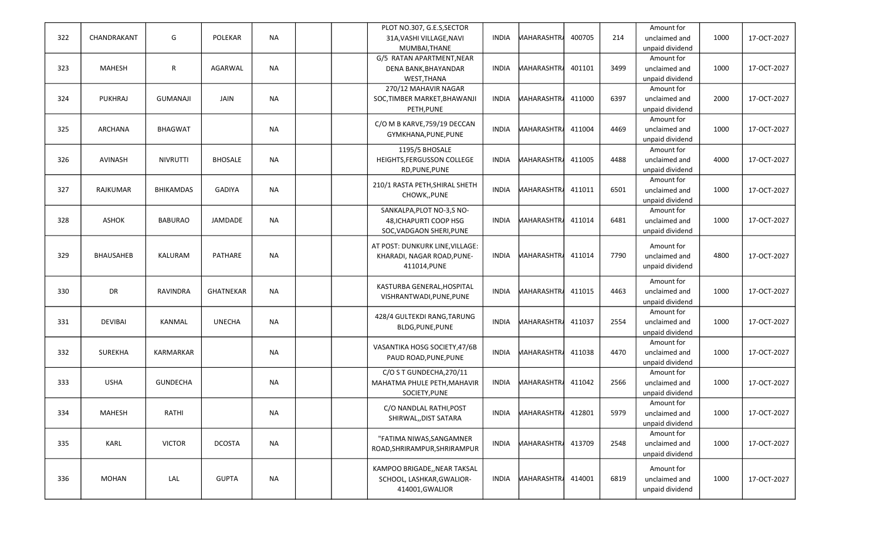|     |                  |                  |                  |           |  | PLOT NO.307, G.E.S, SECTOR      |              |                       |        |      | Amount for      |      |             |
|-----|------------------|------------------|------------------|-----------|--|---------------------------------|--------------|-----------------------|--------|------|-----------------|------|-------------|
| 322 | CHANDRAKANT      | G                | <b>POLEKAR</b>   | <b>NA</b> |  | 31A, VASHI VILLAGE, NAVI        | <b>INDIA</b> | <b>MAHARASHTR</b>     | 400705 | 214  | unclaimed and   | 1000 | 17-OCT-2027 |
|     |                  |                  |                  |           |  | MUMBAI, THANE                   |              |                       |        |      | unpaid dividend |      |             |
|     |                  |                  |                  |           |  | G/5 RATAN APARTMENT, NEAR       |              |                       |        |      | Amount for      |      |             |
| 323 | <b>MAHESH</b>    | $\mathsf{R}$     | AGARWAL          | <b>NA</b> |  | DENA BANK, BHAYANDAR            | <b>INDIA</b> | <b>MAHARASHTRA</b>    | 401101 | 3499 | unclaimed and   | 1000 | 17-OCT-2027 |
|     |                  |                  |                  |           |  | WEST, THANA                     |              |                       |        |      | unpaid dividend |      |             |
|     |                  |                  |                  |           |  | 270/12 MAHAVIR NAGAR            |              |                       |        |      | Amount for      |      |             |
| 324 | PUKHRAJ          | <b>GUMANAJI</b>  | JAIN             | <b>NA</b> |  | SOC, TIMBER MARKET, BHAWANJI    | <b>INDIA</b> | MAHARASHTR <i>i</i> l | 411000 | 6397 | unclaimed and   | 2000 | 17-OCT-2027 |
|     |                  |                  |                  |           |  | PETH, PUNE                      |              |                       |        |      | unpaid dividend |      |             |
|     |                  |                  |                  |           |  |                                 |              |                       |        |      | Amount for      |      |             |
| 325 | ARCHANA          | <b>BHAGWAT</b>   |                  | <b>NA</b> |  | C/O M B KARVE, 759/19 DECCAN    | <b>INDIA</b> | <b>MAHARASHTRA</b>    | 411004 | 4469 | unclaimed and   | 1000 | 17-OCT-2027 |
|     |                  |                  |                  |           |  | GYMKHANA, PUNE, PUNE            |              |                       |        |      | unpaid dividend |      |             |
|     |                  |                  |                  |           |  | 1195/5 BHOSALE                  |              |                       |        |      | Amount for      |      |             |
| 326 | AVINASH          | <b>NIVRUTTI</b>  | <b>BHOSALE</b>   | <b>NA</b> |  | HEIGHTS, FERGUSSON COLLEGE      | <b>INDIA</b> | <b>MAHARASHTRA</b>    | 411005 | 4488 | unclaimed and   | 4000 | 17-OCT-2027 |
|     |                  |                  |                  |           |  | RD, PUNE, PUNE                  |              |                       |        |      | unpaid dividend |      |             |
|     |                  |                  |                  |           |  |                                 |              |                       |        |      | Amount for      |      |             |
| 327 | RAJKUMAR         | <b>BHIKAMDAS</b> | <b>GADIYA</b>    | <b>NA</b> |  | 210/1 RASTA PETH, SHIRAL SHETH  | <b>INDIA</b> | <b>MAHARASHTRA</b>    | 411011 | 6501 | unclaimed and   | 1000 | 17-OCT-2027 |
|     |                  |                  |                  |           |  | CHOWK,, PUNE                    |              |                       |        |      | unpaid dividend |      |             |
|     |                  |                  |                  |           |  | SANKALPA, PLOT NO-3, S NO-      |              |                       |        |      | Amount for      |      |             |
| 328 | ASHOK            | <b>BABURAO</b>   | JAMDADE          | <b>NA</b> |  | 48, ICHAPURTI COOP HSG          | <b>INDIA</b> | <b>MAHARASHTRA</b>    | 411014 | 6481 | unclaimed and   | 1000 | 17-OCT-2027 |
|     |                  |                  |                  |           |  | SOC, VADGAON SHERI, PUNE        |              |                       |        |      | unpaid dividend |      |             |
|     |                  |                  |                  |           |  |                                 |              |                       |        |      |                 |      |             |
|     |                  |                  |                  |           |  | AT POST: DUNKURK LINE, VILLAGE: |              |                       |        |      | Amount for      |      |             |
| 329 | <b>BHAUSAHEB</b> | KALURAM          | PATHARE          | <b>NA</b> |  | KHARADI, NAGAR ROAD, PUNE-      | <b>INDIA</b> | <b>MAHARASHTRA</b>    | 411014 | 7790 | unclaimed and   | 4800 | 17-OCT-2027 |
|     |                  |                  |                  |           |  | 411014, PUNE                    |              |                       |        |      | unpaid dividend |      |             |
|     |                  |                  |                  |           |  |                                 |              |                       |        |      | Amount for      |      |             |
| 330 | <b>DR</b>        | <b>RAVINDRA</b>  | <b>GHATNEKAR</b> | <b>NA</b> |  | KASTURBA GENERAL, HOSPITAL      | <b>INDIA</b> | <b>MAHARASHTRA</b>    | 411015 | 4463 | unclaimed and   | 1000 | 17-OCT-2027 |
|     |                  |                  |                  |           |  | VISHRANTWADI, PUNE, PUNE        |              |                       |        |      | unpaid dividend |      |             |
|     |                  |                  |                  |           |  |                                 |              |                       |        |      | Amount for      |      |             |
| 331 | <b>DEVIBAI</b>   | KANMAL           | <b>UNECHA</b>    | <b>NA</b> |  | 428/4 GULTEKDI RANG, TARUNG     | <b>INDIA</b> | <b>MAHARASHTRA</b>    | 411037 | 2554 | unclaimed and   | 1000 | 17-OCT-2027 |
|     |                  |                  |                  |           |  | BLDG, PUNE, PUNE                |              |                       |        |      | unpaid dividend |      |             |
|     |                  |                  |                  |           |  |                                 |              |                       |        |      | Amount for      |      |             |
| 332 | <b>SUREKHA</b>   | KARMARKAR        |                  | <b>NA</b> |  | VASANTIKA HOSG SOCIETY, 47/6B   | <b>INDIA</b> | <b>MAHARASHTRA</b>    | 411038 | 4470 | unclaimed and   | 1000 | 17-OCT-2027 |
|     |                  |                  |                  |           |  | PAUD ROAD, PUNE, PUNE           |              |                       |        |      | unpaid dividend |      |             |
|     |                  |                  |                  |           |  | C/O S T GUNDECHA, 270/11        |              |                       |        |      | Amount for      |      |             |
| 333 | <b>USHA</b>      | <b>GUNDECHA</b>  |                  | <b>NA</b> |  | MAHATMA PHULE PETH, MAHAVIR     | <b>INDIA</b> | <b>MAHARASHTRA</b>    | 411042 | 2566 | unclaimed and   | 1000 | 17-OCT-2027 |
|     |                  |                  |                  |           |  | SOCIETY, PUNE                   |              |                       |        |      | unpaid dividend |      |             |
|     |                  |                  |                  |           |  |                                 |              |                       |        |      | Amount for      |      |             |
| 334 | <b>MAHESH</b>    | RATHI            |                  | NA        |  | C/O NANDLAL RATHI, POST         | INDIA        | MAHARASHTRA 412801    |        | 5979 | unclaimed and   | 1000 | 17-OCT-2027 |
|     |                  |                  |                  |           |  | SHIRWAL, DIST SATARA            |              |                       |        |      | unpaid dividend |      |             |
|     |                  |                  |                  |           |  |                                 |              |                       |        |      | Amount for      |      |             |
| 335 | KARL             | <b>VICTOR</b>    | <b>DCOSTA</b>    | <b>NA</b> |  | "FATIMA NIWAS, SANGAMNER        | <b>INDIA</b> | <b>MAHARASHTR</b>     | 413709 | 2548 | unclaimed and   | 1000 | 17-OCT-2027 |
|     |                  |                  |                  |           |  | ROAD, SHRIRAMPUR, SHRIRAMPUR    |              |                       |        |      | unpaid dividend |      |             |
|     |                  |                  |                  |           |  |                                 |              |                       |        |      |                 |      |             |
|     |                  |                  |                  |           |  | KAMPOO BRIGADE,, NEAR TAKSAL    |              |                       |        |      | Amount for      |      |             |
| 336 | <b>MOHAN</b>     | LAL              | <b>GUPTA</b>     | <b>NA</b> |  | SCHOOL, LASHKAR, GWALIOR-       | INDIA        | MAHARASHTRA           | 414001 | 6819 | unclaimed and   | 1000 | 17-OCT-2027 |
|     |                  |                  |                  |           |  | 414001, GWALIOR                 |              |                       |        |      | unpaid dividend |      |             |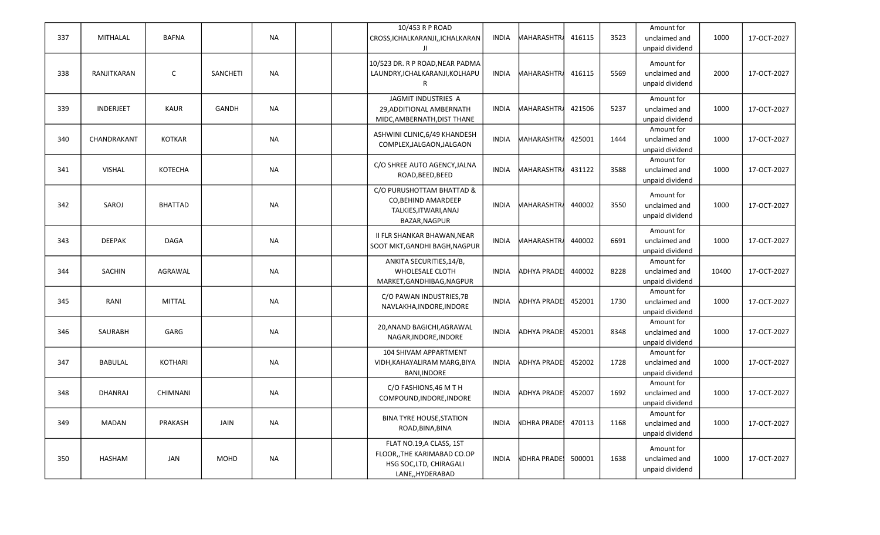| 337 | <b>MITHALAL</b>  | <b>BAFNA</b>   |              | <b>NA</b> | 10/453 R P ROAD<br>CROSS, ICHALKARANJI, , ICHALKARAN<br>JI                                             | <b>INDIA</b> | MAHARASHTR <i>i</i> | 416115 | 3523 | Amount for<br>unclaimed and<br>unpaid dividend | 1000  | 17-OCT-2027 |
|-----|------------------|----------------|--------------|-----------|--------------------------------------------------------------------------------------------------------|--------------|---------------------|--------|------|------------------------------------------------|-------|-------------|
| 338 | RANJITKARAN      | $\mathsf{C}$   | SANCHETI     | <b>NA</b> | 10/523 DR. R P ROAD, NEAR PADMA<br>LAUNDRY, ICHALKARANJI, KOLHAPU<br>R                                 | <b>INDIA</b> | <b>MAHARASHTRA</b>  | 416115 | 5569 | Amount for<br>unclaimed and<br>unpaid dividend | 2000  | 17-OCT-2027 |
| 339 | <b>INDERJEET</b> | <b>KAUR</b>    | <b>GANDH</b> | <b>NA</b> | JAGMIT INDUSTRIES A<br>29, ADDITIONAL AMBERNATH<br>MIDC, AMBERNATH, DIST THANE                         | <b>INDIA</b> | <b>MAHARASHTRA</b>  | 421506 | 5237 | Amount for<br>unclaimed and<br>unpaid dividend | 1000  | 17-OCT-2027 |
| 340 | CHANDRAKANT      | KOTKAR         |              | <b>NA</b> | ASHWINI CLINIC, 6/49 KHANDESH<br>COMPLEX, JALGAON, JALGAON                                             | <b>INDIA</b> | <b>MAHARASHTRA</b>  | 425001 | 1444 | Amount for<br>unclaimed and<br>unpaid dividend | 1000  | 17-OCT-2027 |
| 341 | <b>VISHAL</b>    | KOTECHA        |              | <b>NA</b> | C/O SHREE AUTO AGENCY, JALNA<br>ROAD, BEED, BEED                                                       | <b>INDIA</b> | <b>MAHARASHTRA</b>  | 431122 | 3588 | Amount for<br>unclaimed and<br>unpaid dividend | 1000  | 17-OCT-2027 |
| 342 | SAROJ            | <b>BHATTAD</b> |              | <b>NA</b> | C/O PURUSHOTTAM BHATTAD &<br>CO, BEHIND AMARDEEP<br>TALKIES, ITWARI, ANAJ<br>BAZAR, NAGPUR             | <b>INDIA</b> | <b>MAHARASHTRA</b>  | 440002 | 3550 | Amount for<br>unclaimed and<br>unpaid dividend | 1000  | 17-OCT-2027 |
| 343 | <b>DEEPAK</b>    | <b>DAGA</b>    |              | <b>NA</b> | II FLR SHANKAR BHAWAN, NEAR<br>SOOT MKT, GANDHI BAGH, NAGPUR                                           | <b>INDIA</b> | <b>MAHARASHTRA</b>  | 440002 | 6691 | Amount for<br>unclaimed and<br>unpaid dividend | 1000  | 17-OCT-2027 |
| 344 | <b>SACHIN</b>    | AGRAWAL        |              | <b>NA</b> | ANKITA SECURITIES, 14/B,<br><b>WHOLESALE CLOTH</b><br>MARKET, GANDHIBAG, NAGPUR                        | <b>INDIA</b> | ADHYA PRADE         | 440002 | 8228 | Amount for<br>unclaimed and<br>unpaid dividend | 10400 | 17-OCT-2027 |
| 345 | RANI             | <b>MITTAL</b>  |              | <b>NA</b> | C/O PAWAN INDUSTRIES, 7B<br>NAVLAKHA, INDORE, INDORE                                                   | <b>INDIA</b> | ADHYA PRADE         | 452001 | 1730 | Amount for<br>unclaimed and<br>unpaid dividend | 1000  | 17-OCT-2027 |
| 346 | SAURABH          | GARG           |              | <b>NA</b> | 20, ANAND BAGICHI, AGRAWAL<br>NAGAR, INDORE, INDORE                                                    | <b>INDIA</b> | ADHYA PRADE         | 452001 | 8348 | Amount for<br>unclaimed and<br>unpaid dividend | 1000  | 17-OCT-2027 |
| 347 | <b>BABULAL</b>   | <b>KOTHARI</b> |              | <b>NA</b> | 104 SHIVAM APPARTMENT<br>VIDH, KAHAYALIRAM MARG, BIYA<br>BANI, INDORE                                  | <b>INDIA</b> | ADHYA PRADE         | 452002 | 1728 | Amount for<br>unclaimed and<br>unpaid dividend | 1000  | 17-OCT-2027 |
| 348 | DHANRAJ          | CHIMNANI       |              | <b>NA</b> | C/O FASHIONS, 46 M T H<br>COMPOUND, INDORE, INDORE                                                     | <b>INDIA</b> | ADHYA PRADE         | 452007 | 1692 | Amount for<br>unclaimed and<br>unpaid dividend | 1000  | 17-OCT-2027 |
| 349 | MADAN            | PRAKASH        | JAIN         | <b>NA</b> | <b>BINA TYRE HOUSE, STATION</b><br>ROAD, BINA, BINA                                                    | <b>INDIA</b> | <b>NDHRA PRADE!</b> | 470113 | 1168 | Amount for<br>unclaimed and<br>unpaid dividend | 1000  | 17-OCT-2027 |
| 350 | <b>HASHAM</b>    | JAN            | <b>MOHD</b>  | <b>NA</b> | FLAT NO.19, A CLASS, 1ST<br>FLOOR,, THE KARIMABAD CO.OP<br>HSG SOC, LTD, CHIRAGALI<br>LANE,, HYDERABAD | <b>INDIA</b> | <b>NDHRA PRADE!</b> | 500001 | 1638 | Amount for<br>unclaimed and<br>unpaid dividend | 1000  | 17-OCT-2027 |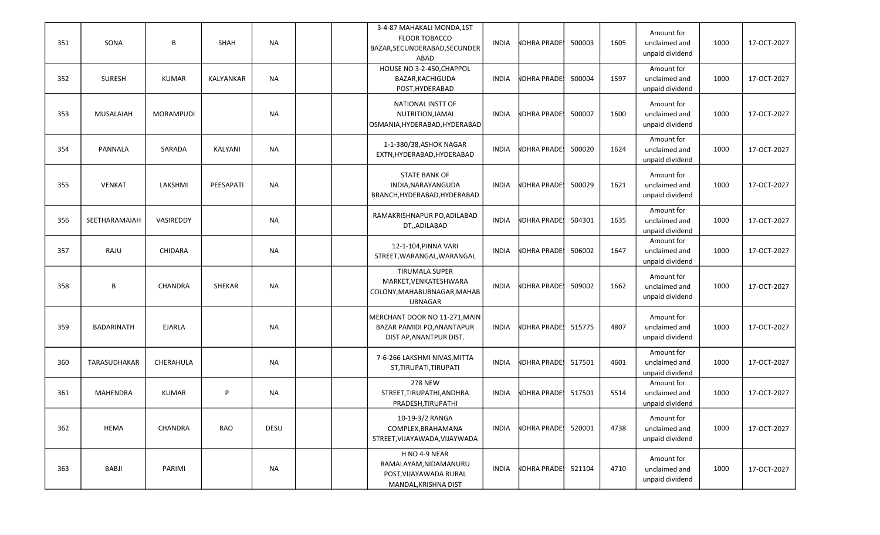| 351 | SONA             | B                | SHAH      | <b>NA</b> | 3-4-87 MAHAKALI MONDA,1ST<br><b>FLOOR TOBACCO</b><br>BAZAR, SECUNDERABAD, SECUNDER<br>ABAD      | INDIA        | <b>NDHRA PRADE!</b> | 500003 | 1605 | Amount for<br>unclaimed and<br>unpaid dividend | 1000 | 17-OCT-2027 |
|-----|------------------|------------------|-----------|-----------|-------------------------------------------------------------------------------------------------|--------------|---------------------|--------|------|------------------------------------------------|------|-------------|
| 352 | <b>SURESH</b>    | <b>KUMAR</b>     | KALYANKAR | <b>NA</b> | HOUSE NO 3-2-450, CHAPPOL<br>BAZAR, KACHIGUDA<br>POST, HYDERABAD                                | <b>INDIA</b> | <b>NDHRA PRADE!</b> | 500004 | 1597 | Amount for<br>unclaimed and<br>unpaid dividend | 1000 | 17-OCT-2027 |
| 353 | <b>MUSALAIAH</b> | <b>MORAMPUDI</b> |           | <b>NA</b> | NATIONAL INSTT OF<br>NUTRITION, JAMAI<br>OSMANIA, HYDERABAD, HYDERABAD                          | <b>INDIA</b> | <b>NDHRA PRADE!</b> | 500007 | 1600 | Amount for<br>unclaimed and<br>unpaid dividend | 1000 | 17-OCT-2027 |
| 354 | PANNALA          | SARADA           | KALYANI   | <b>NA</b> | 1-1-380/38, ASHOK NAGAR<br>EXTN, HYDERABAD, HYDERABAD                                           | INDIA        | <b>NDHRA PRADE!</b> | 500020 | 1624 | Amount for<br>unclaimed and<br>unpaid dividend | 1000 | 17-OCT-2027 |
| 355 | <b>VENKAT</b>    | LAKSHMI          | PEESAPATI | <b>NA</b> | <b>STATE BANK OF</b><br>INDIA, NARAYANGUDA<br>BRANCH, HYDERABAD, HYDERABAD                      | <b>INDIA</b> | <b>NDHRA PRADE!</b> | 500029 | 1621 | Amount for<br>unclaimed and<br>unpaid dividend | 1000 | 17-OCT-2027 |
| 356 | SEETHARAMAIAH    | VASIREDDY        |           | <b>NA</b> | RAMAKRISHNAPUR PO, ADILABAD<br>DT,,ADILABAD                                                     | <b>INDIA</b> | <b>NDHRA PRADE!</b> | 504301 | 1635 | Amount for<br>unclaimed and<br>unpaid dividend | 1000 | 17-OCT-2027 |
| 357 | RAJU             | <b>CHIDARA</b>   |           | <b>NA</b> | 12-1-104, PINNA VARI<br>STREET, WARANGAL, WARANGAL                                              | <b>INDIA</b> | <b>NDHRA PRADE!</b> | 506002 | 1647 | Amount for<br>unclaimed and<br>unpaid dividend | 1000 | 17-OCT-2027 |
| 358 | B                | <b>CHANDRA</b>   | SHEKAR    | <b>NA</b> | <b>TIRUMALA SUPER</b><br>MARKET, VENKATESHWARA<br>COLONY, MAHABUBNAGAR, MAHAB<br><b>UBNAGAR</b> | INDIA        | <b>NDHRA PRADE!</b> | 509002 | 1662 | Amount for<br>unclaimed and<br>unpaid dividend | 1000 | 17-OCT-2027 |
| 359 | BADARINATH       | <b>EJARLA</b>    |           | <b>NA</b> | MERCHANT DOOR NO 11-271, MAIN<br>BAZAR PAMIDI PO, ANANTAPUR<br>DIST AP, ANANTPUR DIST.          | <b>INDIA</b> | <b>NDHRA PRADE!</b> | 515775 | 4807 | Amount for<br>unclaimed and<br>unpaid dividend | 1000 | 17-OCT-2027 |
| 360 | TARASUDHAKAR     | CHERAHULA        |           | <b>NA</b> | 7-6-266 LAKSHMI NIVAS, MITTA<br>ST, TIRUPATI, TIRUPATI                                          | <b>INDIA</b> | <b>NDHRA PRADE!</b> | 517501 | 4601 | Amount for<br>unclaimed and<br>unpaid dividend | 1000 | 17-OCT-2027 |
| 361 | MAHENDRA         | KUMAR            | P         | <b>NA</b> | <b>278 NEW</b><br>STREET, TIRUPATHI, ANDHRA<br>PRADESH, TIRUPATHI                               | INDIA        | <b>NDHRA PRADE!</b> | 517501 | 5514 | Amount for<br>unclaimed and<br>unpaid dividend | 1000 | 17-OCT-2027 |
| 362 | <b>HEMA</b>      | CHANDRA          | RAO       | DESU      | 10-19-3/2 RANGA<br>COMPLEX, BRAHAMANA<br>STREET, VIJAYAWADA, VIJAYWADA                          | INDIA        | <b>NDHRA PRADE!</b> | 520001 | 4738 | Amount for<br>unclaimed and<br>unpaid dividend | 1000 | 17-OCT-2027 |
| 363 | BABJI            | PARIMI           |           | <b>NA</b> | H NO 4-9 NEAR<br>RAMALAYAM, NIDAMANURU<br>POST, VIJAYAWADA RURAL<br>MANDAL, KRISHNA DIST        | INDIA        | <b>NDHRA PRADE!</b> | 521104 | 4710 | Amount for<br>unclaimed and<br>unpaid dividend | 1000 | 17-OCT-2027 |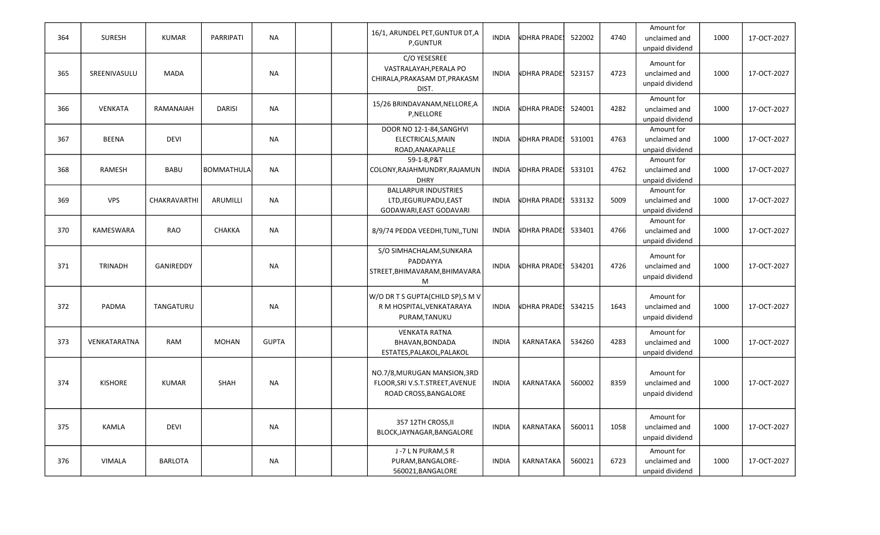| 364 | <b>SURESH</b>  | <b>KUMAR</b>   | <b>PARRIPATI</b>  | <b>NA</b>    |  | 16/1, ARUNDEL PET, GUNTUR DT, A<br><b>P,GUNTUR</b>                                      | <b>INDIA</b> | <b>NDHRA PRADES</b> | 522002 | 4740 | Amount for<br>unclaimed and<br>unpaid dividend | 1000 | 17-OCT-2027 |
|-----|----------------|----------------|-------------------|--------------|--|-----------------------------------------------------------------------------------------|--------------|---------------------|--------|------|------------------------------------------------|------|-------------|
| 365 | SREENIVASULU   | <b>MADA</b>    |                   | <b>NA</b>    |  | C/O YESESREE<br>VASTRALAYAH, PERALA PO<br>CHIRALA, PRAKASAM DT, PRAKASM<br>DIST.        | <b>INDIA</b> | <b>NDHRA PRADE!</b> | 523157 | 4723 | Amount for<br>unclaimed and<br>unpaid dividend | 1000 | 17-OCT-2027 |
| 366 | VENKATA        | RAMANAIAH      | <b>DARISI</b>     | <b>NA</b>    |  | 15/26 BRINDAVANAM, NELLORE, A<br>P, NELLORE                                             | <b>INDIA</b> | <b>NDHRA PRADE!</b> | 524001 | 4282 | Amount for<br>unclaimed and<br>unpaid dividend | 1000 | 17-OCT-2027 |
| 367 | <b>BEENA</b>   | <b>DEVI</b>    |                   | <b>NA</b>    |  | DOOR NO 12-1-84, SANGHVI<br>ELECTRICALS, MAIN<br>ROAD, ANAKAPALLE                       | <b>INDIA</b> | <b>NDHRA PRADE!</b> | 531001 | 4763 | Amount for<br>unclaimed and<br>unpaid dividend | 1000 | 17-OCT-2027 |
| 368 | <b>RAMESH</b>  | <b>BABU</b>    | <b>BOMMATHULA</b> | <b>NA</b>    |  | 59-1-8.P&T<br>COLONY, RAJAHMUNDRY, RAJAMUN<br><b>DHRY</b>                               | <b>INDIA</b> | <b>NDHRA PRADE!</b> | 533101 | 4762 | Amount for<br>unclaimed and<br>unpaid dividend | 1000 | 17-OCT-2027 |
| 369 | <b>VPS</b>     | CHAKRAVARTHI   | ARUMILLI          | <b>NA</b>    |  | <b>BALLARPUR INDUSTRIES</b><br>LTD, JEGURUPADU, EAST<br>GODAWARI, EAST GODAVARI         | <b>INDIA</b> | NDHRA PRADE!        | 533132 | 5009 | Amount for<br>unclaimed and<br>unpaid dividend | 1000 | 17-OCT-2027 |
| 370 | KAMESWARA      | <b>RAO</b>     | CHAKKA            | <b>NA</b>    |  | 8/9/74 PEDDA VEEDHI, TUNI, TUNI                                                         | <b>INDIA</b> | <b>NDHRA PRADE!</b> | 533401 | 4766 | Amount for<br>unclaimed and<br>unpaid dividend | 1000 | 17-OCT-2027 |
| 371 | <b>TRINADH</b> | GANIREDDY      |                   | <b>NA</b>    |  | S/O SIMHACHALAM, SUNKARA<br>PADDAYYA<br>STREET, BHIMAVARAM, BHIMAVARA<br>M              | <b>INDIA</b> | <b>NDHRA PRADE!</b> | 534201 | 4726 | Amount for<br>unclaimed and<br>unpaid dividend | 1000 | 17-OCT-2027 |
| 372 | PADMA          | TANGATURU      |                   | <b>NA</b>    |  | W/O DR T S GUPTA(CHILD SP),S M V<br>R M HOSPITAL, VENKATARAYA<br>PURAM, TANUKU          | <b>INDIA</b> | <b>NDHRA PRADE!</b> | 534215 | 1643 | Amount for<br>unclaimed and<br>unpaid dividend | 1000 | 17-OCT-2027 |
| 373 | VENKATARATNA   | RAM            | MOHAN             | <b>GUPTA</b> |  | <b>VENKATA RATNA</b><br>BHAVAN, BONDADA<br>ESTATES, PALAKOL, PALAKOL                    | <b>INDIA</b> | KARNATAKA           | 534260 | 4283 | Amount for<br>unclaimed and<br>unpaid dividend | 1000 | 17-OCT-2027 |
| 374 | <b>KISHORE</b> | <b>KUMAR</b>   | <b>SHAH</b>       | <b>NA</b>    |  | NO.7/8, MURUGAN MANSION, 3RD<br>FLOOR, SRIV.S.T.STREET, AVENUE<br>ROAD CROSS, BANGALORE | <b>INDIA</b> | KARNATAKA           | 560002 | 8359 | Amount for<br>unclaimed and<br>unpaid dividend | 1000 | 17-OCT-2027 |
| 375 | <b>KAMLA</b>   | <b>DEVI</b>    |                   | <b>NA</b>    |  | 357 12TH CROSS, II<br>BLOCK, JAYNAGAR, BANGALORE                                        | <b>INDIA</b> | KARNATAKA           | 560011 | 1058 | Amount for<br>unclaimed and<br>unpaid dividend | 1000 | 17-OCT-2027 |
| 376 | <b>VIMALA</b>  | <b>BARLOTA</b> |                   | <b>NA</b>    |  | J-7 L N PURAM, S R<br>PURAM, BANGALORE-<br>560021, BANGALORE                            | <b>INDIA</b> | KARNATAKA           | 560021 | 6723 | Amount for<br>unclaimed and<br>unpaid dividend | 1000 | 17-OCT-2027 |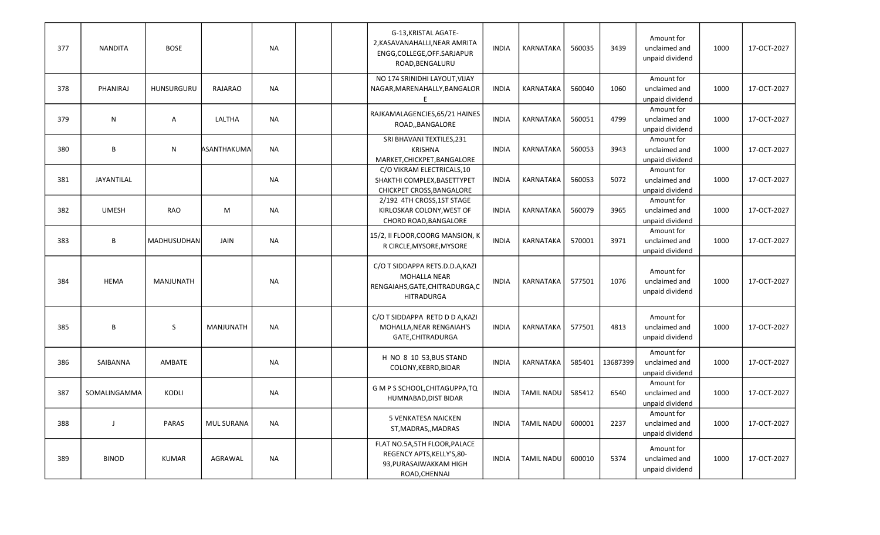| 377 | <b>NANDITA</b> | <b>BOSE</b>  |                   | <b>NA</b> |  | G-13, KRISTAL AGATE-<br>2, KASAVANAHALLI, NEAR AMRITA<br>ENGG, COLLEGE, OFF. SARJAPUR<br>ROAD, BENGALURU       | <b>INDIA</b> | KARNATAKA         | 560035 | 3439     | Amount for<br>unclaimed and<br>unpaid dividend | 1000 | 17-OCT-2027 |
|-----|----------------|--------------|-------------------|-----------|--|----------------------------------------------------------------------------------------------------------------|--------------|-------------------|--------|----------|------------------------------------------------|------|-------------|
| 378 | PHANIRAJ       | HUNSURGURU   | <b>RAJARAO</b>    | NA        |  | NO 174 SRINIDHI LAYOUT, VIJAY<br>NAGAR, MARENAHALLY, BANGALOR<br>E.                                            | <b>INDIA</b> | KARNATAKA         | 560040 | 1060     | Amount for<br>unclaimed and<br>unpaid dividend | 1000 | 17-OCT-2027 |
| 379 | ${\sf N}$      | Α            | LALTHA            | NA        |  | RAJKAMALAGENCIES, 65/21 HAINES<br>ROAD, BANGALORE                                                              | <b>INDIA</b> | KARNATAKA         | 560051 | 4799     | Amount for<br>unclaimed and<br>unpaid dividend | 1000 | 17-OCT-2027 |
| 380 | B              | ${\sf N}$    | ASANTHAKUMA       | <b>NA</b> |  | SRI BHAVANI TEXTILES, 231<br><b>KRISHNA</b><br>MARKET, CHICKPET, BANGALORE                                     | <b>INDIA</b> | KARNATAKA         | 560053 | 3943     | Amount for<br>unclaimed and<br>unpaid dividend | 1000 | 17-OCT-2027 |
| 381 | JAYANTILAL     |              |                   | <b>NA</b> |  | C/O VIKRAM ELECTRICALS,10<br>SHAKTHI COMPLEX, BASETTYPET<br>CHICKPET CROSS, BANGALORE                          | <b>INDIA</b> | KARNATAKA         | 560053 | 5072     | Amount for<br>unclaimed and<br>unpaid dividend | 1000 | 17-OCT-2027 |
| 382 | <b>UMESH</b>   | <b>RAO</b>   | M                 | <b>NA</b> |  | 2/192 4TH CROSS, 1ST STAGE<br>KIRLOSKAR COLONY, WEST OF<br>CHORD ROAD, BANGALORE                               | <b>INDIA</b> | KARNATAKA         | 560079 | 3965     | Amount for<br>unclaimed and<br>unpaid dividend | 1000 | 17-OCT-2027 |
| 383 | $\sf B$        | MADHUSUDHAN  | JAIN              | <b>NA</b> |  | 15/2, II FLOOR, COORG MANSION, K<br>R CIRCLE, MYSORE, MYSORE                                                   | <b>INDIA</b> | KARNATAKA         | 570001 | 3971     | Amount for<br>unclaimed and<br>unpaid dividend | 1000 | 17-OCT-2027 |
| 384 | <b>HEMA</b>    | MANJUNATH    |                   | <b>NA</b> |  | C/O T SIDDAPPA RETS.D.D.A, KAZI<br><b>MOHALLA NEAR</b><br>RENGAIAHS, GATE, CHITRADURGA, C<br><b>HITRADURGA</b> | <b>INDIA</b> | <b>KARNATAKA</b>  | 577501 | 1076     | Amount for<br>unclaimed and<br>unpaid dividend | 1000 | 17-OCT-2027 |
| 385 | B              | S            | <b>MANJUNATH</b>  | <b>NA</b> |  | C/O T SIDDAPPA RETD D D A, KAZI<br>MOHALLA, NEAR RENGAIAH'S<br>GATE, CHITRADURGA                               | <b>INDIA</b> | KARNATAKA         | 577501 | 4813     | Amount for<br>unclaimed and<br>unpaid dividend | 1000 | 17-OCT-2027 |
| 386 | SAIBANNA       | AMBATE       |                   | <b>NA</b> |  | H NO 8 10 53, BUS STAND<br>COLONY, KEBRD, BIDAR                                                                | <b>INDIA</b> | KARNATAKA         | 585401 | 13687399 | Amount for<br>unclaimed and<br>unpaid dividend | 1000 | 17-OCT-2027 |
| 387 | SOMALINGAMMA   | KODLI        |                   | <b>NA</b> |  | G M P S SCHOOL, CHITAGUPPA, TQ<br>HUMNABAD, DIST BIDAR                                                         | <b>INDIA</b> | <b>TAMIL NADU</b> | 585412 | 6540     | Amount for<br>unclaimed and<br>unpaid dividend | 1000 | 17-OCT-2027 |
| 388 | $\mathbf{J}$   | <b>PARAS</b> | <b>MUL SURANA</b> | <b>NA</b> |  | 5 VENKATESA NAICKEN<br>ST, MADRAS, , MADRAS                                                                    | <b>INDIA</b> | <b>TAMIL NADU</b> | 600001 | 2237     | Amount for<br>unclaimed and<br>unpaid dividend | 1000 | 17-OCT-2027 |
| 389 | <b>BINOD</b>   | <b>KUMAR</b> | AGRAWAL           | NA        |  | FLAT NO.5A, 5TH FLOOR, PALACE<br>REGENCY APTS, KELLY'S, 80-<br>93, PURASAIWAKKAM HIGH<br>ROAD, CHENNAI         | <b>INDIA</b> | <b>TAMIL NADU</b> | 600010 | 5374     | Amount for<br>unclaimed and<br>unpaid dividend | 1000 | 17-OCT-2027 |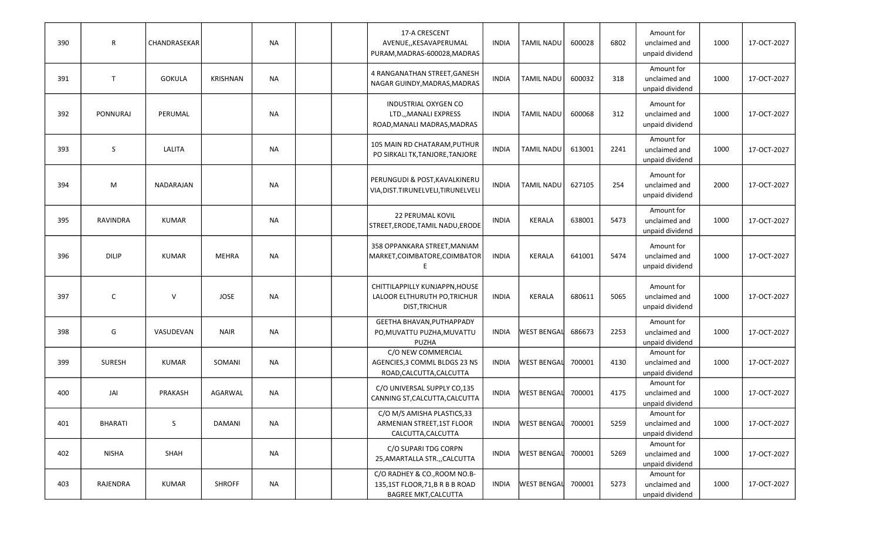| 390 | $\mathsf R$    | CHANDRASEKAR  |                 | <b>NA</b> | 17-A CRESCENT<br>AVENUE,, KESAVAPERUMAL<br>PURAM, MADRAS-600028, MADRAS                      | <b>INDIA</b> | TAMIL NADU         | 600028 | 6802 | Amount for<br>unclaimed and<br>unpaid dividend | 1000 | 17-OCT-2027 |
|-----|----------------|---------------|-----------------|-----------|----------------------------------------------------------------------------------------------|--------------|--------------------|--------|------|------------------------------------------------|------|-------------|
| 391 | T              | <b>GOKULA</b> | <b>KRISHNAN</b> | <b>NA</b> | 4 RANGANATHAN STREET, GANESH<br>NAGAR GUINDY, MADRAS, MADRAS                                 | <b>INDIA</b> | <b>TAMIL NADU</b>  | 600032 | 318  | Amount for<br>unclaimed and<br>unpaid dividend | 1000 | 17-OCT-2027 |
| 392 | PONNURAJ       | PERUMAL       |                 | NA        | INDUSTRIAL OXYGEN CO<br>LTD.,, MANALI EXPRESS<br>ROAD, MANALI MADRAS, MADRAS                 | <b>INDIA</b> | TAMIL NADU         | 600068 | 312  | Amount for<br>unclaimed and<br>unpaid dividend | 1000 | 17-OCT-2027 |
| 393 | S              | <b>LALITA</b> |                 | <b>NA</b> | 105 MAIN RD CHATARAM, PUTHUR<br>PO SIRKALI TK, TANJORE, TANJORE                              | <b>INDIA</b> | TAMIL NADU         | 613001 | 2241 | Amount for<br>unclaimed and<br>unpaid dividend | 1000 | 17-OCT-2027 |
| 394 | M              | NADARAJAN     |                 | <b>NA</b> | PERUNGUDI & POST, KAVALKINERU<br>VIA, DIST. TIRUNELVELI, TIRUNELVELI                         | <b>INDIA</b> | TAMIL NADU         | 627105 | 254  | Amount for<br>unclaimed and<br>unpaid dividend | 2000 | 17-OCT-2027 |
| 395 | RAVINDRA       | <b>KUMAR</b>  |                 | <b>NA</b> | <b>22 PERUMAL KOVIL</b><br>STREET, ERODE, TAMIL NADU, ERODE                                  | <b>INDIA</b> | <b>KERALA</b>      | 638001 | 5473 | Amount for<br>unclaimed and<br>unpaid dividend | 1000 | 17-OCT-2027 |
| 396 | <b>DILIP</b>   | <b>KUMAR</b>  | <b>MEHRA</b>    | <b>NA</b> | 358 OPPANKARA STREET, MANIAM<br>MARKET, COIMBATORE, COIMBATOR                                | <b>INDIA</b> | <b>KERALA</b>      | 641001 | 5474 | Amount for<br>unclaimed and<br>unpaid dividend | 1000 | 17-OCT-2027 |
| 397 | $\mathsf{C}$   | V             | <b>JOSE</b>     | NA        | CHITTILAPPILLY KUNJAPPN, HOUSE<br>LALOOR ELTHURUTH PO, TRICHUR<br><b>DIST, TRICHUR</b>       | <b>INDIA</b> | <b>KERALA</b>      | 680611 | 5065 | Amount for<br>unclaimed and<br>unpaid dividend | 1000 | 17-OCT-2027 |
| 398 | G              | VASUDEVAN     | <b>NAIR</b>     | <b>NA</b> | GEETHA BHAVAN, PUTHAPPADY<br>PO, MUVATTU PUZHA, MUVATTU<br><b>PUZHA</b>                      | <b>INDIA</b> | <b>WEST BENGAL</b> | 686673 | 2253 | Amount for<br>unclaimed and<br>unpaid dividend | 1000 | 17-OCT-2027 |
| 399 | <b>SURESH</b>  | <b>KUMAR</b>  | SOMANI          | <b>NA</b> | C/O NEW COMMERCIAL<br>AGENCIES, 3 COMML BLDGS 23 NS<br>ROAD, CALCUTTA, CALCUTTA              | <b>INDIA</b> | <b>WEST BENGAL</b> | 700001 | 4130 | Amount for<br>unclaimed and<br>unpaid dividend | 1000 | 17-OCT-2027 |
| 400 | JAI            | PRAKASH       | AGARWAL         | <b>NA</b> | C/O UNIVERSAL SUPPLY CO,135<br>CANNING ST, CALCUTTA, CALCUTTA                                | <b>INDIA</b> | <b>WEST BENGAL</b> | 700001 | 4175 | Amount for<br>unclaimed and<br>unpaid dividend | 1000 | 17-OCT-2027 |
| 401 | <b>BHARATI</b> | S             | <b>DAMANI</b>   | <b>NA</b> | C/O M/S AMISHA PLASTICS, 33<br>ARMENIAN STREET, 1ST FLOOR<br>CALCUTTA, CALCUTTA              | <b>INDIA</b> | <b>WEST BENGAL</b> | 700001 | 5259 | Amount for<br>unclaimed and<br>unpaid dividend | 1000 | 17-OCT-2027 |
| 402 | <b>NISHA</b>   | SHAH          |                 | <b>NA</b> | C/O SUPARI TDG CORPN<br>25, AMARTALLA STR., CALCUTTA                                         | <b>INDIA</b> | <b>WEST BENGAL</b> | 700001 | 5269 | Amount for<br>unclaimed and<br>unpaid dividend | 1000 | 17-OCT-2027 |
| 403 | RAJENDRA       | KUMAR         | <b>SHROFF</b>   | <b>NA</b> | C/O RADHEY & CO., ROOM NO.B-<br>135,1ST FLOOR,71,B R B B ROAD<br><b>BAGREE MKT, CALCUTTA</b> | INDIA        | <b>WEST BENGAL</b> | 700001 | 5273 | Amount for<br>unclaimed and<br>unpaid dividend | 1000 | 17-OCT-2027 |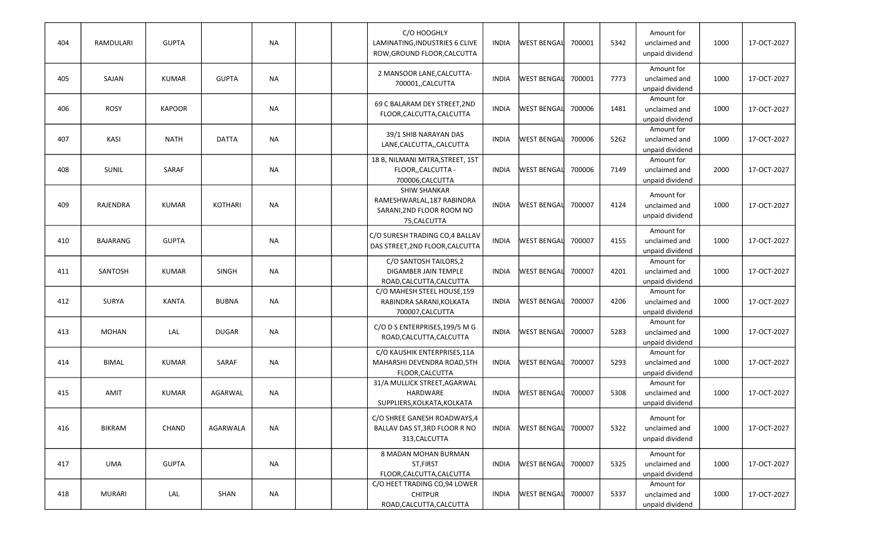| 404 | RAMDULARI       | <b>GUPTA</b>  |                | <b>NA</b> |  | C/O HOOGHLY<br>LAMINATING, INDUSTRIES 6 CLIVE<br>ROW, GROUND FLOOR, CALCUTTA                   | INDIA        | <b>WEST BENGAL</b> | 700001 | 5342 | Amount for<br>unclaimed and<br>unpaid dividend | 1000 | 17-OCT-2027 |
|-----|-----------------|---------------|----------------|-----------|--|------------------------------------------------------------------------------------------------|--------------|--------------------|--------|------|------------------------------------------------|------|-------------|
| 405 | SAJAN           | <b>KUMAR</b>  | <b>GUPTA</b>   | <b>NA</b> |  | 2 MANSOOR LANE, CALCUTTA-<br>700001, CALCUTTA                                                  | <b>INDIA</b> | <b>WEST BENGAL</b> | 700001 | 7773 | Amount for<br>unclaimed and<br>unpaid dividend | 1000 | 17-OCT-2027 |
| 406 | <b>ROSY</b>     | <b>KAPOOR</b> |                | <b>NA</b> |  | 69 C BALARAM DEY STREET, 2ND<br>FLOOR, CALCUTTA, CALCUTTA                                      | <b>INDIA</b> | <b>WEST BENGAL</b> | 700006 | 1481 | Amount for<br>unclaimed and<br>unpaid dividend | 1000 | 17-OCT-2027 |
| 407 | KASI            | <b>NATH</b>   | <b>DATTA</b>   | <b>NA</b> |  | 39/1 SHIB NARAYAN DAS<br>LANE, CALCUTTA, , CALCUTTA                                            | INDIA        | <b>WEST BENGAL</b> | 700006 | 5262 | Amount for<br>unclaimed and<br>unpaid dividend | 1000 | 17-OCT-2027 |
| 408 | <b>SUNIL</b>    | <b>SARAF</b>  |                | <b>NA</b> |  | 18 B, NILMANI MITRA, STREET, 1ST<br>FLOOR,, CALCUTTA -<br>700006, CALCUTTA                     | <b>INDIA</b> | <b>WEST BENGAL</b> | 700006 | 7149 | Amount for<br>unclaimed and<br>unpaid dividend | 2000 | 17-OCT-2027 |
| 409 | RAJENDRA        | <b>KUMAR</b>  | <b>KOTHARI</b> | <b>NA</b> |  | <b>SHIW SHANKAR</b><br>RAMESHWARLAL, 187 RABINDRA<br>SARANI, 2ND FLOOR ROOM NO<br>75, CALCUTTA | <b>INDIA</b> | <b>WEST BENGAL</b> | 700007 | 4124 | Amount for<br>unclaimed and<br>unpaid dividend | 1000 | 17-OCT-2027 |
| 410 | <b>BAJARANG</b> | <b>GUPTA</b>  |                | <b>NA</b> |  | C/O SURESH TRADING CO,4 BALLAV<br>DAS STREET, 2ND FLOOR, CALCUTTA                              | INDIA        | <b>WEST BENGAL</b> | 700007 | 4155 | Amount for<br>unclaimed and<br>unpaid dividend | 1000 | 17-OCT-2027 |
| 411 | SANTOSH         | <b>KUMAR</b>  | SINGH          | <b>NA</b> |  | C/O SANTOSH TAILORS, 2<br><b>DIGAMBER JAIN TEMPLE</b><br>ROAD, CALCUTTA, CALCUTTA              | <b>INDIA</b> | <b>WEST BENGAL</b> | 700007 | 4201 | Amount for<br>unclaimed and<br>unpaid dividend | 1000 | 17-OCT-2027 |
| 412 | <b>SURYA</b>    | <b>KANTA</b>  | <b>BUBNA</b>   | <b>NA</b> |  | C/O MAHESH STEEL HOUSE, 159<br>RABINDRA SARANI, KOLKATA<br>700007, CALCUTTA                    | INDIA        | <b>WEST BENGAL</b> | 700007 | 4206 | Amount for<br>unclaimed and<br>unpaid dividend | 1000 | 17-OCT-2027 |
| 413 | <b>MOHAN</b>    | LAL           | <b>DUGAR</b>   | NA        |  | C/O D S ENTERPRISES, 199/5 M G<br>ROAD, CALCUTTA, CALCUTTA                                     | <b>INDIA</b> | <b>WEST BENGAL</b> | 700007 | 5283 | Amount for<br>unclaimed and<br>unpaid dividend | 1000 | 17-OCT-2027 |
| 414 | <b>BIMAL</b>    | <b>KUMAR</b>  | <b>SARAF</b>   | <b>NA</b> |  | C/O KAUSHIK ENTERPRISES, 11A<br>MAHARSHI DEVENDRA ROAD, 5TH<br>FLOOR, CALCUTTA                 | INDIA        | <b>WEST BENGAL</b> | 700007 | 5293 | Amount for<br>unclaimed and<br>unpaid dividend | 1000 | 17-OCT-2027 |
| 415 | AMIT            | <b>KUMAR</b>  | AGARWAL        | NA        |  | 31/A MULLICK STREET, AGARWAL<br>HARDWARE<br>SUPPLIERS, KOLKATA, KOLKATA                        | <b>INDIA</b> | <b>WEST BENGAL</b> | 700007 | 5308 | Amount for<br>unclaimed and<br>unpaid dividend | 1000 | 17-OCT-2027 |
| 416 | <b>BIKRAM</b>   | CHAND         | AGARWALA       | <b>NA</b> |  | C/O SHREE GANESH ROADWAYS,4<br>BALLAV DAS ST, 3RD FLOOR R NO<br>313, CALCUTTA                  | INDIA        | <b>WEST BENGAL</b> | 700007 | 5322 | Amount for<br>unclaimed and<br>unpaid dividend | 1000 | 17-OCT-2027 |
| 417 | <b>UMA</b>      | <b>GUPTA</b>  |                | NA        |  | <b>8 MADAN MOHAN BURMAN</b><br>ST, FIRST<br>FLOOR, CALCUTTA, CALCUTTA                          | INDIA        | <b>WEST BENGAL</b> | 700007 | 5325 | Amount for<br>unclaimed and<br>unpaid dividend | 1000 | 17-OCT-2027 |
| 418 | <b>MURARI</b>   | LAL           | SHAN           | <b>NA</b> |  | C/O HEET TRADING CO,94 LOWER<br><b>CHITPUR</b><br>ROAD, CALCUTTA, CALCUTTA                     | INDIA        | WEST BENGAL        | 700007 | 5337 | Amount for<br>unclaimed and<br>unpaid dividend | 1000 | 17-OCT-2027 |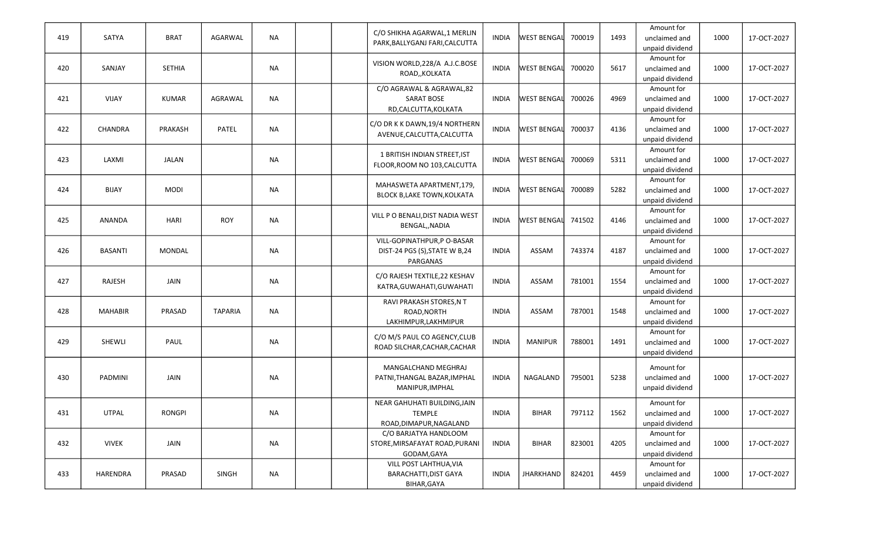| 419 | SATYA          | <b>BRAT</b>   | AGARWAL        | <b>NA</b> |  | C/O SHIKHA AGARWAL, 1 MERLIN<br>PARK, BALLYGANJ FARI, CALCUTTA           | <b>INDIA</b> | <b>WEST BENGAL</b> | 700019 | 1493 | Amount for<br>unclaimed and                                       | 1000 | 17-OCT-2027 |
|-----|----------------|---------------|----------------|-----------|--|--------------------------------------------------------------------------|--------------|--------------------|--------|------|-------------------------------------------------------------------|------|-------------|
| 420 | SANJAY         | <b>SETHIA</b> |                | <b>NA</b> |  | VISION WORLD, 228/A A.J.C.BOSE<br>ROAD,, KOLKATA                         | <b>INDIA</b> | <b>WEST BENGAL</b> | 700020 | 5617 | unpaid dividend<br>Amount for<br>unclaimed and<br>unpaid dividend | 1000 | 17-OCT-2027 |
| 421 | <b>VIJAY</b>   | <b>KUMAR</b>  | AGRAWAL        | NA        |  | C/O AGRAWAL & AGRAWAL,82<br><b>SARAT BOSE</b><br>RD,CALCUTTA,KOLKATA     | <b>INDIA</b> | <b>WEST BENGAL</b> | 700026 | 4969 | Amount for<br>unclaimed and<br>unpaid dividend                    | 1000 | 17-OCT-2027 |
| 422 | CHANDRA        | PRAKASH       | <b>PATEL</b>   | NA        |  | C/O DR K K DAWN, 19/4 NORTHERN<br>AVENUE, CALCUTTA, CALCUTTA             | INDIA        | <b>WEST BENGAL</b> | 700037 | 4136 | Amount for<br>unclaimed and<br>unpaid dividend                    | 1000 | 17-OCT-2027 |
| 423 | LAXMI          | <b>JALAN</b>  |                | <b>NA</b> |  | 1 BRITISH INDIAN STREET, IST<br>FLOOR, ROOM NO 103, CALCUTTA             | <b>INDIA</b> | <b>WEST BENGAL</b> | 700069 | 5311 | Amount for<br>unclaimed and<br>unpaid dividend                    | 1000 | 17-OCT-2027 |
| 424 | <b>BIJAY</b>   | <b>MODI</b>   |                | <b>NA</b> |  | MAHASWETA APARTMENT,179,<br>BLOCK B, LAKE TOWN, KOLKATA                  | <b>INDIA</b> | <b>WEST BENGAL</b> | 700089 | 5282 | Amount for<br>unclaimed and<br>unpaid dividend                    | 1000 | 17-OCT-2027 |
| 425 | ANANDA         | <b>HARI</b>   | <b>ROY</b>     | <b>NA</b> |  | VILL P O BENALI, DIST NADIA WEST<br>BENGAL,, NADIA                       | <b>INDIA</b> | <b>WEST BENGAL</b> | 741502 | 4146 | Amount for<br>unclaimed and<br>unpaid dividend                    | 1000 | 17-OCT-2027 |
| 426 | <b>BASANTI</b> | <b>MONDAL</b> |                | <b>NA</b> |  | VILL-GOPINATHPUR,P O-BASAR<br>DIST-24 PGS (S), STATE W B, 24<br>PARGANAS | <b>INDIA</b> | ASSAM              | 743374 | 4187 | Amount for<br>unclaimed and<br>unpaid dividend                    | 1000 | 17-OCT-2027 |
| 427 | RAJESH         | JAIN          |                | <b>NA</b> |  | C/O RAJESH TEXTILE, 22 KESHAV<br>KATRA, GUWAHATI, GUWAHATI               | <b>INDIA</b> | ASSAM              | 781001 | 1554 | Amount for<br>unclaimed and<br>unpaid dividend                    | 1000 | 17-OCT-2027 |
| 428 | <b>MAHABIR</b> | PRASAD        | <b>TAPARIA</b> | NA        |  | RAVI PRAKASH STORES, N T<br>ROAD, NORTH<br>LAKHIMPUR, LAKHMIPUR          | <b>INDIA</b> | ASSAM              | 787001 | 1548 | Amount for<br>unclaimed and<br>unpaid dividend                    | 1000 | 17-OCT-2027 |
| 429 | SHEWLI         | PAUL          |                | NA        |  | C/O M/S PAUL CO AGENCY, CLUB<br>ROAD SILCHAR, CACHAR, CACHAR             | <b>INDIA</b> | <b>MANIPUR</b>     | 788001 | 1491 | Amount for<br>unclaimed and<br>unpaid dividend                    | 1000 | 17-OCT-2027 |
| 430 | PADMINI        | JAIN          |                | <b>NA</b> |  | MANGALCHAND MEGHRAJ<br>PATNI, THANGAL BAZAR, IMPHAL<br>MANIPUR, IMPHAL   | <b>INDIA</b> | NAGALAND           | 795001 | 5238 | Amount for<br>unclaimed and<br>unpaid dividend                    | 1000 | 17-OCT-2027 |
| 431 | <b>UTPAL</b>   | <b>RONGPI</b> |                | ΝA        |  | NEAR GAHUHATI BUILDING, JAIN<br>TEMPLE<br>ROAD, DIMAPUR, NAGALAND        | <b>INDIA</b> | <b>BIHAR</b>       | 797112 | 1562 | Amount for<br>unclaimed and<br>unpaid dividend                    | 1000 | 17-OCT-2027 |
| 432 | <b>VIVEK</b>   | JAIN          |                | NA        |  | C/O BARJATYA HANDLOOM<br>STORE, MIRSAFAYAT ROAD, PURANI<br>GODAM, GAYA   | <b>INDIA</b> | <b>BIHAR</b>       | 823001 | 4205 | Amount for<br>unclaimed and<br>unpaid dividend                    | 1000 | 17-OCT-2027 |
| 433 | HARENDRA       | PRASAD        | SINGH          | <b>NA</b> |  | VILL POST LAHTHUA, VIA<br><b>BARACHATTI, DIST GAYA</b><br>BIHAR, GAYA    | <b>INDIA</b> | <b>JHARKHAND</b>   | 824201 | 4459 | Amount for<br>unclaimed and<br>unpaid dividend                    | 1000 | 17-OCT-2027 |